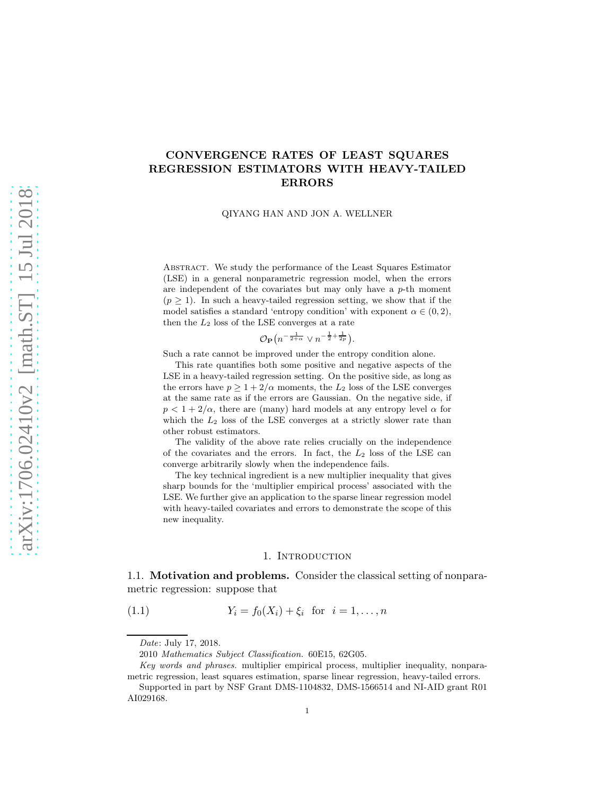# CONVERGENCE RATES OF LEAST SQUARES REGRESSION ESTIMATORS WITH HEAVY-TAILED ERRORS

QIYANG HAN AND JON A. WELLNER

Abstract. We study the performance of the Least Squares Estimator (LSE) in a general nonparametric regression model, when the errors are independent of the covariates but may only have a  $p$ -th moment  $(p \geq 1)$ . In such a heavy-tailed regression setting, we show that if the model satisfies a standard 'entropy condition' with exponent  $\alpha \in (0, 2)$ , then the  $L_2$  loss of the LSE converges at a rate

 $\mathcal{O}_{\mathbf{P}}(n^{-\frac{1}{2+\alpha}} \vee n^{-\frac{1}{2}+\frac{1}{2p}}).$ 

Such a rate cannot be improved under the entropy condition alone.

This rate quantifies both some positive and negative aspects of the LSE in a heavy-tailed regression setting. On the positive side, as long as the errors have  $p \geq 1 + 2/\alpha$  moments, the  $L_2$  loss of the LSE converges at the same rate as if the errors are Gaussian. On the negative side, if  $p < 1 + 2/\alpha$ , there are (many) hard models at any entropy level  $\alpha$  for which the  $L_2$  loss of the LSE converges at a strictly slower rate than other robust estimators.

The validity of the above rate relies crucially on the independence of the covariates and the errors. In fact, the  $L_2$  loss of the LSE can converge arbitrarily slowly when the independence fails.

The key technical ingredient is a new multiplier inequality that gives sharp bounds for the 'multiplier empirical process' associated with the LSE. We further give an application to the sparse linear regression model with heavy-tailed covariates and errors to demonstrate the scope of this new inequality.

### 1. Introduction

1.1. Motivation and problems. Consider the classical setting of nonparametric regression: suppose that

<span id="page-0-0"></span>(1.1) 
$$
Y_i = f_0(X_i) + \xi_i \text{ for } i = 1, ..., n
$$

*Date*: July 17, 2018.

<sup>2010</sup> *Mathematics Subject Classification.* 60E15, 62G05.

*Key words and phrases.* multiplier empirical process, multiplier inequality, nonparametric regression, least squares estimation, sparse linear regression, heavy-tailed errors.

Supported in part by NSF Grant DMS-1104832, DMS-1566514 and NI-AID grant R01 AI029168.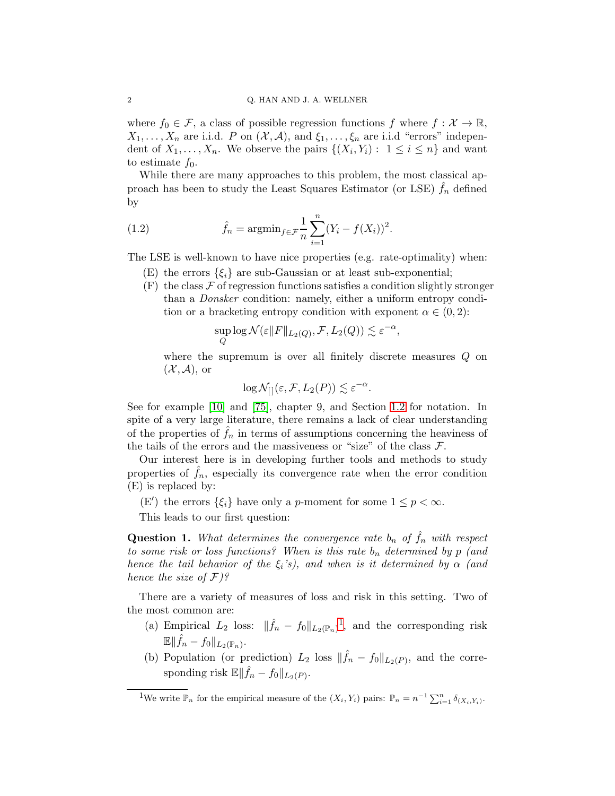where  $f_0 \in \mathcal{F}$ , a class of possible regression functions f where  $f : \mathcal{X} \to \mathbb{R}$ ,  $X_1, \ldots, X_n$  are i.i.d. P on  $(\mathcal{X}, \mathcal{A})$ , and  $\xi_1, \ldots, \xi_n$  are i.i.d "errors" independent of  $X_1, \ldots, X_n$ . We observe the pairs  $\{(X_i, Y_i) : 1 \leq i \leq n\}$  and want to estimate  $f_0$ .

While there are many approaches to this problem, the most classical approach has been to study the Least Squares Estimator (or LSE)  $\hat{f}_n$  defined by

<span id="page-1-1"></span>(1.2) 
$$
\hat{f}_n = \operatorname{argmin}_{f \in \mathcal{F}} \frac{1}{n} \sum_{i=1}^n (Y_i - f(X_i))^2.
$$

The LSE is well-known to have nice properties (e.g. rate-optimality) when:

- (E) the errors  $\{\xi_i\}$  are sub-Gaussian or at least sub-exponential;
- $(F)$  the class  $\mathcal F$  of regression functions satisfies a condition slightly stronger than a Donsker condition: namely, either a uniform entropy condition or a bracketing entropy condition with exponent  $\alpha \in (0, 2)$ :

$$
\sup_{Q} \log \mathcal{N}(\varepsilon ||F||_{L_2(Q)}, \mathcal{F}, L_2(Q)) \lesssim \varepsilon^{-\alpha},
$$

where the supremum is over all finitely discrete measures Q on  $({\mathcal{X}}, {\mathcal{A}})$ , or

$$
\log \mathcal{N}_{[]}(\varepsilon, \mathcal{F}, L_2(P)) \lesssim \varepsilon^{-\alpha}.
$$

See for example [\[10\]](#page-46-0) and [\[75\]](#page-49-0), chapter 9, and Section [1.2](#page-4-0) for notation. In spite of a very large literature, there remains a lack of clear understanding of the properties of  $f_n$  in terms of assumptions concerning the heaviness of the tails of the errors and the massiveness or "size" of the class  $\mathcal{F}$ .

Our interest here is in developing further tools and methods to study properties of  $f_n$ , especially its convergence rate when the error condition (E) is replaced by:

(E') the errors  $\{\xi_i\}$  have only a p-moment for some  $1 \leq p < \infty$ .

This leads to our first question:

**Question 1.** What determines the convergence rate  $b_n$  of  $\hat{f}_n$  with respect to some risk or loss functions? When is this rate  $b_n$  determined by p (and hence the tail behavior of the  $\xi_i$ 's), and when is it determined by  $\alpha$  (and hence the size of  $\mathcal{F}$ )?

There are a variety of measures of loss and risk in this setting. Two of the most common are:

- (a) Empirical  $L_2$  loss:  $\|\hat{f}_n f_0\|_{L_2(\mathbb{P}_n)}^{-1}$  $\|\hat{f}_n f_0\|_{L_2(\mathbb{P}_n)}^{-1}$  $\|\hat{f}_n f_0\|_{L_2(\mathbb{P}_n)}^{-1}$ , and the corresponding risk  $\mathbb{E} \Vert \hat{f}_n - f_0 \Vert_{L_2(\mathbb{P}_n)}.$
- (b) Population (or prediction)  $L_2$  loss  $\|\hat{f}_n f_0\|_{L_2(P)}$ , and the corresponding risk  $\mathbb{E} \Vert \hat{f}_n - f_0 \Vert_{L_2(P)}$ .

<span id="page-1-0"></span><sup>&</sup>lt;sup>1</sup>We write  $\mathbb{P}_n$  for the empirical measure of the  $(X_i, Y_i)$  pairs:  $\mathbb{P}_n = n^{-1} \sum_{i=1}^n \delta_{(X_i, Y_i)}$ .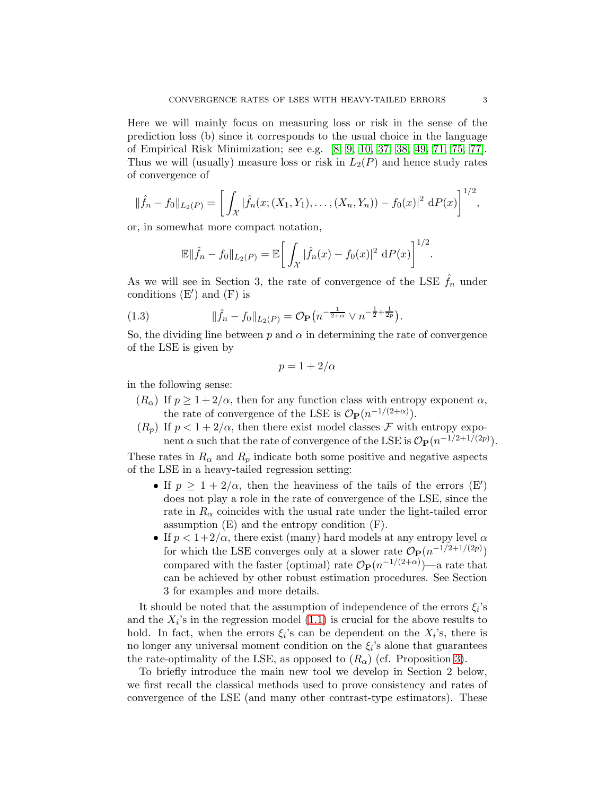Here we will mainly focus on measuring loss or risk in the sense of the prediction loss (b) since it corresponds to the usual choice in the language of Empirical Risk Minimization; see e.g. [\[8,](#page-46-1) [9,](#page-46-2) [10,](#page-46-0) [37,](#page-47-0) [38,](#page-47-1) [49,](#page-47-2) [71,](#page-48-0) [75,](#page-49-0) [77\]](#page-49-1). Thus we will (usually) measure loss or risk in  $L_2(P)$  and hence study rates of convergence of

$$
\|\hat{f}_n - f_0\|_{L_2(P)} = \left[ \int_{\mathcal{X}} |\hat{f}_n(x; (X_1, Y_1), \dots, (X_n, Y_n)) - f_0(x)|^2 dP(x) \right]^{1/2},
$$

or, in somewhat more compact notation,

$$
\mathbb{E} \|\hat{f}_n - f_0\|_{L_2(P)} = \mathbb{E} \bigg[ \int_{\mathcal{X}} |\hat{f}_n(x) - f_0(x)|^2 dP(x) \bigg]^{1/2}.
$$

As we will see in Section 3, the rate of convergence of the LSE  $\hat{f}_n$  under conditions (E′ ) and (F) is

<span id="page-2-0"></span>(1.3) 
$$
\|\hat{f}_n - f_0\|_{L_2(P)} = \mathcal{O}_{\mathbf{P}}\left(n^{-\frac{1}{2+\alpha}} \vee n^{-\frac{1}{2} + \frac{1}{2p}}\right).
$$

So, the dividing line between  $p$  and  $\alpha$  in determining the rate of convergence of the LSE is given by

$$
p=1+2/\alpha
$$

in the following sense:

- $(R_{\alpha})$  If  $p \geq 1 + 2/\alpha$ , then for any function class with entropy exponent  $\alpha$ , the rate of convergence of the LSE is  $\mathcal{O}_P(n^{-1/(2+\alpha)})$ .
- $(R_p)$  If  $p < 1 + 2/\alpha$ , then there exist model classes F with entropy exponent  $\alpha$  such that the rate of convergence of the LSE is  $\mathcal{O}_{\mathbf{P}}(n^{-1/2+1/(2p)})$ .

These rates in  $R_{\alpha}$  and  $R_p$  indicate both some positive and negative aspects of the LSE in a heavy-tailed regression setting:

- If  $p \geq 1 + 2/\alpha$ , then the heaviness of the tails of the errors  $(E')$ does not play a role in the rate of convergence of the LSE, since the rate in  $R_{\alpha}$  coincides with the usual rate under the light-tailed error assumption (E) and the entropy condition (F).
- If  $p < 1+2/\alpha$ , there exist (many) hard models at any entropy level  $\alpha$ for which the LSE converges only at a slower rate  $\mathcal{O}_P(n^{-1/2+1/(2p)})$ compared with the faster (optimal) rate  $\mathcal{O}_{\mathbf{P}}(n^{-1/(2+\alpha)})$ —a rate that can be achieved by other robust estimation procedures. See Section 3 for examples and more details.

It should be noted that the assumption of independence of the errors  $\xi_i$ 's and the  $X_i$ 's in the regression model  $(1.1)$  is crucial for the above results to hold. In fact, when the errors  $\xi_i$ 's can be dependent on the  $X_i$ 's, there is no longer any universal moment condition on the  $\xi_i$ 's alone that guarantees the rate-optimality of the LSE, as opposed to  $(R_{\alpha})$  (cf. Proposition [3\)](#page-17-0).

To briefly introduce the main new tool we develop in Section 2 below, we first recall the classical methods used to prove consistency and rates of convergence of the LSE (and many other contrast-type estimators). These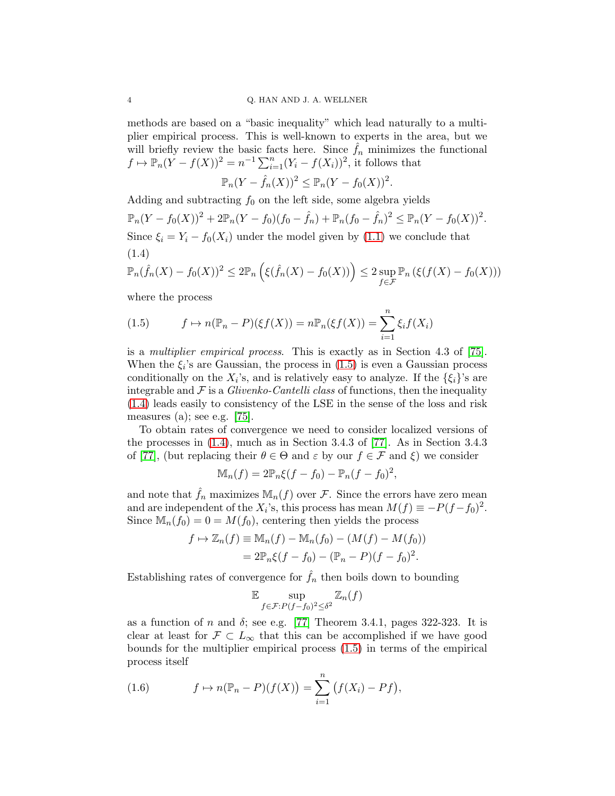methods are based on a "basic inequality" which lead naturally to a multiplier empirical process. This is well-known to experts in the area, but we will briefly review the basic facts here. Since  $\hat{f}_n$  minimizes the functional  $f \mapsto \mathbb{P}_n(\tilde{Y} - f(X))^2 = n^{-1} \sum_{i=1}^n (Y_i - f(X_i))^2$ , it follows that

$$
\mathbb{P}_n(Y - \hat{f}_n(X))^2 \le \mathbb{P}_n(Y - f_0(X))^2.
$$

Adding and subtracting  $f_0$  on the left side, some algebra yields

$$
\mathbb{P}_n(Y - f_0(X))^2 + 2\mathbb{P}_n(Y - f_0)(f_0 - \hat{f}_n) + \mathbb{P}_n(f_0 - \hat{f}_n)^2 \le \mathbb{P}_n(Y - f_0(X))^2.
$$
  
Since  $\xi_i = Y_i - f_0(X_i)$  under the model given by (1.1) we conclude that (1.4)

<span id="page-3-1"></span>
$$
\mathbb{P}_n(\hat{f}_n(X) - f_0(X))^2 \le 2\mathbb{P}_n\left(\xi(\hat{f}_n(X) - f_0(X))\right) \le 2 \sup_{f \in \mathcal{F}} \mathbb{P}_n\left(\xi(f(X) - f_0(X))\right)
$$

where the process

<span id="page-3-0"></span>(1.5) 
$$
f \mapsto n(\mathbb{P}_n - P)(\xi f(X)) = n \mathbb{P}_n(\xi f(X)) = \sum_{i=1}^n \xi_i f(X_i)
$$

is a multiplier empirical process. This is exactly as in Section 4.3 of [\[75\]](#page-49-0). When the  $\xi_i$ 's are Gaussian, the process in  $(1.5)$  is even a Gaussian process conditionally on the  $X_i$ 's, and is relatively easy to analyze. If the  $\{\xi_i\}$ 's are integrable and  $\mathcal F$  is a *Glivenko-Cantelli class* of functions, then the inequality [\(1.4\)](#page-3-1) leads easily to consistency of the LSE in the sense of the loss and risk measures (a); see e.g.  $[75]$ .

To obtain rates of convergence we need to consider localized versions of the processes in [\(1.4\)](#page-3-1), much as in Section 3.4.3 of [\[77\]](#page-49-1). As in Section 3.4.3 of [\[77\]](#page-49-1), (but replacing their  $\theta \in \Theta$  and  $\varepsilon$  by our  $f \in \mathcal{F}$  and  $\xi$ ) we consider

$$
\mathbb{M}_n(f) = 2\mathbb{P}_n\xi(f - f_0) - \mathbb{P}_n(f - f_0)^2,
$$

and note that  $f_n$  maximizes  $\mathbb{M}_n(f)$  over  $\mathcal F$ . Since the errors have zero mean and are independent of the  $X_i$ 's, this process has mean  $M(f) \equiv -P(f - f_0)^2$ . Since  $M_n(f_0) = 0 = M(f_0)$ , centering then yields the process

$$
f \mapsto \mathbb{Z}_n(f) \equiv \mathbb{M}_n(f) - \mathbb{M}_n(f_0) - (M(f) - M(f_0))
$$
  
=  $2\mathbb{P}_n\xi(f - f_0) - (\mathbb{P}_n - P)(f - f_0)^2$ .

Establishing rates of convergence for  $\hat{f}_n$  then boils down to bounding

$$
\mathbb{E} \sup_{f \in \mathcal{F}: P(f - f_0)^2 \le \delta^2} \mathbb{Z}_n(f)
$$

as a function of n and  $\delta$ ; see e.g. [\[77\]](#page-49-1) Theorem 3.4.1, pages 322-323. It is clear at least for  $\mathcal{F} \subset L_{\infty}$  that this can be accomplished if we have good bounds for the multiplier empirical process [\(1.5\)](#page-3-0) in terms of the empirical process itself

<span id="page-3-2"></span>(1.6) 
$$
f \mapsto n(\mathbb{P}_n - P)(f(X)) = \sum_{i=1}^n (f(X_i) - Pf),
$$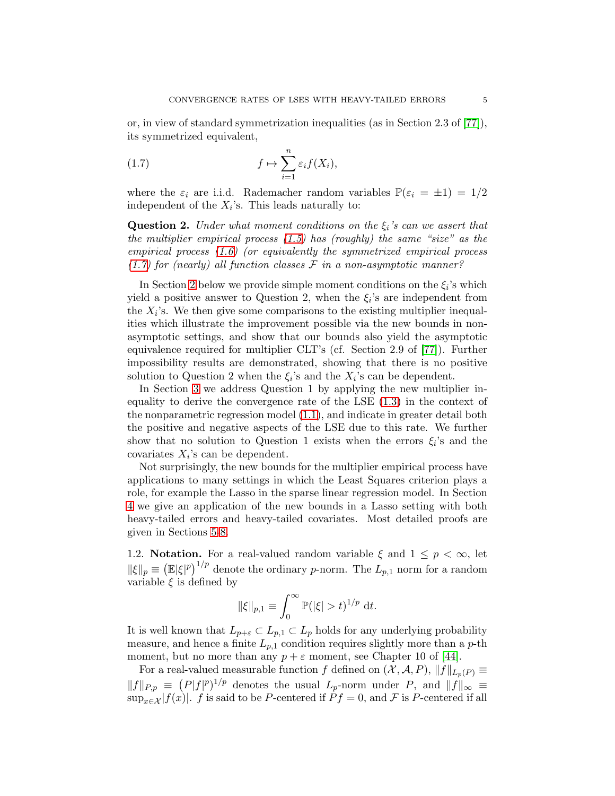or, in view of standard symmetrization inequalities (as in Section 2.3 of [\[77\]](#page-49-1)), its symmetrized equivalent,

<span id="page-4-1"></span>(1.7) 
$$
f \mapsto \sum_{i=1}^{n} \varepsilon_i f(X_i),
$$

where the  $\varepsilon_i$  are i.i.d. Rademacher random variables  $\mathbb{P}(\varepsilon_i = \pm 1) = 1/2$ independent of the  $X_i$ 's. This leads naturally to:

**Question 2.** Under what moment conditions on the  $\xi_i$ 's can we assert that the multiplier empirical process [\(1.5\)](#page-3-0) has (roughly) the same "size" as the empirical process  $(1.6)$  (or equivalently the symmetrized empirical process  $(1.7)$  for (nearly) all function classes  $\mathcal F$  in a non-asymptotic manner?

In Section [2](#page-5-0) below we provide simple moment conditions on the  $\xi_i$ 's which yield a positive answer to Question 2, when the  $\xi_i$ 's are independent from the  $X_i$ 's. We then give some comparisons to the existing multiplier inequalities which illustrate the improvement possible via the new bounds in nonasymptotic settings, and show that our bounds also yield the asymptotic equivalence required for multiplier CLT's (cf. Section 2.9 of [\[77\]](#page-49-1)). Further impossibility results are demonstrated, showing that there is no positive solution to Question 2 when the  $\xi_i$ 's and the  $X_i$ 's can be dependent.

In Section [3](#page-11-0) we address Question 1 by applying the new multiplier inequality to derive the convergence rate of the LSE [\(1.3\)](#page-2-0) in the context of the nonparametric regression model [\(1.1\)](#page-0-0), and indicate in greater detail both the positive and negative aspects of the LSE due to this rate. We further show that no solution to Question 1 exists when the errors  $\xi_i$ 's and the covariates  $X_i$ 's can be dependent.

Not surprisingly, the new bounds for the multiplier empirical process have applications to many settings in which the Least Squares criterion plays a role, for example the Lasso in the sparse linear regression model. In Section [4](#page-18-0) we give an application of the new bounds in a Lasso setting with both heavy-tailed errors and heavy-tailed covariates. Most detailed proofs are given in Sections [5](#page-21-0)[-8.](#page-41-0)

<span id="page-4-0"></span>1.2. **Notation.** For a real-valued random variable  $\xi$  and  $1 \leq p \leq \infty$ , let  $\|\xi\|_p \equiv (\mathbb{E}|\xi|^p)^{1/p}$  denote the ordinary p-norm. The  $L_{p,1}$  norm for a random variable  $\xi$  is defined by

$$
\|\xi\|_{p,1} \equiv \int_0^\infty \mathbb{P}(|\xi| > t)^{1/p} dt.
$$

It is well known that  $L_{p+\varepsilon} \subset L_{p,1} \subset L_p$  holds for any underlying probability measure, and hence a finite  $L_{p,1}$  condition requires slightly more than a p-th moment, but no more than any  $p + \varepsilon$  moment, see Chapter 10 of [\[44\]](#page-47-3).

For a real-valued measurable function f defined on  $(X, \mathcal{A}, P)$ ,  $||f||_{L_p(P)} \equiv$  $||f||_{P,p} \equiv (P|f|^p)^{1/p}$  denotes the usual  $L_p$ -norm under P, and  $||f||_{\infty} \equiv$  $\sup_{x \in \mathcal{X}} |f(x)|$ . f is said to be P-centered if  $P f = 0$ , and F is P-centered if all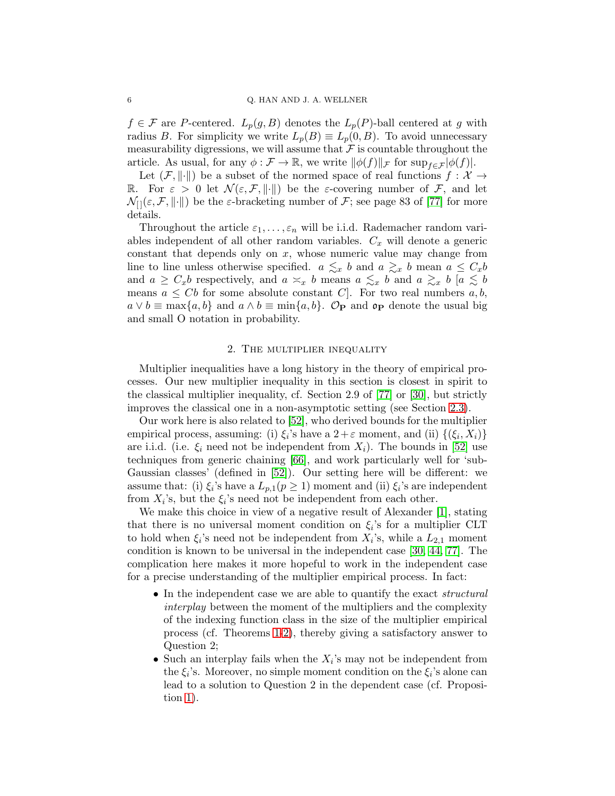$f \in \mathcal{F}$  are P-centered.  $L_p(g, B)$  denotes the  $L_p(P)$ -ball centered at g with radius B. For simplicity we write  $L_p(B) \equiv L_p(0, B)$ . To avoid unnecessary measurability digressions, we will assume that  $\mathcal F$  is countable throughout the article. As usual, for any  $\phi : \mathcal{F} \to \mathbb{R}$ , we write  $\|\phi(f)\|_{\mathcal{F}}$  for  $\sup_{f \in \mathcal{F}} |\phi(f)|$ .

Let  $(\mathcal{F}, \|\cdot\|)$  be a subset of the normed space of real functions  $f : \mathcal{X} \to$ R. For  $\varepsilon > 0$  let  $\mathcal{N}(\varepsilon, \mathcal{F}, \|\cdot\|)$  be the *ε*-covering number of F, and let  $\mathcal{N}_{\{} \in \mathcal{F}, \|\cdot\|$  be the  $\varepsilon$ -bracketing number of  $\mathcal{F}$ ; see page 83 of [\[77\]](#page-49-1) for more details.

Throughout the article  $\varepsilon_1, \ldots, \varepsilon_n$  will be i.i.d. Rademacher random variables independent of all other random variables.  $C_x$  will denote a generic constant that depends only on  $x$ , whose numeric value may change from line to line unless otherwise specified.  $a \leq x b$  and  $a \geq x b$  mean  $a \leq C_x b$ and  $a \geq C_x b$  respectively, and  $a \approx_x b$  means  $a \leq_x b$  and  $a \geq_x b$  [ $a \leq b$ ] means  $a \leq Cb$  for some absolute constant C. For two real numbers  $a, b$ ,  $a \vee b \equiv \max\{a, b\}$  and  $a \wedge b \equiv \min\{a, b\}$ . Op and op denote the usual big and small O notation in probability.

# 2. The multiplier inequality

<span id="page-5-0"></span>Multiplier inequalities have a long history in the theory of empirical processes. Our new multiplier inequality in this section is closest in spirit to the classical multiplier inequality, cf. Section 2.9 of [\[77\]](#page-49-1) or [\[30\]](#page-47-4), but strictly improves the classical one in a non-asymptotic setting (see Section [2.3\)](#page-9-0).

Our work here is also related to [\[52\]](#page-48-1), who derived bounds for the multiplier empirical process, assuming: (i)  $\xi_i$ 's have a  $2+\varepsilon$  moment, and (ii)  $\{(\xi_i, X_i)\}$ are i.i.d. (i.e.  $\xi_i$  need not be independent from  $X_i$ ). The bounds in [\[52\]](#page-48-1) use techniques from generic chaining [\[66\]](#page-48-2), and work particularly well for 'sub-Gaussian classes' (defined in [\[52\]](#page-48-1)). Our setting here will be different: we assume that: (i)  $\xi_i$ 's have a  $L_{p,1}(p \geq 1)$  moment and (ii)  $\xi_i$ 's are independent from  $X_i$ 's, but the  $\xi_i$ 's need not be independent from each other.

We make this choice in view of a negative result of Alexander [\[1\]](#page-45-0), stating that there is no universal moment condition on  $\xi_i$ 's for a multiplier CLT to hold when  $\xi_i$ 's need not be independent from  $X_i$ 's, while a  $L_{2,1}$  moment condition is known to be universal in the independent case [\[30,](#page-47-4) [44,](#page-47-3) [77\]](#page-49-1). The complication here makes it more hopeful to work in the independent case for a precise understanding of the multiplier empirical process. In fact:

- In the independent case we are able to quantify the exact *structural* interplay between the moment of the multipliers and the complexity of the indexing function class in the size of the multiplier empirical process (cf. Theorems [1-](#page-6-0)[2\)](#page-8-0), thereby giving a satisfactory answer to Question 2;
- Such an interplay fails when the  $X_i$ 's may not be independent from the  $\xi_i$ 's. Moreover, no simple moment condition on the  $\xi_i$ 's alone can lead to a solution to Question 2 in the dependent case (cf. Proposition [1\)](#page-10-0).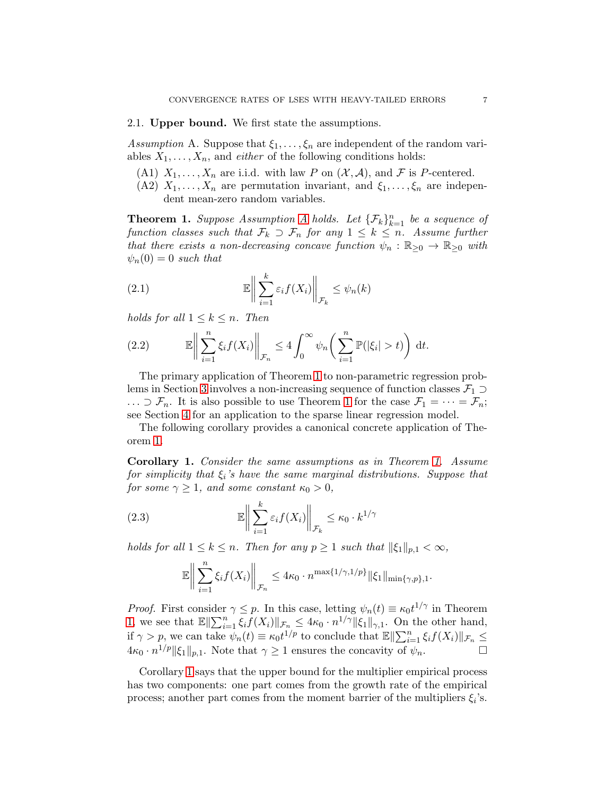#### 2.1. Upper bound. We first state the assumptions.

<span id="page-6-1"></span>Assumption A. Suppose that  $\xi_1, \ldots, \xi_n$  are independent of the random variables  $X_1, \ldots, X_n$ , and *either* of the following conditions holds:

- (A1)  $X_1, \ldots, X_n$  are i.i.d. with law P on  $(\mathcal{X}, \mathcal{A})$ , and F is P-centered.
- (A2)  $X_1, \ldots, X_n$  are permutation invariant, and  $\xi_1, \ldots, \xi_n$  are independent mean-zero random variables.

<span id="page-6-0"></span>**Theorem 1.** Suppose [A](#page-6-1)ssumption A holds. Let  $\{\mathcal{F}_k\}_{k=1}^n$  be a sequence of function classes such that  $\mathcal{F}_k \supset \mathcal{F}_n$  for any  $1 \leq k \leq n$ . Assume further that there exists a non-decreasing concave function  $\psi_n : \mathbb{R}_{\geq 0} \to \mathbb{R}_{\geq 0}$  with  $\psi_n(0) = 0$  such that

(2.1) 
$$
\mathbb{E}\bigg\|\sum_{i=1}^k \varepsilon_i f(X_i)\bigg\|_{\mathcal{F}_k} \leq \psi_n(k)
$$

holds for all  $1 \leq k \leq n$ . Then

(2.2) 
$$
\mathbb{E}\bigg\|\sum_{i=1}^n\xi_if(X_i)\bigg\|_{\mathcal{F}_n}\leq 4\int_0^\infty\psi_n\bigg(\sum_{i=1}^n\mathbb{P}(|\xi_i|>t)\bigg)\,dt.
$$

The primary application of Theorem [1](#page-6-0) to non-parametric regression prob-lems in Section [3](#page-11-0) involves a non-increasing sequence of function classes  $\mathcal{F}_1 \supset$  $\ldots \supset \mathcal{F}_n$ . It is also possible to use Theorem [1](#page-6-0) for the case  $\mathcal{F}_1 = \cdots = \mathcal{F}_n$ ; see Section [4](#page-18-0) for an application to the sparse linear regression model.

The following corollary provides a canonical concrete application of Theorem [1.](#page-6-0)

<span id="page-6-2"></span>Corollary 1. Consider the same assumptions as in Theorem [1.](#page-6-0) Assume for simplicity that  $\xi_i$ 's have the same marginal distributions. Suppose that for some  $\gamma \geq 1$ , and some constant  $\kappa_0 > 0$ ,

(2.3) 
$$
\mathbb{E}\left\|\sum_{i=1}^k \varepsilon_i f(X_i)\right\|_{\mathcal{F}_k} \leq \kappa_0 \cdot k^{1/\gamma}
$$

holds for all  $1 \leq k \leq n$ . Then for any  $p \geq 1$  such that  $\|\xi_1\|_{p,1} < \infty$ ,

$$
\mathbb{E}\bigg\|\sum_{i=1}^n \xi_i f(X_i)\bigg\|_{\mathcal{F}_n} \leq 4\kappa_0 \cdot n^{\max\{1/\gamma,1/p\}} \|\xi_1\|_{\min\{\gamma,p\},1}.
$$

*Proof.* First consider  $\gamma \leq p$ . In this case, letting  $\psi_n(t) \equiv \kappa_0 t^{1/\gamma}$  in Theorem [1,](#page-6-0) we see that  $\mathbb{E}\|\sum_{i=1}^n \xi_i f(X_i)\|_{\mathcal{F}_{n,\alpha}} \leq 4\kappa_0 \cdot n^{1/\gamma} \|\xi_1\|_{\gamma,1}$ . On the other hand, if  $\gamma > p$ , we can take  $\psi_n(t) \equiv \kappa_0 t^{1/p}$  to conclude that  $\mathbb{E} \Vert \sum_{i=1}^n \xi_i f(X_i) \Vert_{\mathcal{F}_n} \le$  $4\kappa_0 \cdot n^{1/p} \|\xi_1\|_{p,1}$ . Note that  $\gamma \ge 1$  ensures the concavity of  $\psi_n$ .

Corollary [1](#page-6-2) says that the upper bound for the multiplier empirical process has two components: one part comes from the growth rate of the empirical process; another part comes from the moment barrier of the multipliers  $\xi_i$ 's.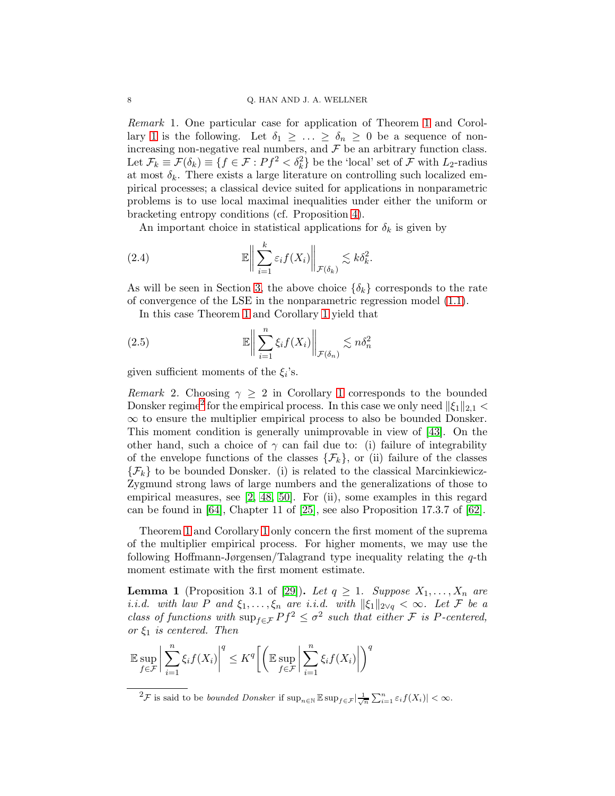Remark 1. One particular case for application of Theorem [1](#page-6-0) and Corol-lary [1](#page-6-2) is the following. Let  $\delta_1 \geq \ldots \geq \delta_n \geq 0$  be a sequence of nonincreasing non-negative real numbers, and  ${\mathcal F}$  be an arbitrary function class. Let  $\mathcal{F}_k \equiv \mathcal{F}(\delta_k) \equiv \{f \in \mathcal{F} : Pf^2 < \delta_k^2\}$  be the 'local' set of  $\mathcal{F}$  with  $L_2$ -radius at most  $\delta_k$ . There exists a large literature on controlling such localized empirical processes; a classical device suited for applications in nonparametric problems is to use local maximal inequalities under either the uniform or bracketing entropy conditions (cf. Proposition [4\)](#page-22-0).

An important choice in statistical applications for  $\delta_k$  is given by

(2.4) 
$$
\mathbb{E}\bigg\|\sum_{i=1}^k \varepsilon_i f(X_i)\bigg\|_{\mathcal{F}(\delta_k)} \lesssim k\delta_k^2.
$$

As will be seen in Section [3,](#page-11-0) the above choice  $\{\delta_k\}$  corresponds to the rate of convergence of the LSE in the nonparametric regression model [\(1.1\)](#page-0-0).

In this case Theorem [1](#page-6-0) and Corollary [1](#page-6-2) yield that

(2.5) 
$$
\mathbb{E}\bigg\|\sum_{i=1}^n \xi_i f(X_i)\bigg\|_{\mathcal{F}(\delta_n)} \lesssim n\delta_n^2
$$

given sufficient moments of the  $\xi_i$ 's.

Remark 2. Choosing  $\gamma \geq 2$  in Corollary [1](#page-6-2) corresponds to the bounded Donsker regime<sup>[2](#page-7-0)</sup> for the empirical process. In this case we only need  $\|\xi_1\|_{2,1}$  <  $\infty$  to ensure the multiplier empirical process to also be bounded Donsker. This moment condition is generally unimprovable in view of [\[43\]](#page-47-5). On the other hand, such a choice of  $\gamma$  can fail due to: (i) failure of integrability of the envelope functions of the classes  $\{\mathcal{F}_k\}$ , or (ii) failure of the classes  $\{\mathcal{F}_k\}$  to be bounded Donsker. (i) is related to the classical Marcinkiewicz-Zygmund strong laws of large numbers and the generalizations of those to empirical measures, see [\[2,](#page-45-1) [48,](#page-47-6) [50\]](#page-48-3). For (ii), some examples in this regard can be found in [\[64\]](#page-48-4), Chapter 11 of [\[25\]](#page-46-3), see also Proposition 17.3.7 of [\[62\]](#page-48-5).

Theorem [1](#page-6-0) and Corollary [1](#page-6-2) only concern the first moment of the suprema of the multiplier empirical process. For higher moments, we may use the following Hoffmann-Jørgensen/Talagrand type inequality relating the  $q$ -th moment estimate with the first moment estimate.

<span id="page-7-1"></span>**Lemma 1** (Proposition 3.1 of [\[29\]](#page-47-7)). Let  $q \geq 1$ . Suppose  $X_1, \ldots, X_n$  are i.i.d. with law P and  $\xi_1, \ldots, \xi_n$  are i.i.d. with  $\|\xi_1\|_{2\vee q} < \infty$ . Let F be a class of functions with  $\sup_{f \in \mathcal{F}} Pf^2 \leq \sigma^2$  such that either  $\mathcal F$  is P-centered, or  $\xi_1$  is centered. Then

$$
\mathbb{E}\sup_{f\in\mathcal{F}}\bigg|\sum_{i=1}^n\xi_if(X_i)\bigg|^q\leq K^q\bigg[\bigg(\mathbb{E}\sup_{f\in\mathcal{F}}\bigg|\sum_{i=1}^n\xi_if(X_i)\bigg|\bigg)^q
$$

<span id="page-7-0"></span> $2\mathcal{F}$  is said to be *bounded Donsker* if  $\sup_{n\in\mathbb{N}} \mathbb{E} \sup_{f \in \mathcal{F}} \left| \frac{1}{\sqrt{n}} \sum_{i=1}^n \varepsilon_i f(X_i) \right| < \infty$ .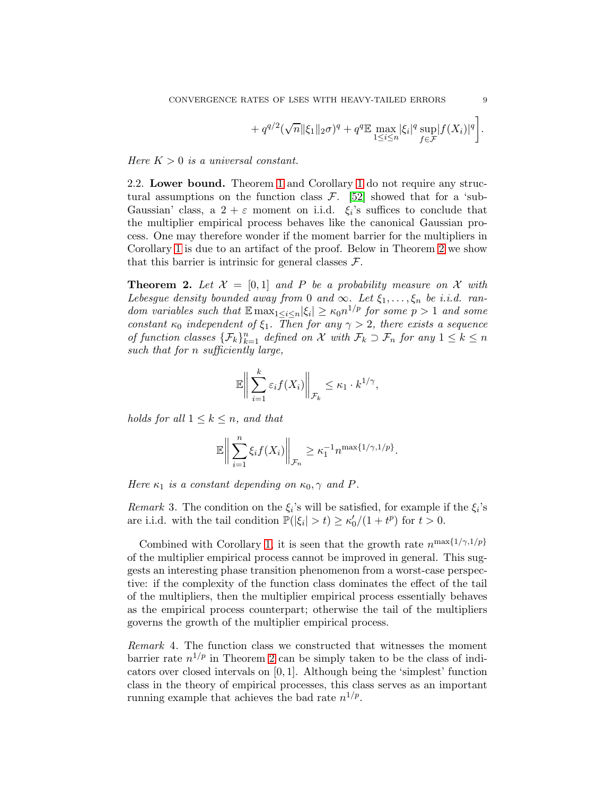$$
+ q^{q/2} (\sqrt{n} ||\xi_1||_2 \sigma)^q + q^q \mathbb{E} \max_{1 \le i \le n} |\xi_i|^q \sup_{f \in \mathcal{F}} |f(X_i)|^q \bigg].
$$

Here  $K > 0$  is a universal constant.

2.2. Lower bound. Theorem [1](#page-6-0) and Corollary [1](#page-6-2) do not require any structural assumptions on the function class  $\mathcal{F}$ . [\[52\]](#page-48-1) showed that for a 'sub-Gaussian' class, a  $2 + \varepsilon$  moment on i.i.d.  $\xi_i$ 's suffices to conclude that the multiplier empirical process behaves like the canonical Gaussian process. One may therefore wonder if the moment barrier for the multipliers in Corollary [1](#page-6-2) is due to an artifact of the proof. Below in Theorem [2](#page-8-0) we show that this barrier is intrinsic for general classes  $\mathcal{F}$ .

<span id="page-8-0"></span>**Theorem 2.** Let  $\mathcal{X} = [0,1]$  and P be a probability measure on X with Lebesgue density bounded away from 0 and  $\infty$ . Let  $\xi_1, \ldots, \xi_n$  be i.i.d. random variables such that  $\mathbb{E} \max_{1 \leq i \leq n} |\xi_i| \geq \kappa_0 n^{1/p}$  for some  $p > 1$  and some constant  $\kappa_0$  independent of  $\xi_1$ . Then for any  $\gamma > 2$ , there exists a sequence of function classes  $\{\mathcal{F}_k\}_{k=1}^n$  defined on X with  $\mathcal{F}_k \supset \mathcal{F}_n$  for any  $1 \leq k \leq n$ such that for n sufficiently large,

$$
\mathbb{E}\bigg\|\sum_{i=1}^k \varepsilon_i f(X_i)\bigg\|_{\mathcal{F}_k} \leq \kappa_1 \cdot k^{1/\gamma},
$$

holds for all  $1 \leq k \leq n$ , and that

$$
\mathbb{E}\bigg\|\sum_{i=1}^n \xi_i f(X_i)\bigg\|_{\mathcal{F}_n} \geq \kappa_1^{-1} n^{\max\{1/\gamma,1/p\}}.
$$

Here  $\kappa_1$  is a constant depending on  $\kappa_0$ ,  $\gamma$  and P.

Remark 3. The condition on the  $\xi_i$ 's will be satisfied, for example if the  $\xi_i$ 's are i.i.d. with the tail condition  $\mathbb{P}(|\xi_i| > t) \ge \kappa'_0/(1 + t^p)$  for  $t > 0$ .

Combined with Corollary [1,](#page-6-2) it is seen that the growth rate  $n^{\max\{1/\gamma,1/p\}}$ of the multiplier empirical process cannot be improved in general. This suggests an interesting phase transition phenomenon from a worst-case perspective: if the complexity of the function class dominates the effect of the tail of the multipliers, then the multiplier empirical process essentially behaves as the empirical process counterpart; otherwise the tail of the multipliers governs the growth of the multiplier empirical process.

Remark 4. The function class we constructed that witnesses the moment barrier rate  $n^{1/p}$  in Theorem [2](#page-8-0) can be simply taken to be the class of indicators over closed intervals on [0, 1]. Although being the 'simplest' function class in the theory of empirical processes, this class serves as an important running example that achieves the bad rate  $n^{1/p}$ .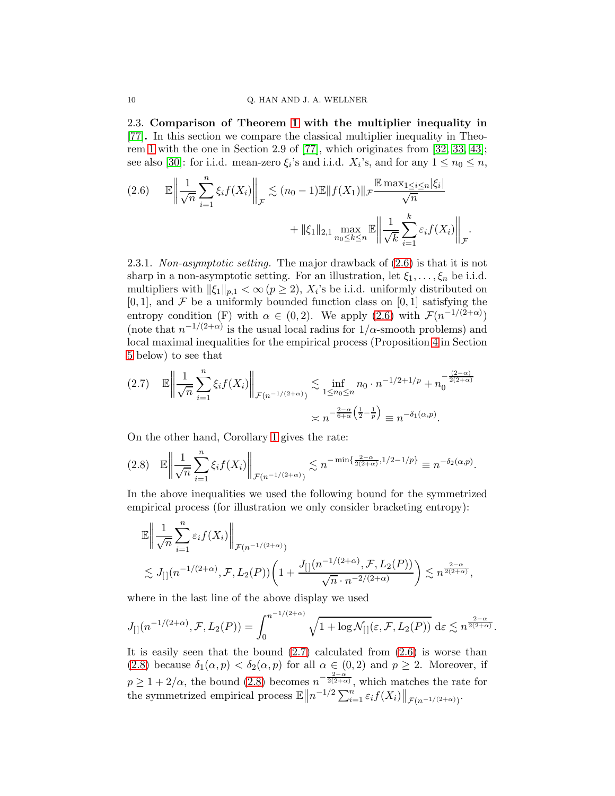<span id="page-9-0"></span>2.3. Comparison of Theorem [1](#page-6-0) with the multiplier inequality in [\[77\]](#page-49-1). In this section we compare the classical multiplier inequality in Theorem [1](#page-6-0) with the one in Section 2.9 of [\[77\]](#page-49-1), which originates from [\[32,](#page-47-8) [33,](#page-47-9) [43\]](#page-47-5); see also [\[30\]](#page-47-4): for i.i.d. mean-zero  $\xi_i$ 's and i.i.d.  $X_i$ 's, and for any  $1 \le n_0 \le n$ ,

<span id="page-9-1"></span>
$$
(2.6) \qquad \mathbb{E} \left\| \frac{1}{\sqrt{n}} \sum_{i=1}^{n} \xi_i f(X_i) \right\|_{\mathcal{F}} \lesssim (n_0 - 1) \mathbb{E} \| f(X_1) \|_{\mathcal{F}} \frac{\mathbb{E} \max_{1 \le i \le n} |\xi_i|}{\sqrt{n}} + \|\xi_1\|_{2,1} \max_{n_0 \le k \le n} \mathbb{E} \left\| \frac{1}{\sqrt{k}} \sum_{i=1}^{k} \varepsilon_i f(X_i) \right\|_{\mathcal{F}}.
$$

2.3.1. Non-asymptotic setting. The major drawback of [\(2.6\)](#page-9-1) is that it is not sharp in a non-asymptotic setting. For an illustration, let  $\xi_1, \ldots, \xi_n$  be i.i.d. multipliers with  $\|\xi_1\|_{p,1} < \infty (p \ge 2)$ ,  $X_i$ 's be i.i.d. uniformly distributed on  $[0, 1]$ , and F be a uniformly bounded function class on  $[0, 1]$  satisfying the entropy condition (F) with  $\alpha \in (0,2)$ . We apply  $(2.6)$  with  $\mathcal{F}(n^{-1/(2+\alpha)})$ (note that  $n^{-1/(2+\alpha)}$  is the usual local radius for  $1/\alpha$ -smooth problems) and local maximal inequalities for the empirical process (Proposition [4](#page-22-0) in Section [5](#page-21-0) below) to see that

<span id="page-9-2"></span>
$$
(2.7) \quad \mathbb{E}\left\|\frac{1}{\sqrt{n}}\sum_{i=1}^{n}\xi_{i}f(X_{i})\right\|_{\mathcal{F}(n^{-1/(2+\alpha)})} \lesssim \inf_{1\leq n_{0}\leq n} n_{0} \cdot n^{-1/2+1/p} + n_{0}^{-\frac{(2-\alpha)}{2(2+\alpha)}}
$$

$$
\asymp n^{-\frac{2-\alpha}{6+\alpha}\left(\frac{1}{2}-\frac{1}{p}\right)} \equiv n^{-\delta_{1}(\alpha,p)}.
$$

On the other hand, Corollary [1](#page-6-2) gives the rate:

<span id="page-9-3"></span>
$$
(2.8) \quad \mathbb{E}\left\|\frac{1}{\sqrt{n}}\sum_{i=1}^n\xi_if(X_i)\right\|_{\mathcal{F}(n^{-1/(2+\alpha)})}\lesssim n^{-\min\{\frac{2-\alpha}{2(2+\alpha)},1/2-1/p\}}\equiv n^{-\delta_2(\alpha,p)}.
$$

In the above inequalities we used the following bound for the symmetrized empirical process (for illustration we only consider bracketing entropy):

$$
\mathbb{E}\left\|\frac{1}{\sqrt{n}}\sum_{i=1}^n \varepsilon_i f(X_i)\right\|_{\mathcal{F}(n^{-1/(2+\alpha)})} \le J_{[1]}(n^{-1/(2+\alpha)}, \mathcal{F}, L_2(P))\left(1+\frac{J_{[1]}(n^{-1/(2+\alpha)}, \mathcal{F}, L_2(P))}{\sqrt{n}\cdot n^{-2/(2+\alpha)}}\right) \lesssim n^{\frac{2-\alpha}{2(2+\alpha)}},
$$

where in the last line of the above display we used

$$
J_{[}](n^{-1/(2+\alpha)}, \mathcal{F}, L_2(P)) = \int_0^{n^{-1/(2+\alpha)}} \sqrt{1 + \log \mathcal{N}_{[}](\varepsilon, \mathcal{F}, L_2(P))} \, \mathrm{d}\varepsilon \lesssim n^{\frac{2-\alpha}{2(2+\alpha)}}.
$$

It is easily seen that the bound  $(2.7)$  calculated from  $(2.6)$  is worse than [\(2.8\)](#page-9-3) because  $\delta_1(\alpha, p) < \delta_2(\alpha, p)$  for all  $\alpha \in (0, 2)$  and  $p \geq 2$ . Moreover, if  $p \geq 1 + 2/\alpha$ , the bound [\(2.8\)](#page-9-3) becomes  $n^{-\frac{2-\alpha}{2(2+\alpha)}}$ , which matches the rate for the symmetrized empirical process  $\mathbb{E} \|n^{-1/2} \sum_{i=1}^n \varepsilon_i f(X_i) \|_{\mathcal{F}(n^{-1/(2+\alpha)})}$ .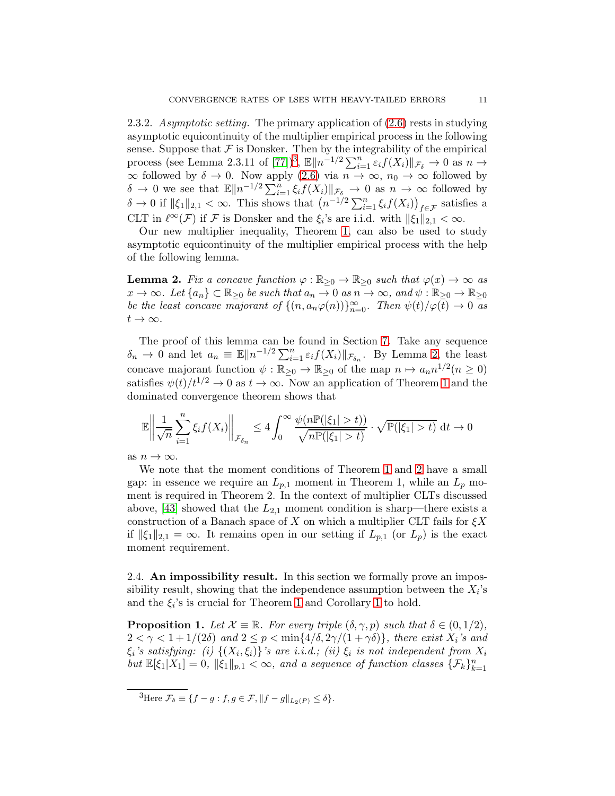2.3.2. Asymptotic setting. The primary application of  $(2.6)$  rests in studying asymptotic equicontinuity of the multiplier empirical process in the following sense. Suppose that  $\mathcal F$  is Donsker. Then by the integrability of the empirical process (see Lemma 2.3.11 of [\[77\]](#page-49-1))<sup>[3](#page-10-1)</sup>,  $\mathbb{E} \|n^{-1/2} \sum_{i=1}^n \varepsilon_i f(X_i) \| \mathcal{F}_\delta \to 0$  as  $n \to$  $\infty$  followed by  $\delta \to 0$ . Now apply [\(2.6\)](#page-9-1) via  $n \to \infty$ ,  $n_0 \to \infty$  followed by  $\delta \to 0$  we see that  $\mathbb{E} \|n^{-1/2} \sum_{i=1}^n \xi_i f(X_i) \|_{\mathcal{F}_{\delta}} \to 0$  as  $n \to \infty$  followed by  $\delta \to 0$  if  $\|\xi_1\|_{2,1} < \infty$ . This shows that  $\left(n^{-1/2}\sum_{i=1}^n \xi_i f(X_i)\right)_{f \in \mathcal{F}}$  satisfies a CLT in  $\ell^{\infty}(\mathcal{F})$  if  $\mathcal{F}$  is Donsker and the  $\xi_i$ 's are i.i.d. with  $\|\xi_1\|_{2,1} < \infty$ .

Our new multiplier inequality, Theorem [1,](#page-6-0) can also be used to study asymptotic equicontinuity of the multiplier empirical process with the help of the following lemma.

<span id="page-10-2"></span>**Lemma 2.** Fix a concave function  $\varphi : \mathbb{R}_{\geq 0} \to \mathbb{R}_{\geq 0}$  such that  $\varphi(x) \to \infty$  as  $x \to \infty$ . Let  $\{a_n\} \subset \mathbb{R}_{\geq 0}$  be such that  $a_n \to 0$  as  $n \to \infty$ , and  $\psi : \mathbb{R}_{\geq 0} \to \mathbb{R}_{\geq 0}$ be the least concave majorant of  $\{(n, a_n\varphi(n))\}_{n=0}^{\infty}$ . Then  $\psi(t)/\varphi(t) \to 0$  as  $t\to\infty$ .

The proof of this lemma can be found in Section [7.](#page-38-0) Take any sequence  $\delta_n \to 0$  and let  $a_n \equiv \mathbb{E} \|n^{-1/2} \sum_{i=1}^n \varepsilon_i f(X_i) \|_{\mathcal{F}_{\delta_n}}$ . By Lemma [2,](#page-10-2) the least concave majorant function  $\psi : \mathbb{R}_{\geq 0} \to \mathbb{R}_{\geq 0}$  of the map  $n \mapsto a_n n^{1/2} (n \geq 0)$ satisfies  $\psi(t)/t^{1/2} \to 0$  as  $t \to \infty$ . Now an application of Theorem [1](#page-6-0) and the dominated convergence theorem shows that

$$
\mathbb{E}\left\|\frac{1}{\sqrt{n}}\sum_{i=1}^n\xi_if(X_i)\right\|_{\mathcal{F}_{\delta_n}}\leq 4\int_0^\infty\frac{\psi(n\mathbb{P}(|\xi_1|>t))}{\sqrt{n\mathbb{P}(|\xi_1|>t)}}\cdot\sqrt{\mathbb{P}(|\xi_1|>t)}\,\mathrm{d}t\to 0
$$

as  $n \to \infty$ .

We note that the moment conditions of Theorem [1](#page-6-0) and [2](#page-8-0) have a small gap: in essence we require an  $L_{p,1}$  moment in Theorem 1, while an  $L_p$  moment is required in Theorem 2. In the context of multiplier CLTs discussed above, [\[43\]](#page-47-5) showed that the  $L_{2,1}$  moment condition is sharp—there exists a construction of a Banach space of X on which a multiplier CLT fails for  $\xi X$ if  $\|\xi_1\|_{2,1} = \infty$ . It remains open in our setting if  $L_{p,1}$  (or  $L_p$ ) is the exact moment requirement.

2.4. An impossibility result. In this section we formally prove an impossibility result, showing that the independence assumption between the  $X_i$ 's and the  $\xi_i$ 's is crucial for Theorem [1](#page-6-2) and Corollary 1 to hold.

<span id="page-10-0"></span>**Proposition 1.** Let  $\mathcal{X} \equiv \mathbb{R}$ . For every triple  $(\delta, \gamma, p)$  such that  $\delta \in (0, 1/2)$ ,  $2 < \gamma < 1 + 1/(2\delta)$  and  $2 \le p < \min\{4/\delta, 2\gamma/(1+\gamma\delta)\}\$ , there exist  $X_i$ 's and  $\xi_i$ 's satisfying: (i)  $\{(X_i, \xi_i)\}$ 's are i.i.d.; (ii)  $\xi_i$  is not independent from  $X_i$ but  $\mathbb{E}[\xi_1|X_1] = 0$ ,  $\|\xi_1\|_{p,1} < \infty$ , and a sequence of function classes  $\{\mathcal{F}_k\}_{k=1}^n$ 

<span id="page-10-1"></span><sup>&</sup>lt;sup>3</sup>Here  $\mathcal{F}_{\delta} \equiv \{f - g : f, g \in \mathcal{F}, ||f - g||_{L_2(P)} \leq \delta\}.$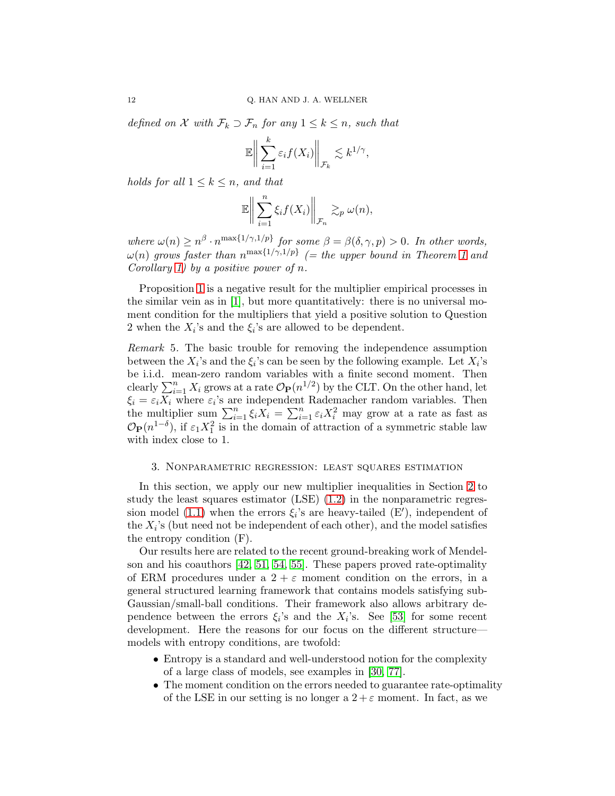defined on X with  $\mathcal{F}_k \supset \mathcal{F}_n$  for any  $1 \leq k \leq n$ , such that

$$
\mathbb{E}\bigg\|\sum_{i=1}^k \varepsilon_i f(X_i)\bigg\|_{\mathcal{F}_k} \lesssim k^{1/\gamma},
$$

holds for all  $1 \leq k \leq n$ , and that

$$
\mathbb{E}\bigg\|\sum_{i=1}^n \xi_i f(X_i)\bigg\|_{\mathcal{F}_n} \gtrsim_p \omega(n),
$$

where  $\omega(n) \geq n^{\beta} \cdot n^{\max\{1/\gamma,1/p\}}$  for some  $\beta = \beta(\delta,\gamma,p) > 0$ . In other words,  $\omega(n)$  grows faster than  $n^{\max\{1/\gamma,1/p\}}$  (= the upper bound in Theorem [1](#page-6-0) and Corollary [1\)](#page-6-2) by a positive power of  $n$ .

Proposition [1](#page-10-0) is a negative result for the multiplier empirical processes in the similar vein as in [\[1\]](#page-45-0), but more quantitatively: there is no universal moment condition for the multipliers that yield a positive solution to Question 2 when the  $X_i$ 's and the  $\xi_i$ 's are allowed to be dependent.

<span id="page-11-1"></span>Remark 5. The basic trouble for removing the independence assumption between the  $X_i$ 's and the  $\xi_i$ 's can be seen by the following example. Let  $X_i$ 's be i.i.d. mean-zero random variables with a finite second moment. Then clearly  $\sum_{i=1}^{n} X_i$  grows at a rate  $\mathcal{O}_P(n^{1/2})$  by the CLT. On the other hand, let  $\xi_i = \varepsilon_i X_i$  where  $\varepsilon_i$ 's are independent Rademacher random variables. Then the multiplier sum  $\sum_{i=1}^{n} \xi_i X_i = \sum_{i=1}^{n} \varepsilon_i X_i^2$  may grow at a rate as fast as  $\mathcal{O}_{\mathbf{P}}(n^{1-\delta})$ , if  $\varepsilon_1 X_1^2$  is in the domain of attraction of a symmetric stable law with index close to 1.

### <span id="page-11-0"></span>3. Nonparametric regression: least squares estimation

In this section, we apply our new multiplier inequalities in Section [2](#page-5-0) to study the least squares estimator (LSE) [\(1.2\)](#page-1-1) in the nonparametric regres-sion model [\(1.1\)](#page-0-0) when the errors  $\xi_i$ 's are heavy-tailed (E'), independent of the  $X_i$ 's (but need not be independent of each other), and the model satisfies the entropy condition (F).

Our results here are related to the recent ground-breaking work of Mendelson and his coauthors [\[42,](#page-47-10) [51,](#page-48-6) [54,](#page-48-7) [55\]](#page-48-8). These papers proved rate-optimality of ERM procedures under a  $2 + \varepsilon$  moment condition on the errors, in a general structured learning framework that contains models satisfying sub-Gaussian/small-ball conditions. Their framework also allows arbitrary dependence between the errors  $\xi_i$ 's and the  $X_i$ 's. See [\[53\]](#page-48-9) for some recent development. Here the reasons for our focus on the different structure models with entropy conditions, are twofold:

- Entropy is a standard and well-understood notion for the complexity of a large class of models, see examples in [\[30,](#page-47-4) [77\]](#page-49-1).
- The moment condition on the errors needed to guarantee rate-optimality of the LSE in our setting is no longer a  $2 + \varepsilon$  moment. In fact, as we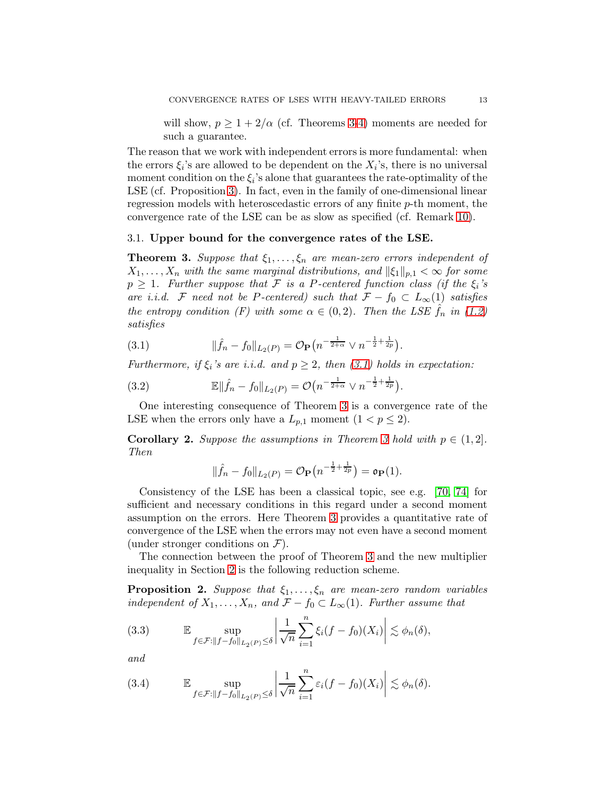will show,  $p \geq 1 + 2/\alpha$  (cf. Theorems [3](#page-12-0)[-4\)](#page-14-0) moments are needed for such a guarantee.

The reason that we work with independent errors is more fundamental: when the errors  $\xi_i$ 's are allowed to be dependent on the  $X_i$ 's, there is no universal moment condition on the  $\xi_i$ 's alone that guarantees the rate-optimality of the LSE (cf. Proposition [3\)](#page-17-0). In fact, even in the family of one-dimensional linear regression models with heteroscedastic errors of any finite p-th moment, the convergence rate of the LSE can be as slow as specified (cf. Remark [10\)](#page-17-1).

### 3.1. Upper bound for the convergence rates of the LSE.

<span id="page-12-0"></span>**Theorem 3.** Suppose that  $\xi_1, \ldots, \xi_n$  are mean-zero errors independent of  $X_1, \ldots, X_n$  with the same marginal distributions, and  $\|\xi_1\|_{p,1} < \infty$  for some  $p \geq 1$ . Further suppose that F is a P-centered function class (if the  $\xi_i$ 's are i.i.d. F need not be P-centered) such that  $\mathcal{F} - f_0 \subset L_\infty(1)$  satisfies the entropy condition (F) with some  $\alpha \in (0,2)$ . Then the LSE  $f_n$  in [\(1.2\)](#page-1-1) satisfies

<span id="page-12-1"></span>(3.1) 
$$
\|\hat{f}_n - f_0\|_{L_2(P)} = \mathcal{O}_{\mathbf{P}}\left(n^{-\frac{1}{2+\alpha}} \vee n^{-\frac{1}{2} + \frac{1}{2p}}\right).
$$

Furthermore, if  $\xi_i$ 's are i.i.d. and  $p \geq 2$ , then [\(3.1\)](#page-12-1) holds in expectation:

(3.2) 
$$
\mathbb{E} \|\hat{f}_n - f_0\|_{L_2(P)} = \mathcal{O}\big(n^{-\frac{1}{2+\alpha}} \vee n^{-\frac{1}{2} + \frac{1}{2p}}\big).
$$

One interesting consequence of Theorem [3](#page-12-0) is a convergence rate of the LSE when the errors only have a  $L_{p,1}$  moment  $(1 < p \leq 2)$ .

**Corollary 2.** Suppose the assumptions in Theorem [3](#page-12-0) hold with  $p \in (1, 2]$ . Then

$$
\|\hat{f}_n - f_0\|_{L_2(P)} = \mathcal{O}_{\mathbf{P}}\left(n^{-\frac{1}{2} + \frac{1}{2p}}\right) = \mathfrak{o}_{\mathbf{P}}(1).
$$

Consistency of the LSE has been a classical topic, see e.g. [\[70,](#page-48-10) [74\]](#page-49-2) for sufficient and necessary conditions in this regard under a second moment assumption on the errors. Here Theorem [3](#page-12-0) provides a quantitative rate of convergence of the LSE when the errors may not even have a second moment (under stronger conditions on  $\mathcal{F}$ ).

The connection between the proof of Theorem [3](#page-12-0) and the new multiplier inequality in Section [2](#page-5-0) is the following reduction scheme.

<span id="page-12-4"></span>**Proposition 2.** Suppose that  $\xi_1, \ldots, \xi_n$  are mean-zero random variables independent of  $X_1, \ldots, X_n$ , and  $\mathcal{F} - f_0 \subset L_\infty(1)$ . Further assume that

<span id="page-12-2"></span>(3.3) 
$$
\mathbb{E} \sup_{f \in \mathcal{F}: ||f - f_0||_{L_2(P)}} \left| \frac{1}{\sqrt{n}} \sum_{i=1}^n \xi_i (f - f_0)(X_i) \right| \lesssim \phi_n(\delta),
$$

and

<span id="page-12-3"></span>(3.4) 
$$
\mathbb{E} \sup_{f \in \mathcal{F}: ||f - f_0||_{L_2(P)}} \left| \frac{1}{\sqrt{n}} \sum_{i=1}^n \varepsilon_i (f - f_0)(X_i) \right| \lesssim \phi_n(\delta).
$$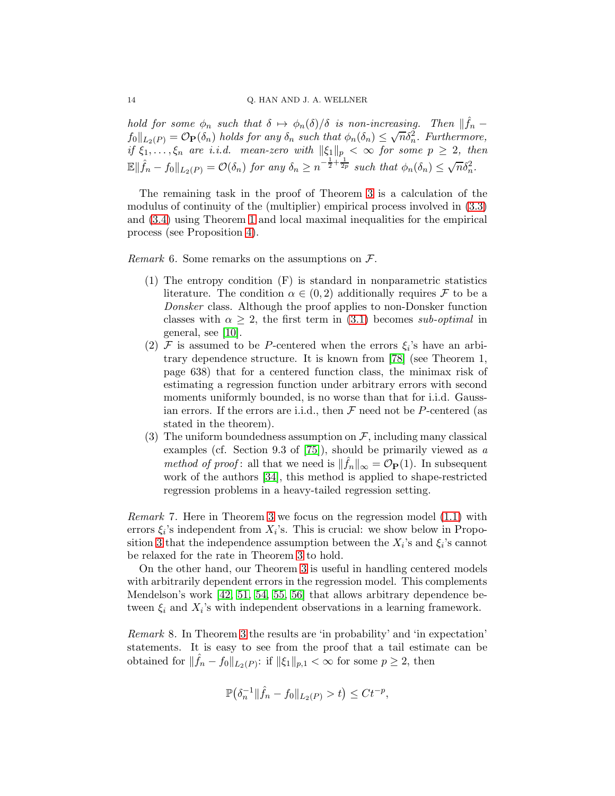hold for some  $\phi_n$  such that  $\delta \mapsto \phi_n(\delta)/\delta$  is non-increasing. Then  $\|\hat{f}_n$  $f_0\|_{L_2(P)} = \mathcal{O}_{\mathbf{P}}(\delta_n)$  holds for any  $\delta_n$  such that  $\phi_n(\delta_n) \leq \sqrt{n}\delta_n^2$ . Furthermore, if  $\xi_1, \ldots, \xi_n$  are i.i.d. mean-zero with  $\|\xi_1\|_p < \infty$  for some  $p \geq 2$ , then  $\mathbb{E} \|\hat{f}_n - f_0\|_{L_2(P)} = \mathcal{O}(\delta_n)$  for any  $\delta_n \geq n^{-\frac{1}{2} + \frac{1}{2p}}$  such that  $\phi_n(\delta_n) \leq \sqrt{n}\delta_n^2$ .

The remaining task in the proof of Theorem [3](#page-12-0) is a calculation of the modulus of continuity of the (multiplier) empirical process involved in [\(3.3\)](#page-12-2) and [\(3.4\)](#page-12-3) using Theorem [1](#page-6-0) and local maximal inequalities for the empirical process (see Proposition [4\)](#page-22-0).

*Remark* 6. Some remarks on the assumptions on  $\mathcal{F}$ .

- (1) The entropy condition (F) is standard in nonparametric statistics literature. The condition  $\alpha \in (0, 2)$  additionally requires F to be a Donsker class. Although the proof applies to non-Donsker function classes with  $\alpha \geq 2$ , the first term in [\(3.1\)](#page-12-1) becomes sub-optimal in general, see [\[10\]](#page-46-0).
- (2)  $\mathcal F$  is assumed to be P-centered when the errors  $\xi_i$ 's have an arbitrary dependence structure. It is known from [\[78\]](#page-49-3) (see Theorem 1, page 638) that for a centered function class, the minimax risk of estimating a regression function under arbitrary errors with second moments uniformly bounded, is no worse than that for i.i.d. Gaussian errors. If the errors are i.i.d., then  $\mathcal F$  need not be P-centered (as stated in the theorem).
- (3) The uniform boundedness assumption on  $\mathcal F$ , including many classical examples (cf. Section 9.3 of [\[75\]](#page-49-0)), should be primarily viewed as a method of proof: all that we need is  $\|\hat{f}_n\|_{\infty} = \mathcal{O}_{\mathbf{P}}(1)$ . In subsequent work of the authors [\[34\]](#page-47-11), this method is applied to shape-restricted regression problems in a heavy-tailed regression setting.

Remark 7. Here in Theorem [3](#page-12-0) we focus on the regression model [\(1.1\)](#page-0-0) with errors  $\xi_i$ 's independent from  $X_i$ 's. This is crucial: we show below in Propo-sition [3](#page-17-0) that the independence assumption between the  $X_i$ 's and  $\xi_i$ 's cannot be relaxed for the rate in Theorem [3](#page-12-0) to hold.

On the other hand, our Theorem [3](#page-12-0) is useful in handling centered models with arbitrarily dependent errors in the regression model. This complements Mendelson's work [\[42,](#page-47-10) [51,](#page-48-6) [54,](#page-48-7) [55,](#page-48-8) [56\]](#page-48-11) that allows arbitrary dependence between  $\xi_i$  and  $X_i$ 's with independent observations in a learning framework.

Remark 8. In Theorem [3](#page-12-0) the results are 'in probability' and 'in expectation' statements. It is easy to see from the proof that a tail estimate can be obtained for  $\|\hat{f}_n - f_0\|_{L_2(P)}$ : if  $\|\xi_1\|_{p,1} < \infty$  for some  $p \ge 2$ , then

$$
\mathbb{P}(\delta_n^{-1} \|\hat{f}_n - f_0\|_{L_2(P)} > t) \leq Ct^{-p},
$$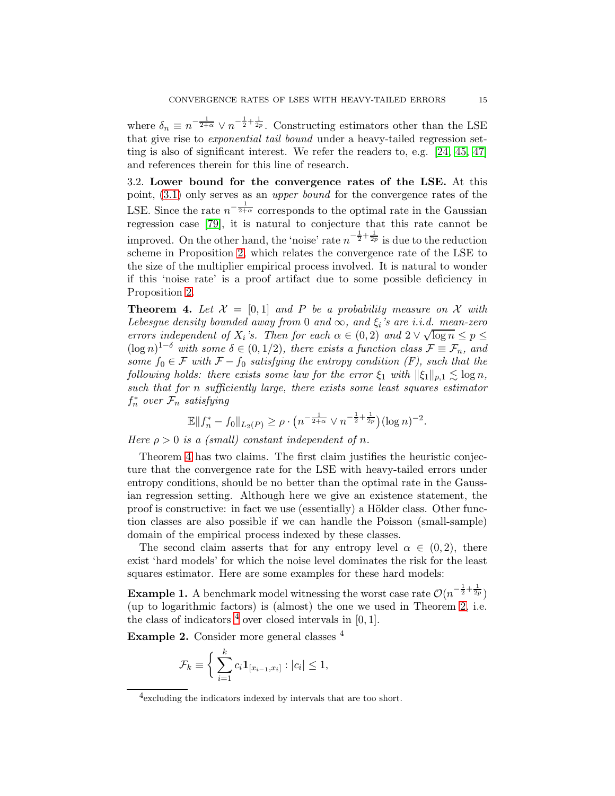where  $\delta_n \equiv n^{-\frac{1}{2+\alpha}} \vee n^{-\frac{1}{2}+\frac{1}{2p}}$ . Constructing estimators other than the LSE that give rise to exponential tail bound under a heavy-tailed regression setting is also of significant interest. We refer the readers to, e.g. [\[24,](#page-46-4) [45,](#page-47-12) [47\]](#page-47-13) and references therein for this line of research.

3.2. Lower bound for the convergence rates of the LSE. At this point, [\(3.1\)](#page-12-1) only serves as an upper bound for the convergence rates of the LSE. Since the rate  $n^{-\frac{1}{2+\alpha}}$  corresponds to the optimal rate in the Gaussian regression case [\[79\]](#page-49-4), it is natural to conjecture that this rate cannot be improved. On the other hand, the 'noise' rate  $n^{-\frac{1}{2} + \frac{1}{2p}}$  is due to the reduction scheme in Proposition [2,](#page-12-4) which relates the convergence rate of the LSE to the size of the multiplier empirical process involved. It is natural to wonder if this 'noise rate' is a proof artifact due to some possible deficiency in Proposition [2.](#page-12-4)

<span id="page-14-0"></span>**Theorem 4.** Let  $\mathcal{X} = [0,1]$  and P be a probability measure on X with Lebesgue density bounded away from 0 and  $\infty$ , and  $\xi_i$ 's are i.i.d. mean-zero errors independent of  $X_i$ 's. Then for each  $\alpha \in (0, 2)$  and  $2 \vee \sqrt{\log n} \le p \le$  $(\log n)^{1-\delta}$  with some  $\delta \in (0,1/2)$ , there exists a function class  $\mathcal{F} \equiv \mathcal{F}_n$ , and some  $f_0 \in \mathcal{F}$  with  $\mathcal{F} - f_0$  satisfying the entropy condition (F), such that the following holds: there exists some law for the error  $\xi_1$  with  $\|\xi_1\|_{p,1} \lesssim \log n$ , such that for n sufficiently large, there exists some least squares estimator  $f_n^*$  over  $\mathcal{F}_n$  satisfying

$$
\mathbb{E}||f_n^* - f_0||_{L_2(P)} \ge \rho \cdot \left(n^{-\frac{1}{2+\alpha}} \vee n^{-\frac{1}{2} + \frac{1}{2p}}\right) (\log n)^{-2}.
$$

Here  $\rho > 0$  is a (small) constant independent of n.

Theorem [4](#page-14-0) has two claims. The first claim justifies the heuristic conjecture that the convergence rate for the LSE with heavy-tailed errors under entropy conditions, should be no better than the optimal rate in the Gaussian regression setting. Although here we give an existence statement, the proof is constructive: in fact we use (essentially) a Hölder class. Other function classes are also possible if we can handle the Poisson (small-sample) domain of the empirical process indexed by these classes.

The second claim asserts that for any entropy level  $\alpha \in (0, 2)$ , there exist 'hard models' for which the noise level dominates the risk for the least squares estimator. Here are some examples for these hard models:

**Example 1.** A benchmark model witnessing the worst case rate  $\mathcal{O}(n^{-\frac{1}{2} + \frac{1}{2p}})$ (up to logarithmic factors) is (almost) the one we used in Theorem [2,](#page-8-0) i.e. the class of indicators  $<sup>4</sup>$  $<sup>4</sup>$  $<sup>4</sup>$  over closed intervals in [0, 1].</sup>

Example 2. Consider more general classes <sup>4</sup>

$$
\mathcal{F}_k \equiv \bigg\{ \sum_{i=1}^k c_i \mathbf{1}_{[x_{i-1}, x_i]} : |c_i| \le 1,
$$

<span id="page-14-1"></span><sup>4</sup> excluding the indicators indexed by intervals that are too short.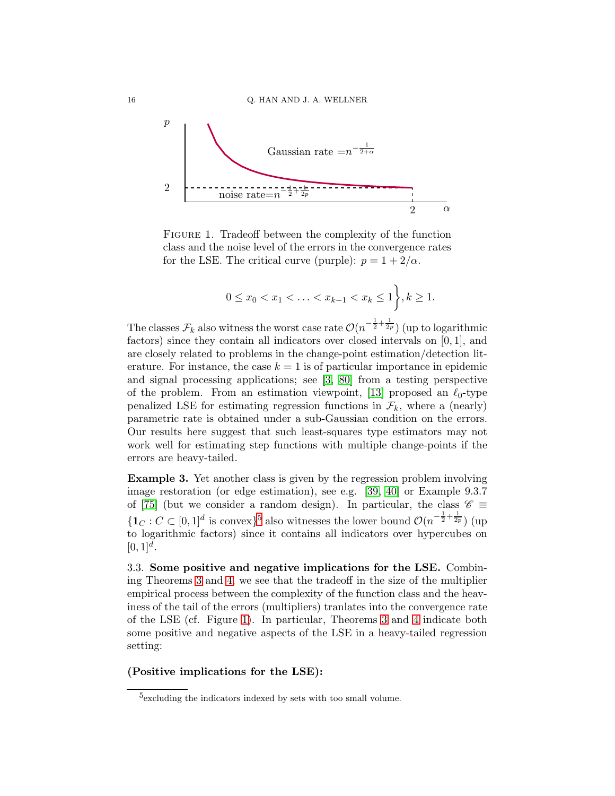

FIGURE 1. Tradeoff between the complexity of the function class and the noise level of the errors in the convergence rates for the LSE. The critical curve (purple):  $p = 1 + 2/\alpha$ .

<span id="page-15-1"></span>
$$
0 \le x_0 < x_1 < \ldots < x_{k-1} < x_k \le 1, \}, k \ge 1.
$$

The classes  $\mathcal{F}_k$  also witness the worst case rate  $\mathcal{O}(n^{-\frac{1}{2} + \frac{1}{2p}})$  (up to logarithmic factors) since they contain all indicators over closed intervals on  $[0, 1]$ , and are closely related to problems in the change-point estimation/detection literature. For instance, the case  $k = 1$  is of particular importance in epidemic and signal processing applications; see [\[3,](#page-45-2) [80\]](#page-49-5) from a testing perspective of the problem. From an estimation viewpoint, [\[13\]](#page-46-5) proposed an  $\ell_0$ -type penalized LSE for estimating regression functions in  $\mathcal{F}_k$ , where a (nearly) parametric rate is obtained under a sub-Gaussian condition on the errors. Our results here suggest that such least-squares type estimators may not work well for estimating step functions with multiple change-points if the errors are heavy-tailed.

Example 3. Yet another class is given by the regression problem involving image restoration (or edge estimation), see e.g. [\[39,](#page-47-14) [40\]](#page-47-15) or Example 9.3.7 of [\[75\]](#page-49-0) (but we consider a random design). In particular, the class  $\mathscr{C} \equiv$  $\{1_C : C \subset [0,1]^d \text{ is convex}\}^5$  $\{1_C : C \subset [0,1]^d \text{ is convex}\}^5$  also witnesses the lower bound  $\mathcal{O}(n^{-\frac{1}{2} + \frac{1}{2p}})$  (up to logarithmic factors) since it contains all indicators over hypercubes on  $[0, 1]^d$ .

3.3. Some positive and negative implications for the LSE. Combining Theorems [3](#page-12-0) and [4,](#page-14-0) we see that the tradeoff in the size of the multiplier empirical process between the complexity of the function class and the heaviness of the tail of the errors (multipliers) tranlates into the convergence rate of the LSE (cf. Figure [1\)](#page-15-1). In particular, Theorems [3](#page-12-0) and [4](#page-14-0) indicate both some positive and negative aspects of the LSE in a heavy-tailed regression setting:

# (Positive implications for the LSE):

<span id="page-15-0"></span><sup>5</sup> excluding the indicators indexed by sets with too small volume.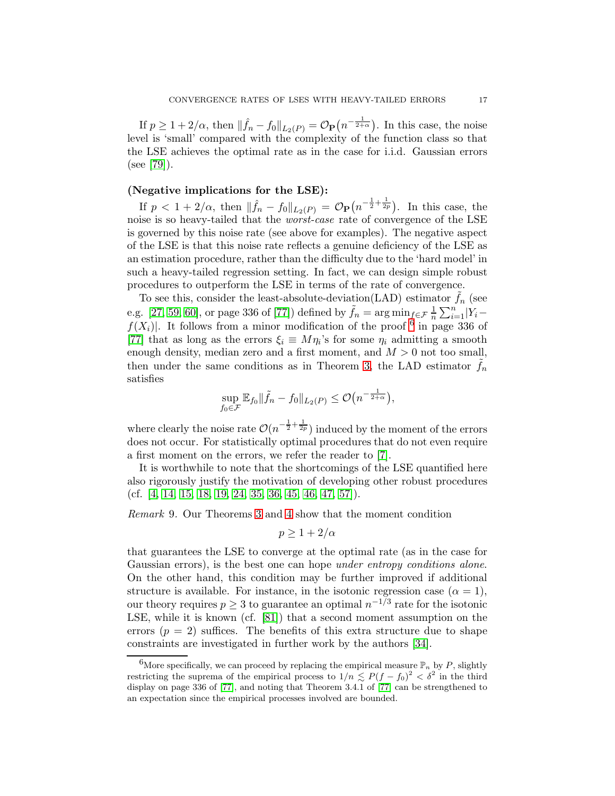If  $p \geq 1 + 2/\alpha$ , then  $\|\hat{f}_n - f_0\|_{L_2(P)} = \mathcal{O}_{\mathbf{P}}\left(n^{-\frac{1}{2+\alpha}}\right)$ . In this case, the noise level is 'small' compared with the complexity of the function class so that the LSE achieves the optimal rate as in the case for i.i.d. Gaussian errors (see [\[79\]](#page-49-4)).

# (Negative implications for the LSE):

If  $p < 1 + 2/\alpha$ , then  $\|\hat{f}_n - f_0\|_{L_2(P)} = \mathcal{O}_P(n^{-\frac{1}{2} + \frac{1}{2p}})$ . In this case, the noise is so heavy-tailed that the *worst-case* rate of convergence of the LSE is governed by this noise rate (see above for examples). The negative aspect of the LSE is that this noise rate reflects a genuine deficiency of the LSE as an estimation procedure, rather than the difficulty due to the 'hard model' in such a heavy-tailed regression setting. In fact, we can design simple robust procedures to outperform the LSE in terms of the rate of convergence.

To see this, consider the least-absolute-deviation(LAD) estimator  $f_n$  (see e.g. [\[27,](#page-47-16) [59,](#page-48-12) [60\]](#page-48-13), or page 336 of [\[77\]](#page-49-1)) defined by  $\tilde{f}_n = \arg\min_{f \in \mathcal{F}} \frac{1}{n}$  $\frac{1}{n}\sum_{i=1}^n|Y_i$  $f(X_i)$ . It follows from a minor modification of the proof <sup>[6](#page-16-0)</sup> in page 336 of [\[77\]](#page-49-1) that as long as the errors  $\xi_i \equiv M\eta_i$ 's for some  $\eta_i$  admitting a smooth enough density, median zero and a first moment, and  $M > 0$  not too small, then under the same conditions as in Theorem [3,](#page-12-0) the LAD estimator  $f_n$ satisfies

$$
\sup_{f_0 \in \mathcal{F}} \mathbb{E}_{f_0} \|\tilde{f}_n - f_0\|_{L_2(P)} \leq \mathcal{O}\big(n^{-\frac{1}{2+\alpha}}\big),
$$

where clearly the noise rate  $\mathcal{O}(n^{-\frac{1}{2} + \frac{1}{2p}})$  induced by the moment of the errors does not occur. For statistically optimal procedures that do not even require a first moment on the errors, we refer the reader to [\[7\]](#page-46-6).

It is worthwhile to note that the shortcomings of the LSE quantified here also rigorously justify the motivation of developing other robust procedures (cf.  $[4, 14, 15, 18, 19, 24, 35, 36, 45, 46, 47, 57]$  $[4, 14, 15, 18, 19, 24, 35, 36, 45, 46, 47, 57]$  $[4, 14, 15, 18, 19, 24, 35, 36, 45, 46, 47, 57]$  $[4, 14, 15, 18, 19, 24, 35, 36, 45, 46, 47, 57]$  $[4, 14, 15, 18, 19, 24, 35, 36, 45, 46, 47, 57]$  $[4, 14, 15, 18, 19, 24, 35, 36, 45, 46, 47, 57]$  $[4, 14, 15, 18, 19, 24, 35, 36, 45, 46, 47, 57]$  $[4, 14, 15, 18, 19, 24, 35, 36, 45, 46, 47, 57]$  $[4, 14, 15, 18, 19, 24, 35, 36, 45, 46, 47, 57]$  $[4, 14, 15, 18, 19, 24, 35, 36, 45, 46, 47, 57]$  $[4, 14, 15, 18, 19, 24, 35, 36, 45, 46, 47, 57]$  $[4, 14, 15, 18, 19, 24, 35, 36, 45, 46, 47, 57]$ ).

Remark 9. Our Theorems [3](#page-12-0) and [4](#page-14-0) show that the moment condition

$$
p \ge 1 + 2/\alpha
$$

that guarantees the LSE to converge at the optimal rate (as in the case for Gaussian errors), is the best one can hope *under entropy conditions alone*. On the other hand, this condition may be further improved if additional structure is available. For instance, in the isotonic regression case  $(\alpha = 1)$ , our theory requires  $p \geq 3$  to guarantee an optimal  $n^{-1/3}$  rate for the isotonic LSE, while it is known (cf. [\[81\]](#page-49-6)) that a second moment assumption on the errors ( $p = 2$ ) suffices. The benefits of this extra structure due to shape constraints are investigated in further work by the authors [\[34\]](#page-47-11).

<span id="page-16-0"></span><sup>&</sup>lt;sup>6</sup>More specifically, we can proceed by replacing the empirical measure  $\mathbb{P}_n$  by P, slightly restricting the suprema of the empirical process to  $1/n \lesssim P(f - f_0)^2 < \delta^2$  in the third display on page 336 of [\[77\]](#page-49-1), and noting that Theorem 3.4.1 of [\[77\]](#page-49-1) can be strengthened to an expectation since the empirical processes involved are bounded.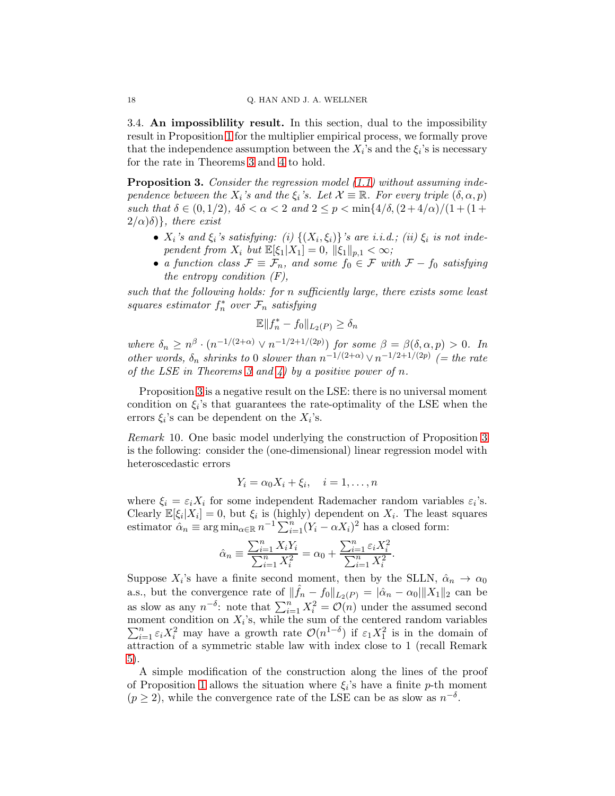3.4. An impossiblility result. In this section, dual to the impossibility result in Proposition [1](#page-10-0) for the multiplier empirical process, we formally prove that the independence assumption between the  $X_i$ 's and the  $\xi_i$ 's is necessary for the rate in Theorems [3](#page-12-0) and [4](#page-14-0) to hold.

<span id="page-17-0"></span>**Proposition 3.** Consider the regression model [\(1.1\)](#page-0-0) without assuming independence between the  $X_i$ 's and the  $\xi_i$ 's. Let  $\mathcal{X} \equiv \mathbb{R}$ . For every triple  $(\delta, \alpha, p)$ such that  $\delta \in (0, 1/2)$ ,  $4\delta < \alpha < 2$  and  $2 \le p < \min\{4/\delta, (2+4/\alpha)/(1+(1+$  $2/\alpha(\delta)$ , there exist

- $X_i$ 's and  $\xi_i$ 's satisfying: (i)  $\{(X_i, \xi_i)\}$ 's are i.i.d.; (ii)  $\xi_i$  is not independent from  $X_i$  but  $\mathbb{E}[\xi_1|X_1] = 0$ ,  $\|\xi_1\|_{p,1} < \infty$ ;
- a function class  $\mathcal{F} \equiv \mathcal{F}_n$ , and some  $f_0 \in \mathcal{F}$  with  $\mathcal{F} f_0$  satisfying the entropy condition  $(F)$ ,

such that the following holds: for n sufficiently large, there exists some least squares estimator  $f_n^*$  over  $\mathcal{F}_n$  satisfying

$$
\mathbb{E}||f_n^* - f_0||_{L_2(P)} \ge \delta_n
$$

where  $\delta_n \geq n^{\beta} \cdot (n^{-1/(2+\alpha)} \vee n^{-1/2+1/(2p)})$  for some  $\beta = \beta(\delta, \alpha, p) > 0$ . In other words,  $\delta_n$  shrinks to 0 slower than  $n^{-1/(2+\alpha)} \vee n^{-1/2+1/(2p)}$  (= the rate of the LSE in Theorems [3](#page-12-0) and  $4)$  by a positive power of n.

Proposition [3](#page-17-0) is a negative result on the LSE: there is no universal moment condition on  $\xi_i$ 's that guarantees the rate-optimality of the LSE when the errors  $\xi_i$ 's can be dependent on the  $X_i$ 's.

<span id="page-17-1"></span>Remark 10. One basic model underlying the construction of Proposition [3](#page-17-0) is the following: consider the (one-dimensional) linear regression model with heteroscedastic errors

$$
Y_i = \alpha_0 X_i + \xi_i, \quad i = 1, \dots, n
$$

where  $\xi_i = \varepsilon_i X_i$  for some independent Rademacher random variables  $\varepsilon_i$ 's. Clearly  $\mathbb{E}[\xi_i|X_i] = 0$ , but  $\xi_i$  is (highly) dependent on  $X_i$ . The least squares estimator  $\hat{\alpha}_n \equiv \arg \min_{\alpha \in \mathbb{R}} n^{-1} \sum_{i=1}^n (Y_i - \alpha X_i)^2$  has a closed form:

$$
\hat{\alpha}_n \equiv \frac{\sum_{i=1}^n X_i Y_i}{\sum_{i=1}^n X_i^2} = \alpha_0 + \frac{\sum_{i=1}^n \varepsilon_i X_i^2}{\sum_{i=1}^n X_i^2}.
$$

Suppose  $X_i$ 's have a finite second moment, then by the SLLN,  $\hat{\alpha}_n \to \alpha_0$ a.s., but the convergence rate of  $\|\hat{f}_n - f_0\|_{L_2(P)} = |\hat{\alpha}_n - \alpha_0| \|X_1\|_2$  can be as slow as any  $n^{-\delta}$ : note that  $\sum_{i=1}^n X_i^2 = \mathcal{O}(n)$  under the assumed second moment condition on  $X_i$  $\sum$ oment condition on  $X_i$ 's, while the sum of the centered random variables  $\sum_{i=1}^n \varepsilon_i X_i^2$  may have a growth rate  $\mathcal{O}(n^{1-\delta})$  if  $\varepsilon_1 X_1^2$  is in the domain of attraction of a symmetric stable law with index close to 1 (recall Remark [5\)](#page-11-1).

A simple modification of the construction along the lines of the proof of Proposition [1](#page-10-0) allows the situation where  $\xi_i$ 's have a finite p-th moment  $(p \ge 2)$ , while the convergence rate of the LSE can be as slow as  $n^{-\delta}$ .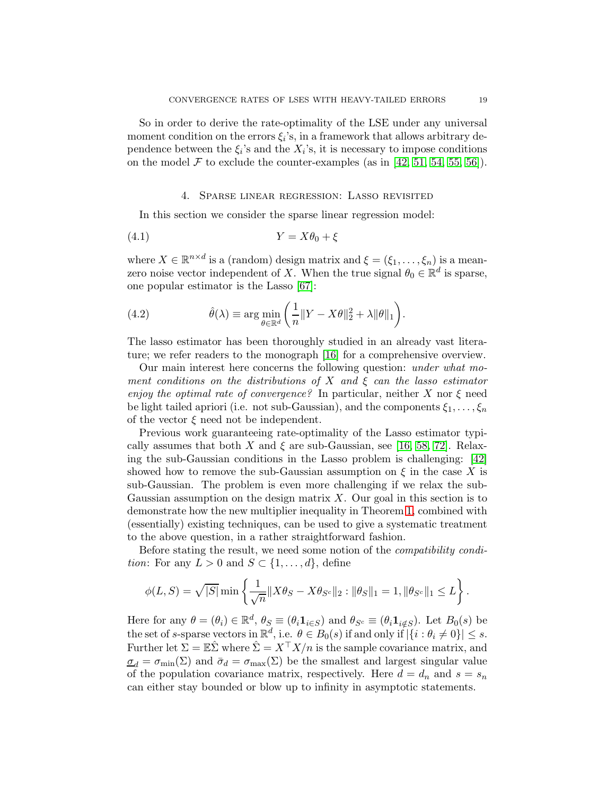So in order to derive the rate-optimality of the LSE under any universal moment condition on the errors  $\xi_i$ 's, in a framework that allows arbitrary dependence between the  $\xi_i$ 's and the  $X_i$ 's, it is necessary to impose conditions on the model  $\mathcal F$  to exclude the counter-examples (as in [\[42,](#page-47-10) [51,](#page-48-6) [54,](#page-48-7) [55,](#page-48-8) [56\]](#page-48-11)).

#### 4. Sparse linear regression: Lasso revisited

<span id="page-18-0"></span>In this section we consider the sparse linear regression model:

$$
(4.1) \t\t Y = X\theta_0 + \xi
$$

where  $X \in \mathbb{R}^{n \times d}$  is a (random) design matrix and  $\xi = (\xi_1, \ldots, \xi_n)$  is a meanzero noise vector independent of X. When the true signal  $\theta_0 \in \mathbb{R}^d$  is sparse, one popular estimator is the Lasso [\[67\]](#page-48-15):

(4.2) 
$$
\hat{\theta}(\lambda) \equiv \arg \min_{\theta \in \mathbb{R}^d} \left( \frac{1}{n} \| Y - X\theta \|_2^2 + \lambda \| \theta \|_1 \right).
$$

The lasso estimator has been thoroughly studied in an already vast literature; we refer readers to the monograph [\[16\]](#page-46-12) for a comprehensive overview.

Our main interest here concerns the following question: under what moment conditions on the distributions of X and  $\xi$  can the lasso estimator enjoy the optimal rate of convergence? In particular, neither X nor  $\xi$  need be light tailed apriori (i.e. not sub-Gaussian), and the components  $\xi_1, \ldots, \xi_n$ of the vector  $\xi$  need not be independent.

Previous work guaranteeing rate-optimality of the Lasso estimator typically assumes that both X and  $\xi$  are sub-Gaussian, see [\[16,](#page-46-12) [58,](#page-48-16) [72\]](#page-49-7). Relaxing the sub-Gaussian conditions in the Lasso problem is challenging: [\[42\]](#page-47-10) showed how to remove the sub-Gaussian assumption on  $\xi$  in the case X is sub-Gaussian. The problem is even more challenging if we relax the sub-Gaussian assumption on the design matrix  $X$ . Our goal in this section is to demonstrate how the new multiplier inequality in Theorem [1,](#page-6-0) combined with (essentially) existing techniques, can be used to give a systematic treatment to the above question, in a rather straightforward fashion.

Before stating the result, we need some notion of the compatibility condition: For any  $L > 0$  and  $S \subset \{1, \ldots, d\}$ , define

$$
\phi(L, S) = \sqrt{|S|} \min \left\{ \frac{1}{\sqrt{n}} \|X \theta_S - X \theta_{S^c}\|_2 : \|\theta_S\|_1 = 1, \|\theta_{S^c}\|_1 \le L \right\}.
$$

Here for any  $\theta = (\theta_i) \in \mathbb{R}^d$ ,  $\theta_S \equiv (\theta_i \mathbf{1}_{i \in S})$  and  $\theta_{S^c} \equiv (\theta_i \mathbf{1}_{i \notin S})$ . Let  $B_0(s)$  be the set of s-sparse vectors in  $\mathbb{R}^d$ , i.e.  $\theta \in B_0(s)$  if and only if  $|\{i : \theta_i \neq 0\}| \leq s$ . Further let  $\Sigma = \mathbb{E} \hat{\Sigma}$  where  $\hat{\Sigma} = X^{\top} X/n$  is the sample covariance matrix, and  $\underline{\sigma}_d = \sigma_{\min}(\Sigma)$  and  $\bar{\sigma}_d = \sigma_{\max}(\Sigma)$  be the smallest and largest singular value of the population covariance matrix, respectively. Here  $d = d_n$  and  $s = s_n$ can either stay bounded or blow up to infinity in asymptotic statements.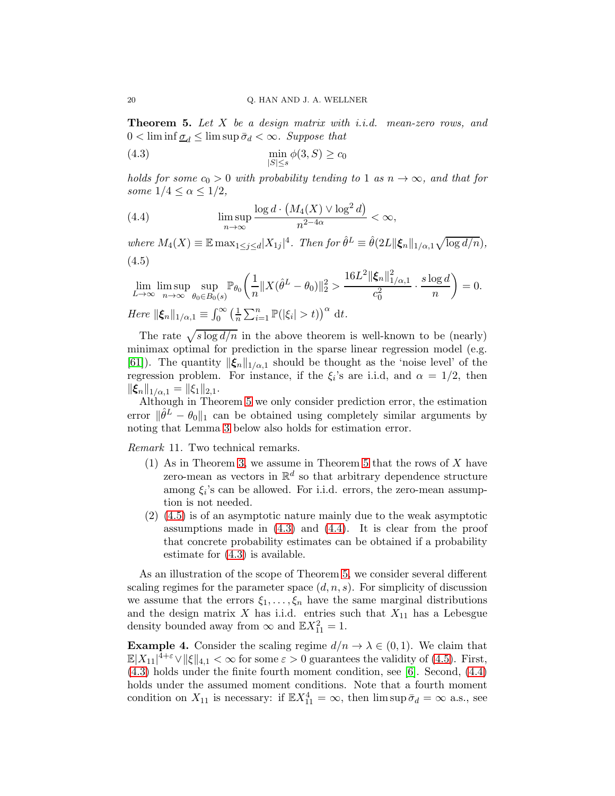<span id="page-19-0"></span>**Theorem 5.** Let  $X$  be a design matrix with i.i.d. mean-zero rows, and  $0 < \liminf \underline{\sigma}_d \leq \limsup \overline{\sigma}_d < \infty$ . Suppose that

<span id="page-19-2"></span>
$$
\min_{|S| \le s} \phi(3, S) \ge c_0
$$

holds for some  $c_0 > 0$  with probability tending to 1 as  $n \to \infty$ , and that for some  $1/4 \leq \alpha \leq 1/2$ ,

<span id="page-19-3"></span>(4.4) 
$$
\limsup_{n \to \infty} \frac{\log d \cdot (M_4(X) \vee \log^2 d)}{n^{2-4\alpha}} < \infty,
$$

<span id="page-19-1"></span>where  $M_4(X) \equiv \mathbb{E} \max_{1 \leq j \leq d} |X_{1j}|^4$ . Then for  $\hat{\theta}^L \equiv \hat{\theta}(2L || \boldsymbol{\xi}_n ||_{1/\alpha,1} \sqrt{\log d/n})$ , (4.5)

$$
\lim_{L \to \infty} \limsup_{n \to \infty} \sup_{\theta_0 \in B_0(s)} \mathbb{P}_{\theta_0} \left( \frac{1}{n} \| X(\hat{\theta}^L - \theta_0) \|_2^2 > \frac{16L^2 \|\xi_n\|_{1/\alpha,1}^2}{c_0^2} \cdot \frac{s \log d}{n} \right) = 0.
$$
  
Here  $\|\xi_n\|_{1/\alpha,1} \equiv \int_0^\infty \left( \frac{1}{n} \sum_{i=1}^n \mathbb{P}(|\xi_i| > t) \right)^\alpha dt$ .

The rate  $\sqrt{s \log d/n}$  in the above theorem is well-known to be (nearly) minimax optimal for prediction in the sparse linear regression model (e.g. [\[61\]](#page-48-17)). The quantity  $\|\boldsymbol{\xi}_n\|_{1/\alpha,1}$  should be thought as the 'noise level' of the regression problem. For instance, if the  $\xi_i$ 's are i.i.d, and  $\alpha = 1/2$ , then  $\|\xi_n\|_{1/\alpha,1} = \|\xi_1\|_{2,1}.$ 

Although in Theorem [5](#page-19-0) we only consider prediction error, the estimation error  $\|\hat{\theta}^L - \theta_0\|_1$  can be obtained using completely similar arguments by noting that Lemma [3](#page-20-0) below also holds for estimation error.

Remark 11. Two technical remarks.

- (1) As in Theorem [3,](#page-12-0) we assume in Theorem [5](#page-19-0) that the rows of X have zero-mean as vectors in  $\mathbb{R}^d$  so that arbitrary dependence structure among  $\xi_i$ 's can be allowed. For i.i.d. errors, the zero-mean assumption is not needed.
- (2) [\(4.5\)](#page-19-1) is of an asymptotic nature mainly due to the weak asymptotic assumptions made in  $(4.3)$  and  $(4.4)$ . It is clear from the proof that concrete probability estimates can be obtained if a probability estimate for [\(4.3\)](#page-19-2) is available.

As an illustration of the scope of Theorem [5,](#page-19-0) we consider several different scaling regimes for the parameter space  $(d, n, s)$ . For simplicity of discussion we assume that the errors  $\xi_1, \ldots, \xi_n$  have the same marginal distributions and the design matrix  $X$  has i.i.d. entries such that  $X_{11}$  has a Lebesgue density bounded away from  $\infty$  and  $\mathbb{E}X_{11}^2 = 1$ .

<span id="page-19-4"></span>**Example 4.** Consider the scaling regime  $d/n \to \lambda \in (0,1)$ . We claim that  $\mathbb{E}|X_{11}|^{4+\varepsilon} \vee \|\xi\|_{4,1} < \infty$  for some  $\varepsilon > 0$  guarantees the validity of [\(4.5\)](#page-19-1). First, [\(4.3\)](#page-19-2) holds under the finite fourth moment condition, see [\[6\]](#page-46-13). Second, [\(4.4\)](#page-19-3) holds under the assumed moment conditions. Note that a fourth moment condition on  $X_{11}$  is necessary: if  $\mathbb{E}X_{11}^4 = \infty$ , then  $\limsup \bar{\sigma}_d = \infty$  a.s., see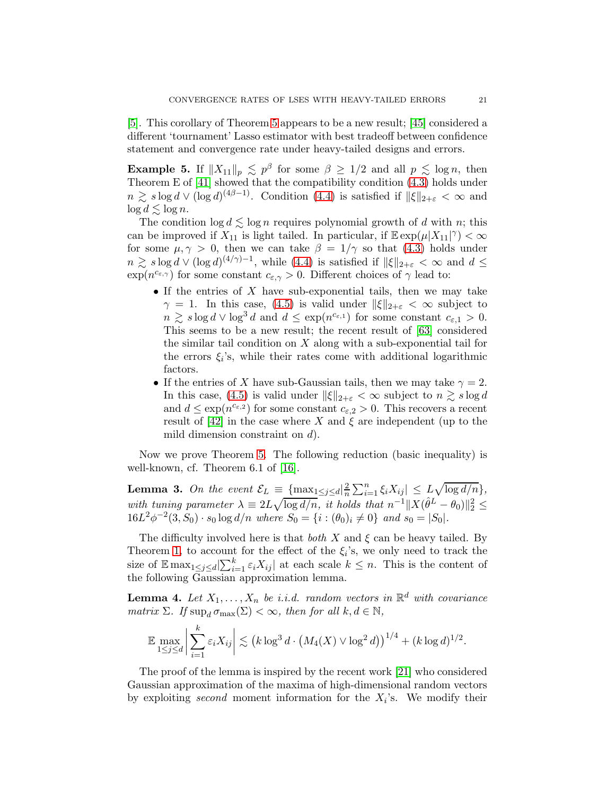[\[5\]](#page-46-14). This corollary of Theorem [5](#page-19-0) appears to be a new result; [\[45\]](#page-47-12) considered a different 'tournament' Lasso estimator with best tradeoff between confidence statement and convergence rate under heavy-tailed designs and errors.

**Example 5.** If  $||X_{11}||_p \leq p^{\beta}$  for some  $\beta \geq 1/2$  and all  $p \leq \log n$ , then Theorem E of  $[41]$  showed that the compatibility condition  $(4.3)$  holds under  $n \gtrsim s \log d \vee (\log d)^{(4\beta-1)}$ . Condition [\(4.4\)](#page-19-3) is satisfied if  $\|\xi\|_{2+\varepsilon} < \infty$  and  $\log d \lesssim \log n$ .

The condition  $\log d \lesssim \log n$  requires polynomial growth of d with n; this can be improved if  $X_{11}$  is light tailed. In particular, if  $\mathbb{E} \exp(\mu |X_{11}|^{\gamma}) < \infty$ for some  $\mu, \gamma > 0$ , then we can take  $\beta = 1/\gamma$  so that [\(4.3\)](#page-19-2) holds under  $n \gtrsim s \log d \vee (\log d)^{(4/\gamma)-1}$ , while [\(4.4\)](#page-19-3) is satisfied if  $||\xi||_{2+\varepsilon} < \infty$  and  $d \le$  $\exp(n^{c_{\varepsilon,\gamma}})$  for some constant  $c_{\varepsilon,\gamma} > 0$ . Different choices of  $\gamma$  lead to:

- If the entries of  $X$  have sub-exponential tails, then we may take  $\gamma = 1$ . In this case, [\(4.5\)](#page-19-1) is valid under  $\|\xi\|_{2+\varepsilon} < \infty$  subject to  $n \gtrsim s \log d \vee \log^3 d$  and  $d \leq \exp(n^{c_{\varepsilon,1}})$  for some constant  $c_{\varepsilon,1} > 0$ . This seems to be a new result; the recent result of [\[63\]](#page-48-18) considered the similar tail condition on  $X$  along with a sub-exponential tail for the errors  $\xi_i$ 's, while their rates come with additional logarithmic factors.
- If the entries of X have sub-Gaussian tails, then we may take  $\gamma = 2$ . In this case, [\(4.5\)](#page-19-1) is valid under  $\|\xi\|_{2+\varepsilon} < \infty$  subject to  $n \gtrsim s \log d$ and  $d \leq \exp(n^{c_{\varepsilon,2}})$  for some constant  $c_{\varepsilon,2} > 0$ . This recovers a recent result of  $[42]$  in the case where X and  $\xi$  are independent (up to the mild dimension constraint on  $d$ ).

Now we prove Theorem [5.](#page-19-0) The following reduction (basic inequality) is well-known, cf. Theorem 6.1 of [\[16\]](#page-46-12).

<span id="page-20-0"></span>**Lemma 3.** On the event  $\mathcal{E}_L = \frac{\{\max_{1 \leq j \leq d} |\frac{2}{n}\}}{2}$  $\frac{2}{n} \sum_{i=1}^{n} \xi_i X_{ij} \leq L \sqrt{\log d/n},$ with tuning parameter  $\lambda \equiv 2L\sqrt{\log d/n}$ , it holds that  $n^{-1}||X(\hat{\theta}^L - \theta_0)||_2^2 \leq$  $16L^2\phi^{-2}(3, S_0) \cdot s_0 \log d/n$  where  $S_0 = \{i : (\theta_0)_i \neq 0\}$  and  $s_0 = |S_0|$ .

The difficulty involved here is that both  $X$  and  $\xi$  can be heavy tailed. By Theorem [1,](#page-6-0) to account for the effect of the  $\xi_i$ 's, we only need to track the size of  $\mathbb{E} \max_{1 \leq j \leq d} \left| \sum_{i=1}^k \varepsilon_i X_{ij} \right|$  at each scale  $k \leq n$ . This is the content of the following Gaussian approximation lemma.

<span id="page-20-1"></span>**Lemma 4.** Let  $X_1, \ldots, X_n$  be i.i.d. random vectors in  $\mathbb{R}^d$  with covariance matrix  $\Sigma$ . If  $\sup_d \sigma_{\max}(\Sigma) < \infty$ , then for all  $k, d \in \mathbb{N}$ ,

$$
\mathbb{E} \max_{1 \leq j \leq d} \left| \sum_{i=1}^k \varepsilon_i X_{ij} \right| \lesssim \left( k \log^3 d \cdot \left( M_4(X) \vee \log^2 d \right) \right)^{1/4} + \left( k \log d \right)^{1/2}.
$$

The proof of the lemma is inspired by the recent work [\[21\]](#page-46-15) who considered Gaussian approximation of the maxima of high-dimensional random vectors by exploiting second moment information for the  $X_i$ 's. We modify their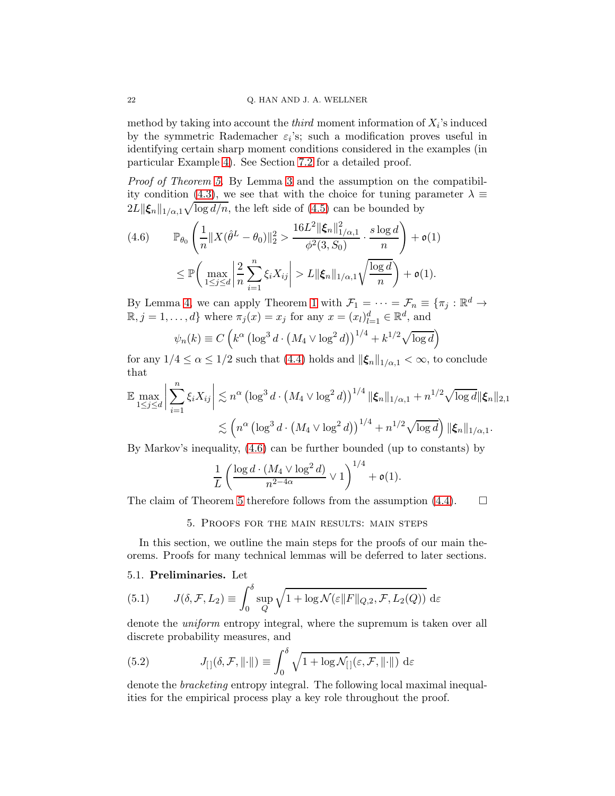method by taking into account the *third* moment information of  $X_i$ 's induced by the symmetric Rademacher  $\varepsilon_i$ 's; such a modification proves useful in identifying certain sharp moment conditions considered in the examples (in particular Example [4\)](#page-19-4). See Section [7.2](#page-38-1) for a detailed proof.

Proof of Theorem [5.](#page-19-0) By Lemma [3](#page-20-0) and the assumption on the compatibil-ity condition [\(4.3\)](#page-19-2), we see that with the choice for tuning parameter  $\lambda \equiv$  $2L \|\xi_n\|_{1/\alpha,1} \sqrt{\log d/n}$ , the left side of [\(4.5\)](#page-19-1) can be bounded by

<span id="page-21-1"></span>
$$
(4.6) \qquad \mathbb{P}_{\theta_0} \left( \frac{1}{n} \| X(\hat{\theta}^L - \theta_0) \|_2^2 > \frac{16L^2 \|\xi_n\|_{1/\alpha,1}^2}{\phi^2(3, S_0)} \cdot \frac{s \log d}{n} \right) + \mathfrak{o}(1)
$$
  

$$
\leq \mathbb{P} \left( \max_{1 \leq j \leq d} \left| \frac{2}{n} \sum_{i=1}^n \xi_i X_{ij} \right| > L \|\xi_n\|_{1/\alpha,1} \sqrt{\frac{\log d}{n}} \right) + \mathfrak{o}(1).
$$

By Lemma [4,](#page-20-1) we can apply Theorem [1](#page-6-0) with  $\mathcal{F}_1 = \cdots = \mathcal{F}_n \equiv {\{\pi_j : \mathbb{R}^d \to \mathbb{R}^d\}}$  $\mathbb{R}, j = 1, \ldots, d\}$  where  $\pi_j(x) = x_j$  for any  $x = (x_l)_{l=1}^d \in \mathbb{R}^d$ , and

$$
\psi_n(k) \equiv C \left( k^{\alpha} \left( \log^3 d \cdot \left( M_4 \vee \log^2 d \right) \right)^{1/4} + k^{1/2} \sqrt{\log d} \right)
$$

for any  $1/4 \leq \alpha \leq 1/2$  such that [\(4.4\)](#page-19-3) holds and  $\|\xi_n\|_{1/\alpha,1} < \infty$ , to conclude that

$$
\mathbb{E} \max_{1 \leq j \leq d} \left| \sum_{i=1}^{n} \xi_i X_{ij} \right| \lesssim n^{\alpha} \left( \log^3 d \cdot \left( M_4 \vee \log^2 d \right) \right)^{1/4} \|\xi_n\|_{1/\alpha, 1} + n^{1/2} \sqrt{\log d} \|\xi_n\|_{2, 1}
$$
  

$$
\lesssim \left( n^{\alpha} \left( \log^3 d \cdot \left( M_4 \vee \log^2 d \right) \right)^{1/4} + n^{1/2} \sqrt{\log d} \right) \|\xi_n\|_{1/\alpha, 1}.
$$

By Markov's inequality, [\(4.6\)](#page-21-1) can be further bounded (up to constants) by

$$
\frac{1}{L}\left(\frac{\log d\cdot(M_4\vee\log^2 d)}{n^{2-4\alpha}}\vee 1\right)^{1/4}+\mathfrak{o}(1).
$$

<span id="page-21-0"></span>The claim of Theorem [5](#page-19-0) therefore follows from the assumption  $(4.4)$ .  $\Box$ 

5. Proofs for the main results: main steps

In this section, we outline the main steps for the proofs of our main theorems. Proofs for many technical lemmas will be deferred to later sections.

# 5.1. Preliminaries. Let

<span id="page-21-2"></span>(5.1) 
$$
J(\delta, \mathcal{F}, L_2) \equiv \int_0^{\delta} \sup_Q \sqrt{1 + \log \mathcal{N}(\varepsilon || F ||_{Q,2}, \mathcal{F}, L_2(Q))} d\varepsilon
$$

denote the *uniform* entropy integral, where the supremum is taken over all discrete probability measures, and

<span id="page-21-3"></span>(5.2) 
$$
J_{[]}(\delta, \mathcal{F}, ||\cdot||) \equiv \int_0^\delta \sqrt{1 + \log \mathcal{N}_{[]}(\varepsilon, \mathcal{F}, ||\cdot||)} d\varepsilon
$$

denote the bracketing entropy integral. The following local maximal inequalities for the empirical process play a key role throughout the proof.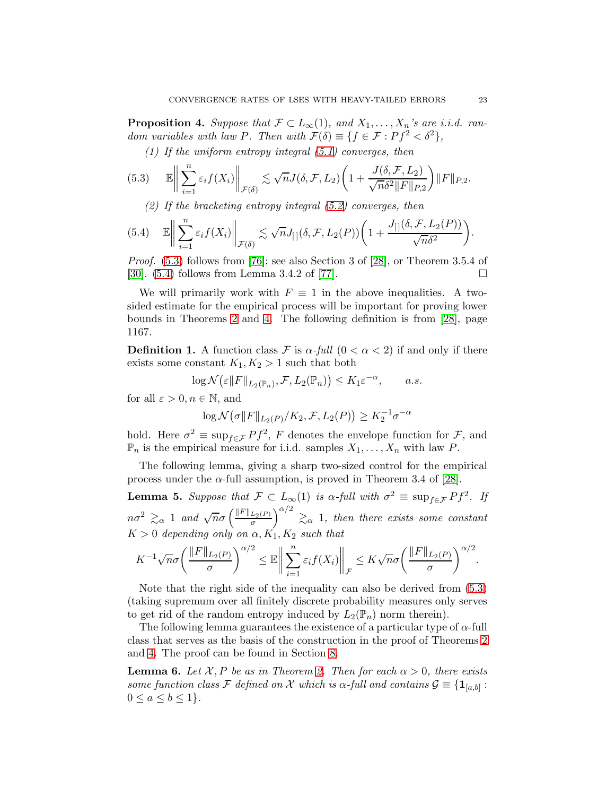<span id="page-22-0"></span>**Proposition 4.** Suppose that  $\mathcal{F} \subset L_{\infty}(1)$ , and  $X_1, \ldots, X_n$ 's are i.i.d. random variables with law P. Then with  $\mathcal{F}(\delta) \equiv \{f \in \mathcal{F} : Pf^2 < \delta^2\},\$ 

(1) If the uniform entropy integral  $(5.1)$  converges, then

<span id="page-22-1"></span>(5.3) 
$$
\mathbb{E}\left\|\sum_{i=1}^n \varepsilon_i f(X_i)\right\|_{\mathcal{F}(\delta)} \lesssim \sqrt{n}J(\delta,\mathcal{F},L_2)\left(1+\frac{J(\delta,\mathcal{F},L_2)}{\sqrt{n}\delta^2\|F\|_{P,2}}\right)\|F\|_{P,2}.
$$

(2) If the bracketing entropy integral  $(5.2)$  converges, then

<span id="page-22-2"></span>(5.4) 
$$
\mathbb{E}\Big\|\sum_{i=1}^n \varepsilon_i f(X_i)\Big\|_{\mathcal{F}(\delta)} \lesssim \sqrt{n}J_{[}](\delta, \mathcal{F}, L_2(P))\bigg(1 + \frac{J_{[}](\delta, \mathcal{F}, L_2(P))}{\sqrt{n}\delta^2}\bigg).
$$

Proof. [\(5.3\)](#page-22-1) follows from [\[76\]](#page-49-8); see also Section 3 of [\[28\]](#page-47-21), or Theorem 3.5.4 of [\[30\]](#page-47-4).  $(5.4)$  follows from Lemma 3.4.2 of [\[77\]](#page-49-1).

We will primarily work with  $F \equiv 1$  in the above inequalities. A twosided estimate for the empirical process will be important for proving lower bounds in Theorems [2](#page-8-0) and [4.](#page-14-0) The following definition is from [\[28\]](#page-47-21), page 1167.

**Definition 1.** A function class F is  $\alpha$ -full  $(0 < \alpha < 2)$  if and only if there exists some constant  $K_1, K_2 > 1$  such that both

$$
\log \mathcal{N}\big(\varepsilon \|F\|_{L_2(\mathbb{P}_n)}, \mathcal{F}, L_2(\mathbb{P}_n)\big) \le K_1 \varepsilon^{-\alpha}, \qquad a.s.
$$

for all  $\varepsilon > 0, n \in \mathbb{N}$ , and

$$
\log \mathcal{N}\big(\sigma || F ||_{L_2(P)} / K_2, \mathcal{F}, L_2(P)\big) \ge K_2^{-1} \sigma^{-\alpha}
$$

hold. Here  $\sigma^2 \equiv \sup_{f \in \mathcal{F}} Pf^2$ , F denotes the envelope function for  $\mathcal{F}$ , and  $\mathbb{P}_n$  is the empirical measure for i.i.d. samples  $X_1, \ldots, X_n$  with law P.

The following lemma, giving a sharp two-sized control for the empirical process under the  $\alpha$ -full assumption, is proved in Theorem 3.4 of [\[28\]](#page-47-21).

<span id="page-22-4"></span>**Lemma 5.** Suppose that  $\mathcal{F} \subset L_{\infty}(1)$  is  $\alpha$ -full with  $\sigma^2 \equiv \sup_{f \in \mathcal{F}} Pf^2$ . If  $n\sigma^2 \gtrsim_\alpha 1$  and  $\sqrt{n}\sigma\left(\frac{\|F\|_{L_2(P)}}{\sigma}\right)^{\alpha/2} \gtrsim_\alpha 1$ , then there exists some constant  $K > 0$  depending only on  $\alpha, K_1, K_2$  such that

$$
K^{-1}\sqrt{n}\sigma\left(\frac{\|F\|_{L_2(P)}}{\sigma}\right)^{\alpha/2} \leq \mathbb{E}\bigg\|\sum_{i=1}^n \varepsilon_i f(X_i)\bigg\|_{\mathcal{F}} \leq K\sqrt{n}\sigma\left(\frac{\|F\|_{L_2(P)}}{\sigma}\right)^{\alpha/2}.
$$

Note that the right side of the inequality can also be derived from [\(5.3\)](#page-22-1) (taking supremum over all finitely discrete probability measures only serves to get rid of the random entropy induced by  $L_2(\mathbb{P}_n)$  norm therein).

The following lemma guarantees the existence of a particular type of  $\alpha$ -full class that serves as the basis of the construction in the proof of Theorems [2](#page-8-0) and [4.](#page-14-0) The proof can be found in Section [8.](#page-41-0)

<span id="page-22-3"></span>**Lemma 6.** Let X, P be as in Theorem [2.](#page-8-0) Then for each  $\alpha > 0$ , there exists some function class F defined on X which is  $\alpha$ -full and contains  $\mathcal{G} \equiv \{\mathbf{1}_{[a,b]} :$  $0 \leq a \leq b \leq 1$ .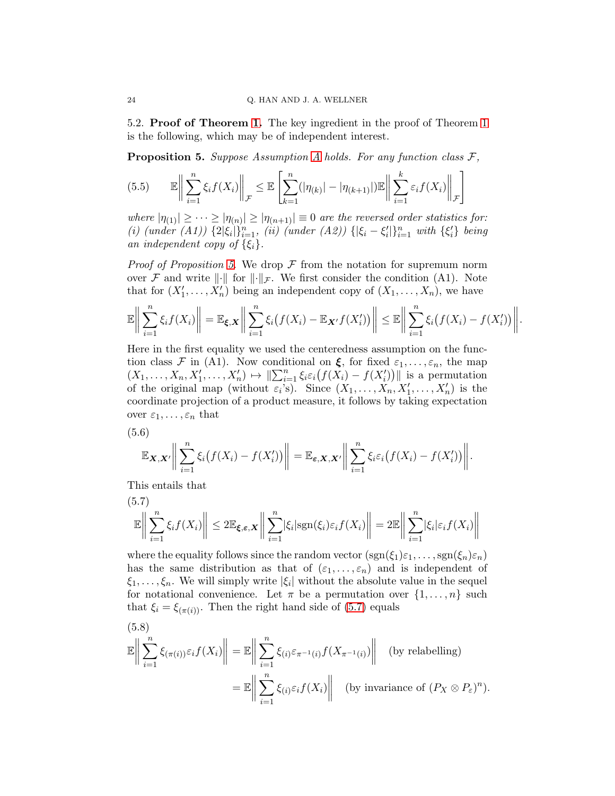5.2. Proof of Theorem [1.](#page-6-0) The key ingredient in the proof of Theorem [1](#page-6-0) is the following, which may be of independent interest.

<span id="page-23-0"></span>**Proposition 5.** Suppose [A](#page-6-1)ssumption A holds. For any function class  $\mathcal{F}$ ,

$$
(5.5) \qquad \mathbb{E}\bigg\|\sum_{i=1}^n\xi_if(X_i)\bigg\|_{\mathcal{F}}\leq \mathbb{E}\left[\sum_{k=1}^n(|\eta_{(k)}|-|\eta_{(k+1)}|)\mathbb{E}\bigg\|\sum_{i=1}^k\varepsilon_if(X_i)\bigg\|_{\mathcal{F}}\right]
$$

where  $|\eta_{(1)}| \geq \cdots \geq |\eta_{(n)}| \geq |\eta_{(n+1)}| \equiv 0$  are the reversed order statistics for: (i) (under (A1))  $\{2|\xi_i|\}_{i=1}^n$ , (ii) (under (A2))  $\{|\xi_i - \xi'_i|\}_{i=1}^n$  with  $\{\xi'_i\}$  being an independent copy of  $\{\xi_i\}$ .

*Proof of Proposition [5.](#page-23-0)* We drop  $\mathcal F$  from the notation for supremum norm over F and write  $\|\cdot\|$  for  $\|\cdot\|_{\mathcal{F}}$ . We first consider the condition (A1). Note that for  $(X'_1, \ldots, X'_n)$  being an independent copy of  $(X_1, \ldots, X_n)$ , we have

$$
\mathbb{E}\Big\|\sum_{i=1}^n\xi_if(X_i)\Big\|=\mathbb{E}_{\xi,X}\Big\|\sum_{i=1}^n\xi_i\big(f(X_i)-\mathbb{E}_{X'}f(X_i')\big)\Big\|\leq\mathbb{E}\Big\|\sum_{i=1}^n\xi_i\big(f(X_i)-f(X_i')\big)\Big\|.
$$

Here in the first equality we used the centeredness assumption on the function class F in (A1). Now conditional on  $\xi$ , for fixed  $\varepsilon_1, \ldots, \varepsilon_n$ , the map  $(X_1, \ldots, X_n, X'_1, \ldots, X'_n) \mapsto \|\sum_{i=1}^n \xi_i \varepsilon_i (f(X_i) - f(X'_i))\|$  is a permutation of the original map (without  $\varepsilon_i$ 's). Since  $(X_1, \ldots, X_n, X'_1, \ldots, X'_n)$  is the coordinate projection of a product measure, it follows by taking expectation over  $\varepsilon_1, \ldots, \varepsilon_n$  that

(5.6)

$$
\mathbb{E}_{\boldsymbol{X},\boldsymbol{X}'}\Big\|\sum_{i=1}^n\xi_i\big(f(X_i)-f(X_i')\big)\Big\|=\mathbb{E}_{\boldsymbol{\varepsilon},\boldsymbol{X},\boldsymbol{X}'}\Big\|\sum_{i=1}^n\xi_i\varepsilon_i\big(f(X_i)-f(X_i')\big)\Big\|.
$$

This entails that

<span id="page-23-1"></span>(5.7)  

$$
\mathbb{E}\left\|\sum_{i=1}^n \xi_i f(X_i)\right\| \leq 2\mathbb{E}_{\xi,\varepsilon,X}\left\|\sum_{i=1}^n |\xi_i| \text{sgn}(\xi_i)\varepsilon_i f(X_i)\right\| = 2\mathbb{E}\left\|\sum_{i=1}^n |\xi_i|\varepsilon_i f(X_i)\right\|
$$

where the equality follows since the random vector  $(sgn(\xi_1)\varepsilon_1,\ldots,sgn(\xi_n)\varepsilon_n)$ has the same distribution as that of  $(\varepsilon_1, \ldots, \varepsilon_n)$  and is independent of  $\xi_1, \ldots, \xi_n$ . We will simply write  $|\xi_i|$  without the absolute value in the sequel for notational convenience. Let  $\pi$  be a permutation over  $\{1, \ldots, n\}$  such that  $\xi_i = \xi_{(\pi(i))}$ . Then the right hand side of [\(5.7\)](#page-23-1) equals

<span id="page-23-2"></span>(5.8)  
\n
$$
\mathbb{E}\left\|\sum_{i=1}^{n}\xi_{(\pi(i))}\varepsilon_{i}f(X_{i})\right\| = \mathbb{E}\left\|\sum_{i=1}^{n}\xi_{(i)}\varepsilon_{\pi^{-1}(i)}f(X_{\pi^{-1}(i)})\right\| \text{ (by relabelling)}
$$
\n
$$
= \mathbb{E}\left\|\sum_{i=1}^{n}\xi_{(i)}\varepsilon_{i}f(X_{i})\right\| \text{ (by invariance of } (P_{X}\otimes P_{\varepsilon})^{n}).
$$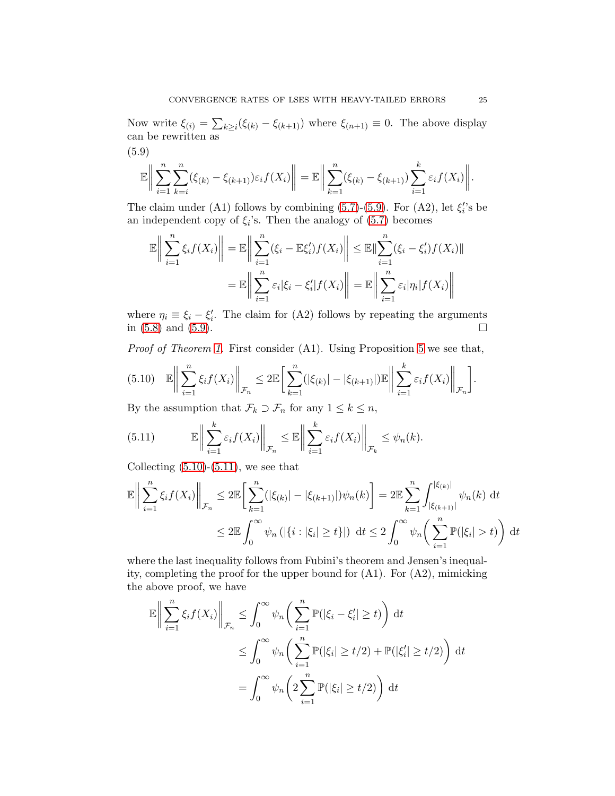Now write  $\xi_{(i)} = \sum_{k \geq i} (\xi_{(k)} - \xi_{(k+1)})$  where  $\xi_{(n+1)} \equiv 0$ . The above display can be rewritten as (5.9)

<span id="page-24-0"></span>
$$
\mathbb{E}\bigg\|\sum_{i=1}^n\sum_{k=i}^n(\xi_{(k)}-\xi_{(k+1)})\varepsilon_i f(X_i)\bigg\|=\mathbb{E}\bigg\|\sum_{k=1}^n(\xi_{(k)}-\xi_{(k+1)})\sum_{i=1}^k\varepsilon_i f(X_i)\bigg\|.
$$

The claim under (A1) follows by combining  $(5.7)-(5.9)$  $(5.7)-(5.9)$ . For  $(A2)$ , let  $\xi_i$ 's be an independent copy of  $\xi_i$ 's. Then the analogy of  $(5.7)$  becomes

$$
\mathbb{E}\left\|\sum_{i=1}^n\xi_if(X_i)\right\| = \mathbb{E}\left\|\sum_{i=1}^n(\xi_i - \mathbb{E}\xi'_i)f(X_i)\right\| \le \mathbb{E}\|\sum_{i=1}^n(\xi_i - \xi'_i)f(X_i)\|
$$

$$
= \mathbb{E}\left\|\sum_{i=1}^n\varepsilon_i|\xi_i - \xi'_i|f(X_i)\right\| = \mathbb{E}\left\|\sum_{i=1}^n\varepsilon_i|\eta_i|f(X_i)\right\|
$$

where  $\eta_i \equiv \xi_i - \xi'_i$ . The claim for (A2) follows by repeating the arguments in  $(5.8)$  and  $(5.9)$ .

Proof of Theorem [1.](#page-6-0) First consider (A1). Using Proposition [5](#page-23-0) we see that,

<span id="page-24-1"></span>
$$
(5.10) \quad \mathbb{E}\bigg\|\sum_{i=1}^n\xi_if(X_i)\bigg\|_{\mathcal{F}_n}\leq 2\mathbb{E}\bigg[\sum_{k=1}^n(|\xi_{(k)}|-|\xi_{(k+1)}|)\mathbb{E}\bigg\|\sum_{i=1}^k\varepsilon_if(X_i)\bigg\|_{\mathcal{F}_n}\bigg].
$$

By the assumption that  $\mathcal{F}_k \supset \mathcal{F}_n$  for any  $1 \leq k \leq n$ ,

<span id="page-24-2"></span>(5.11) 
$$
\mathbb{E}\left\|\sum_{i=1}^k \varepsilon_i f(X_i)\right\|_{\mathcal{F}_n} \leq \mathbb{E}\left\|\sum_{i=1}^k \varepsilon_i f(X_i)\right\|_{\mathcal{F}_k} \leq \psi_n(k).
$$

Collecting  $(5.10)-(5.11)$  $(5.10)-(5.11)$ , we see that

$$
\mathbb{E}\left\|\sum_{i=1}^{n}\xi_{i}f(X_{i})\right\|_{\mathcal{F}_{n}} \leq 2\mathbb{E}\left[\sum_{k=1}^{n}(|\xi_{(k)}| - |\xi_{(k+1)}|)\psi_{n}(k)\right] = 2\mathbb{E}\sum_{k=1}^{n}\int_{|\xi_{(k+1)}|}^{|\xi_{(k)}|}\psi_{n}(k) dt
$$
  

$$
\leq 2\mathbb{E}\int_{0}^{\infty}\psi_{n}(|\{i:|\xi_{i}|\geq t\}|) dt \leq 2\int_{0}^{\infty}\psi_{n}\left(\sum_{i=1}^{n}\mathbb{P}(|\xi_{i}| > t)\right) dt
$$

where the last inequality follows from Fubini's theorem and Jensen's inequality, completing the proof for the upper bound for (A1). For (A2), mimicking the above proof, we have

$$
\mathbb{E}\left\|\sum_{i=1}^{n}\xi_{i}f(X_{i})\right\|_{\mathcal{F}_{n}} \leq \int_{0}^{\infty}\psi_{n}\left(\sum_{i=1}^{n}\mathbb{P}(|\xi_{i}-\xi'_{i}|\geq t)\right)dt
$$
  

$$
\leq \int_{0}^{\infty}\psi_{n}\left(\sum_{i=1}^{n}\mathbb{P}(|\xi_{i}|\geq t/2)+\mathbb{P}(|\xi'_{i}|\geq t/2)\right)dt
$$
  

$$
=\int_{0}^{\infty}\psi_{n}\left(2\sum_{i=1}^{n}\mathbb{P}(|\xi_{i}|\geq t/2)\right)dt
$$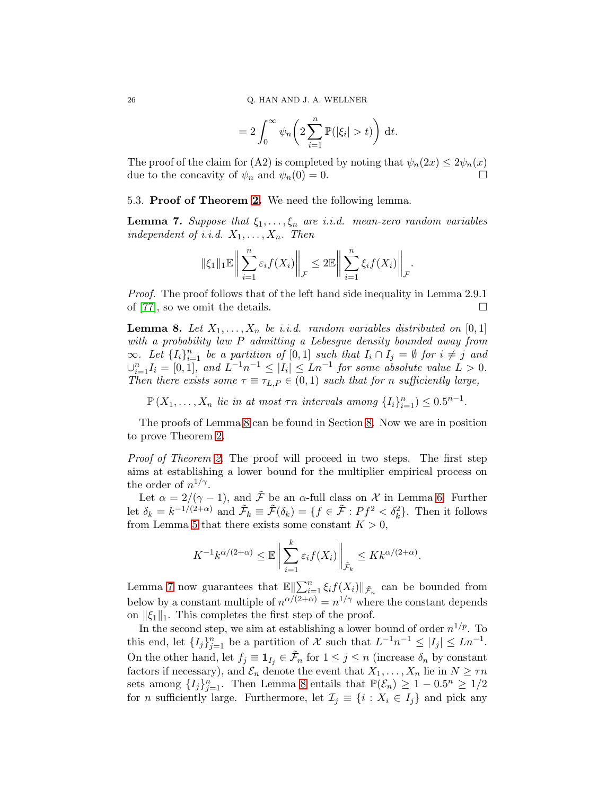$$
=2\int_0^\infty \psi_n\bigg(2\sum_{i=1}^n \mathbb{P}(|\xi_i|>t)\bigg) dt.
$$

The proof of the claim for (A2) is completed by noting that  $\psi_n(2x) \leq 2\psi_n(x)$ <br>due to the concavity of  $\psi_n$  and  $\psi_n(0) = 0$ due to the concavity of  $\psi_n$  and  $\psi_n(0) = 0$ .

### 5.3. Proof of Theorem [2.](#page-8-0) We need the following lemma.

<span id="page-25-1"></span>**Lemma 7.** Suppose that  $\xi_1, \ldots, \xi_n$  are i.i.d. mean-zero random variables independent of i.i.d.  $X_1, \ldots, X_n$ . Then

$$
\|\xi_1\|_1 \mathbb{E}\bigg\|\sum_{i=1}^n \varepsilon_i f(X_i)\bigg\|_{\mathcal{F}} \leq 2 \mathbb{E}\bigg\|\sum_{i=1}^n \xi_i f(X_i)\bigg\|_{\mathcal{F}}.
$$

Proof. The proof follows that of the left hand side inequality in Lemma 2.9.1 of [\[77\]](#page-49-1), so we omit the details.

<span id="page-25-0"></span>**Lemma 8.** Let  $X_1, \ldots, X_n$  be i.i.d. random variables distributed on [0, 1] with a probability law P admitting a Lebesgue density bounded away from  $\infty$ . Let  $\{I_i\}_{i=1}^n$  be a partition of  $[0,1]$  such that  $I_i \cap I_j = \emptyset$  for  $i \neq j$  and  $\bigcup_{i=1}^{n} I_i = [0,1],$  and  $L^{-1}n^{-1} \leq |I_i| \leq Ln^{-1}$  for some absolute value  $L > 0$ . Then there exists some  $\tau \equiv \tau_{L,P} \in (0,1)$  such that for n sufficiently large,

 $\mathbb{P}(X_1,\ldots,X_n \text{ lie in at most } \tau n \text{ intervals among } \{I_i\}_{i=1}^n) \leq 0.5^{n-1}.$ 

The proofs of Lemma [8](#page-25-0) can be found in Section [8.](#page-41-0) Now we are in position to prove Theorem [2.](#page-8-0)

Proof of Theorem [2.](#page-8-0) The proof will proceed in two steps. The first step aims at establishing a lower bound for the multiplier empirical process on the order of  $n^{1/\gamma}$ .

Let  $\alpha = 2/(\gamma - 1)$ , and  $\tilde{\mathcal{F}}$  be an  $\alpha$ -full class on  $\mathcal{X}$  in Lemma [6.](#page-22-3) Further let  $\delta_k = k^{-1/(2+\alpha)}$  and  $\tilde{\mathcal{F}}_k \equiv \tilde{\mathcal{F}}(\delta_k) = \{f \in \tilde{\mathcal{F}} : Pf^2 < \delta_k^2\}$ . Then it follows from Lemma [5](#page-22-4) that there exists some constant  $K > 0$ ,

$$
K^{-1}k^{\alpha/(2+\alpha)} \leq \mathbb{E}\bigg\|\sum_{i=1}^k \varepsilon_i f(X_i)\bigg\|_{\tilde{\mathcal{F}}_k} \leq Kk^{\alpha/(2+\alpha)}.
$$

Lemma [7](#page-25-1) now guarantees that  $\mathbb{E}\left\|\sum_{i=1}^n \xi_i f(X_i)\right\|_{\tilde{\mathcal{F}}_n}$  can be bounded from below by a constant multiple of  $n^{\alpha/(2+\alpha)} = n^{1/\gamma}$  where the constant depends on  $\|\xi_1\|_1$ . This completes the first step of the proof.

In the second step, we aim at establishing a lower bound of order  $n^{1/p}$ . To this end, let  $\{I_j\}_{j=1}^n$  be a partition of X such that  $L^{-1}n^{-1} \leq |I_j| \leq Ln^{-1}$ . On the other hand, let  $f_j \equiv \mathbf{1}_{I_j} \in \tilde{\mathcal{F}}_n$  for  $1 \leq j \leq n$  (increase  $\delta_n$  by constant factors if necessary), and  $\mathcal{E}_n$  denote the event that  $X_1, \ldots, X_n$  lie in  $N \geq \tau n$ sets among  $\{I_j\}_{j=1}^n$ . Then Lemma [8](#page-25-0) entails that  $\mathbb{P}(\mathcal{E}_n) \geq 1 - 0.5^n \geq 1/2$ for *n* sufficiently large. Furthermore, let  $\mathcal{I}_j \equiv \{i : X_i \in I_j\}$  and pick any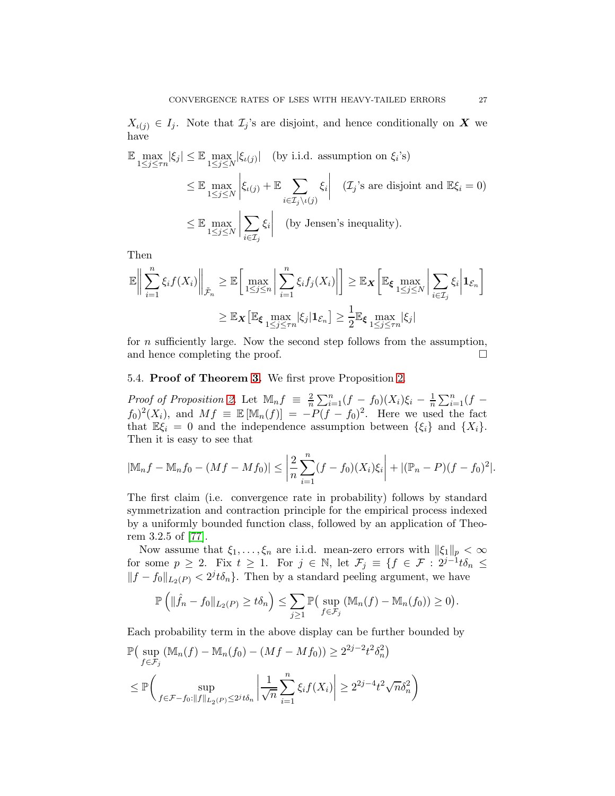$X_{\iota(j)} \in I_j$ . Note that  $\mathcal{I}_j$ 's are disjoint, and hence conditionally on X we have

$$
\mathbb{E} \max_{1 \le j \le \tau n} |\xi_j| \le \mathbb{E} \max_{1 \le j \le N} |\xi_{\iota(j)}| \quad \text{(by i.i.d. assumption on } \xi_i\text{'s)}\n\n\le \mathbb{E} \max_{1 \le j \le N} \left| \xi_{\iota(j)} + \mathbb{E} \sum_{i \in \mathcal{I}_j \setminus \iota(j)} \xi_i \right| \quad (\mathcal{I}_j\text{'s are disjoint and } \mathbb{E}\xi_i = 0)\n\n\le \mathbb{E} \max_{1 \le j \le N} \left| \sum_{i \in \mathcal{I}_j} \xi_i \right| \quad \text{(by Jensen's inequality)}.
$$

Then

$$
\mathbb{E}\Big\|\sum_{i=1}^n\xi_if(X_i)\Big\|_{\tilde{\mathcal{F}}_n}\geq \mathbb{E}\Big[\max_{1\leq j\leq n}\bigg|\sum_{i=1}^n\xi_if_j(X_i)\bigg|\Big]\geq \mathbb{E}_{\boldsymbol{X}}\Big[\mathbb{E}_{\boldsymbol{\xi}}\max_{1\leq j\leq N}\bigg|\sum_{i\in\mathcal{I}_j}\xi_i\bigg|\mathbf{1}_{\mathcal{E}_n}\Big]
$$

$$
\geq \mathbb{E}_{\boldsymbol{X}}\big[\mathbb{E}_{\boldsymbol{\xi}}\max_{1\leq j\leq \tau n}|\xi_j|\mathbf{1}_{\mathcal{E}_n}\big]\geq \frac{1}{2}\mathbb{E}_{\boldsymbol{\xi}}\max_{1\leq j\leq \tau n}|\xi_j|
$$

for n sufficiently large. Now the second step follows from the assumption, and hence completing the proof.

5.4. Proof of Theorem [3.](#page-12-0) We first prove Proposition [2.](#page-12-4)

*Proof of Proposition [2.](#page-12-4)* Let  $\mathbb{M}_n f \equiv \frac{2}{n}$  $\frac{2}{n}\sum_{i=1}^{n}(f-f_0)(X_i)\xi_i-\frac{1}{n}$  $\frac{1}{n}\sum_{i=1}^n(f$  $f_0^2(X_i)$ , and  $Mf \equiv \mathbb{E} [\mathbb{M}_n(f)] = -P(f - f_0)^2$ . Here we used the fact that  $\mathbb{E}\xi_i = 0$  and the independence assumption between  $\{\xi_i\}$  and  $\{X_i\}$ . Then it is easy to see that

$$
|\mathbb{M}_n f - \mathbb{M}_n f_0 - (Mf - Mf_0)| \le \left| \frac{2}{n} \sum_{i=1}^n (f - f_0)(X_i) \xi_i \right| + |(\mathbb{P}_n - P)(f - f_0)^2|.
$$

The first claim (i.e. convergence rate in probability) follows by standard symmetrization and contraction principle for the empirical process indexed by a uniformly bounded function class, followed by an application of Theorem 3.2.5 of [\[77\]](#page-49-1).

Now assume that  $\xi_1, \ldots, \xi_n$  are i.i.d. mean-zero errors with  $\|\xi_1\|_p < \infty$ for some  $p \geq 2$ . Fix  $t \geq 1$ . For  $j \in \mathbb{N}$ , let  $\mathcal{F}_j \equiv \{f \in \mathcal{F} : 2^{j-1} t \delta_n \leq$  $||f - f_0||_{L_2(P)} < 2^{j} t \delta_n$ . Then by a standard peeling argument, we have

$$
\mathbb{P}\left(\|\hat{f}_n - f_0\|_{L_2(P)} \ge t\delta_n\right) \le \sum_{j\ge 1} \mathbb{P}\left(\sup_{f \in \mathcal{F}_j} \left(\mathbb{M}_n(f) - \mathbb{M}_n(f_0)\right) \ge 0\right).
$$

Each probability term in the above display can be further bounded by

$$
\mathbb{P}\left(\sup_{f \in \mathcal{F}_j} (\mathbb{M}_n(f) - \mathbb{M}_n(f_0) - (Mf - Mf_0)) \ge 2^{2j - 2} t^2 \delta_n^2\right)
$$
  

$$
\le \mathbb{P}\left(\sup_{f \in \mathcal{F} - f_0: ||f||_{L_2(P)} \le 2^{j} t \delta_n} \left|\frac{1}{\sqrt{n}} \sum_{i=1}^n \xi_i f(X_i)\right| \ge 2^{2j - 4} t^2 \sqrt{n} \delta_n^2\right)
$$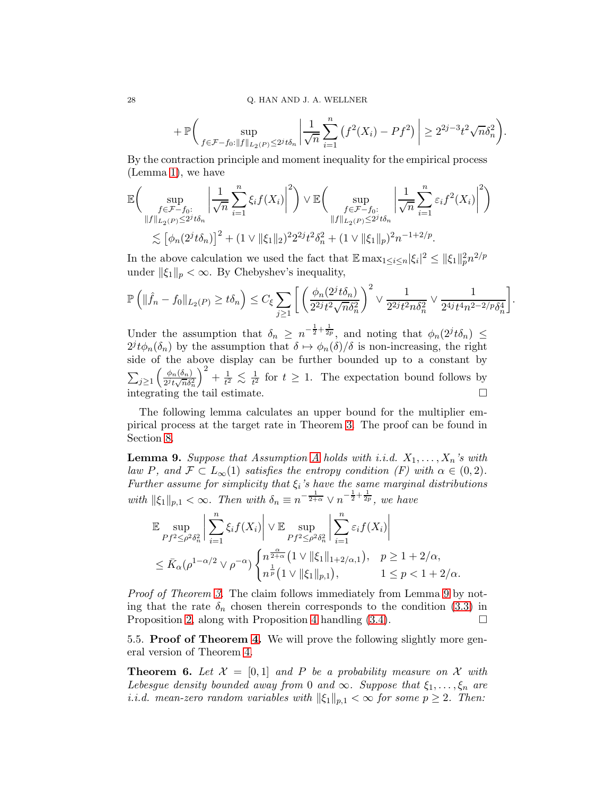$$
+\mathbb{P}\bigg(\sup_{f \in \mathcal{F} - f_0: \|f\|_{L_2(P)} \le 2^j t \delta_n} \left|\frac{1}{\sqrt{n}} \sum_{i=1}^n (f^2(X_i) - Pf^2)\right| \ge 2^{2j-3} t^2 \sqrt{n} \delta_n^2\bigg).
$$

By the contraction principle and moment inequality for the empirical process (Lemma [1\)](#page-7-1), we have

$$
\mathbb{E}\bigg(\sup_{\substack{f \in \mathcal{F} - f_0:\\ \|f\|_{L_2(P)} \le 2^j t \delta_n}} \left|\frac{1}{\sqrt{n}} \sum_{i=1}^n \xi_i f(X_i)\right|^2\bigg) \vee \mathbb{E}\bigg(\sup_{\substack{f \in \mathcal{F} - f_0:\\ \|f\|_{L_2(P)} \le 2^j t \delta_n}} \left|\frac{1}{\sqrt{n}} \sum_{i=1}^n \varepsilon_i f^2(X_i)\right|^2\bigg) \n\lesssim \left[\phi_n(2^j t \delta_n)\right]^2 + (1 \vee \|\xi_1\|_2)^2 2^{2j} t^2 \delta_n^2 + (1 \vee \|\xi_1\|_p)^2 n^{-1+2/p}.
$$

In the above calculation we used the fact that  $\mathbb{E} \max_{1 \leq i \leq n} |\xi_i|^2 \leq ||\xi_1||_p^2 n^{2/p}$ under  $\|\xi_1\|_p < \infty$ . By Chebyshev's inequality,

$$
\mathbb{P}\left(\|\hat{f}_n - f_0\|_{L_2(P)} \ge t\delta_n\right) \le C_{\xi} \sum_{j\ge 1} \left[\left(\frac{\phi_n(2^jt\delta_n)}{2^{2j}t^2\sqrt{n}\delta_n^2}\right)^2 \vee \frac{1}{2^{2j}t^2n\delta_n^2} \vee \frac{1}{2^{4j}t^4n^{2-2/p}\delta_n^4}\right].
$$

Under the assumption that  $\delta_n \geq n^{-\frac{1}{2} + \frac{1}{2p}}$ , and noting that  $\phi_n(2^j t \delta_n) \leq$  $2^{j}t\phi_n(\delta_n)$  by the assumption that  $\delta \mapsto \phi_n(\delta)/\delta$  is non-increasing, the right side of the above display can be further bounded up to a constant by  $\sum_{j\geq 1}$  $\int$   $\phi_n(\delta_n)$  $\frac{1}{2^{j}t\sqrt{n}\delta_{n}^{2}}$  $\big)^2 + \frac{1}{t^2}$  $\frac{1}{t^2} \lesssim \frac{1}{t^2}$  $\frac{1}{t^2}$  for  $t \geq 1$ . The expectation bound follows by integrating the tail estimate.  $\Box$ 

The following lemma calculates an upper bound for the multiplier empirical process at the target rate in Theorem [3.](#page-12-0) The proof can be found in Section [8.](#page-41-0)

<span id="page-27-0"></span>**Lemma 9.** Suppose that [A](#page-6-1)ssumption A holds with i.i.d.  $X_1, \ldots, X_n$ 's with law P, and  $\mathcal{F} \subset L_{\infty}(1)$  satisfies the entropy condition (F) with  $\alpha \in (0, 2)$ . Further assume for simplicity that  $\xi_i$ 's have the same marginal distributions with  $\|\xi_1\|_{p,1} < \infty$ . Then with  $\delta_n \equiv n^{-\frac{1}{2+\alpha}} \vee n^{-\frac{1}{2}+\frac{1}{2p}}$ , we have

$$
\mathbb{E} \sup_{Pf^2 \le \rho^2 \delta_n^2} \left| \sum_{i=1}^n \xi_i f(X_i) \right| \vee \mathbb{E} \sup_{Pf^2 \le \rho^2 \delta_n^2} \left| \sum_{i=1}^n \varepsilon_i f(X_i) \right|
$$
  

$$
\le \bar{K}_{\alpha} (\rho^{1-\alpha/2} \vee \rho^{-\alpha}) \left\{ n^{\frac{\alpha}{2+\alpha}} \left( 1 \vee ||\xi_1||_{1+2/\alpha,1} \right), \quad p \ge 1 + 2/\alpha, \right\}
$$
  

$$
1 \le p < 1 + 2/\alpha.
$$

Proof of Theorem [3.](#page-12-0) The claim follows immediately from Lemma [9](#page-27-0) by noting that the rate  $\delta_n$  chosen therein corresponds to the condition [\(3.3\)](#page-12-2) in Proposition [2,](#page-12-4) along with Proposition [4](#page-22-0) handling  $(3.4)$ .

5.5. Proof of Theorem [4.](#page-14-0) We will prove the following slightly more general version of Theorem [4.](#page-14-0)

<span id="page-27-1"></span>**Theorem 6.** Let  $\mathcal{X} = [0, 1]$  and P be a probability measure on X with Lebesgue density bounded away from 0 and  $\infty$ . Suppose that  $\xi_1, \ldots, \xi_n$  are *i.i.d.* mean-zero random variables with  $\|\xi_1\|_{p,1} < \infty$  for some  $p \geq 2$ . Then: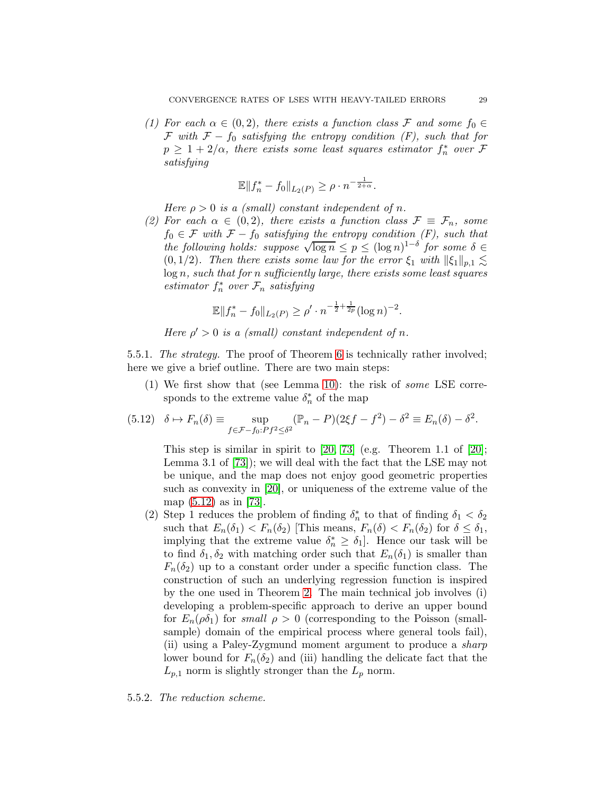(1) For each  $\alpha \in (0, 2)$ , there exists a function class F and some  $f_0 \in$ F with  $F - f_0$  satisfying the entropy condition (F), such that for  $p \geq 1 + 2/\alpha$ , there exists some least squares estimator  $f_n^*$  over  $\mathcal F$ satisfying

$$
\mathbb{E} \|f_n^* - f_0\|_{L_2(P)} \ge \rho \cdot n^{-\frac{1}{2+\alpha}}.
$$

Here  $\rho > 0$  is a (small) constant independent of n.

(2) For each  $\alpha \in (0, 2)$ , there exists a function class  $\mathcal{F} \equiv \mathcal{F}_n$ , some  $f_0 \in \mathcal{F}$  with  $\mathcal{F} - f_0$  satisfying the entropy condition  $(F)$ , such that the following holds: suppose  $\sqrt{\log n} \le p \le (\log n)^{1-\delta}$  for some  $\delta \in$  $(0, 1/2)$ . Then there exists some law for the error  $\xi_1$  with  $\|\xi_1\|_{p,1} \leq$  $log n$ , such that for n sufficiently large, there exists some least squares  $estimator f<sub>n</sub><sup>*</sup> over F<sub>n</sub> satisfying$ 

$$
\mathbb{E}||f_n^* - f_0||_{L_2(P)} \ge \rho' \cdot n^{-\frac{1}{2} + \frac{1}{2p}} (\log n)^{-2}.
$$

Here  $\rho' > 0$  is a (small) constant independent of n.

5.5.1. The strategy. The proof of Theorem [6](#page-27-1) is technically rather involved; here we give a brief outline. There are two main steps:

(1) We first show that (see Lemma [10\)](#page-29-0): the risk of some LSE corresponds to the extreme value  $\delta_n^*$  of the map

<span id="page-28-0"></span>
$$
(5.12) \quad \delta \mapsto F_n(\delta) \equiv \sup_{f \in \mathcal{F} - f_0: P f^2 \le \delta^2} (\mathbb{P}_n - P)(2\xi f - f^2) - \delta^2 \equiv E_n(\delta) - \delta^2.
$$

This step is similar in spirit to  $[20, 73]$  $[20, 73]$  (e.g. Theorem 1.1 of  $[20]$ ; Lemma 3.1 of [\[73\]](#page-49-9)); we will deal with the fact that the LSE may not be unique, and the map does not enjoy good geometric properties such as convexity in [\[20\]](#page-46-16), or uniqueness of the extreme value of the map [\(5.12\)](#page-28-0) as in [\[73\]](#page-49-9).

(2) Step 1 reduces the problem of finding  $\delta_n^*$  to that of finding  $\delta_1 < \delta_2$ such that  $E_n(\delta_1) < F_n(\delta_2)$  [This means,  $F_n(\delta) < F_n(\delta_2)$  for  $\delta \leq \delta_1$ , implying that the extreme value  $\delta_n^* \geq \delta_1$ . Hence our task will be to find  $\delta_1, \delta_2$  with matching order such that  $E_n(\delta_1)$  is smaller than  $F_n(\delta_2)$  up to a constant order under a specific function class. The construction of such an underlying regression function is inspired by the one used in Theorem [2.](#page-8-0) The main technical job involves (i) developing a problem-specific approach to derive an upper bound for  $E_n(\rho \delta_1)$  for small  $\rho > 0$  (corresponding to the Poisson (smallsample) domain of the empirical process where general tools fail), (ii) using a Paley-Zygmund moment argument to produce a sharp lower bound for  $F_n(\delta_2)$  and (iii) handling the delicate fact that the  $L_{p,1}$  norm is slightly stronger than the  $L_p$  norm.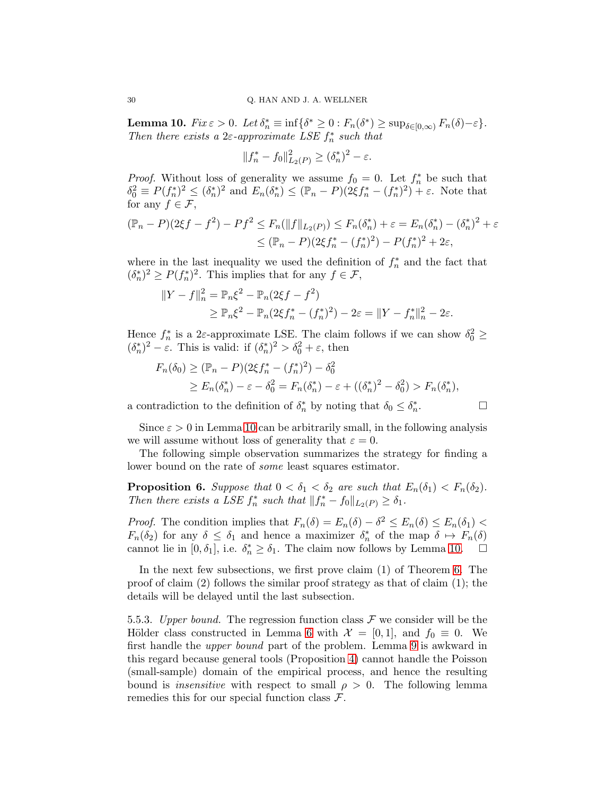<span id="page-29-0"></span>**Lemma 10.**  $Fix \varepsilon > 0$ . Let  $\delta_n^* \equiv \inf \{ \delta^* \geq 0 : F_n(\delta^*) \geq \sup_{\delta \in [0,\infty)} F_n(\delta) - \varepsilon \}.$ Then there exists a  $2\varepsilon$ -approximate LSE  $f_n^*$  such that

$$
||f_n^* - f_0||_{L_2(P)}^2 \ge (\delta_n^*)^2 - \varepsilon.
$$

*Proof.* Without loss of generality we assume  $f_0 = 0$ . Let  $f_n^*$  be such that  $\delta_0^2 \equiv P(f_n^*)^2 \le (\delta_n^*)^2$  and  $E_n(\delta_n^*) \le (\mathbb{P}_n - P)(2\xi f_n^* - (f_n^*)^2) + \varepsilon$ . Note that for any  $f \in \mathcal{F}$ ,

$$
(\mathbb{P}_n - P)(2\xi f - f^2) - Pf^2 \le F_n(\|f\|_{L_2(P)}) \le F_n(\delta_n^*) + \varepsilon = E_n(\delta_n^*) - (\delta_n^*)^2 + \varepsilon
$$
  

$$
\le (\mathbb{P}_n - P)(2\xi f_n^* - (f_n^*)^2) - P(f_n^*)^2 + 2\varepsilon,
$$

where in the last inequality we used the definition of  $f_n^*$  and the fact that  $(\delta_n^*)^2 \ge P(f_n^*)^2$ . This implies that for any  $f \in \mathcal{F}$ ,

$$
||Y - f||_n^2 = \mathbb{P}_n \xi^2 - \mathbb{P}_n (2\xi f - f^2)
$$
  
\n
$$
\geq \mathbb{P}_n \xi^2 - \mathbb{P}_n (2\xi f_n^* - (f_n^*)^2) - 2\varepsilon = ||Y - f_n^*||_n^2 - 2\varepsilon.
$$

Hence  $f_n^*$  is a 2 $\varepsilon$ -approximate LSE. The claim follows if we can show  $\delta_0^2 \ge$  $(\delta_n^*)^2 - \varepsilon$ . This is valid: if  $(\delta_n^*)^2 > \delta_0^2 + \varepsilon$ , then

$$
F_n(\delta_0) \ge (\mathbb{P}_n - P)(2\xi f_n^* - (f_n^*)^2) - \delta_0^2
$$
  
 
$$
\ge E_n(\delta_n^*) - \varepsilon - \delta_0^2 = F_n(\delta_n^*) - \varepsilon + ((\delta_n^*)^2 - \delta_0^2) > F_n(\delta_n^*),
$$

a contradiction to the definition of  $\delta_n^*$  by noting that  $\delta_0 \leq \delta_n^*$ 

 $\Box$ 

Since  $\varepsilon > 0$  in Lemma [10](#page-29-0) can be arbitrarily small, in the following analysis we will assume without loss of generality that  $\varepsilon = 0$ .

The following simple observation summarizes the strategy for finding a lower bound on the rate of some least squares estimator.

<span id="page-29-1"></span>**Proposition 6.** Suppose that  $0 < \delta_1 < \delta_2$  are such that  $E_n(\delta_1) < F_n(\delta_2)$ . Then there exists a LSE  $f_n^*$  such that  $||f_n^* - f_0||_{L_2(P)} \ge \delta_1$ .

*Proof.* The condition implies that  $F_n(\delta) = E_n(\delta) - \delta^2 \le E_n(\delta) \le E_n(\delta_1)$  $F_n(\delta_2)$  for any  $\delta \leq \delta_1$  and hence a maximizer  $\delta_n^*$  of the map  $\delta \mapsto F_n(\delta)$ cannot lie in  $[0, \delta_1]$ , i.e.  $\delta_n^* \geq \delta_1$ . The claim now follows by Lemma [10.](#page-29-0)  $\Box$ 

In the next few subsections, we first prove claim (1) of Theorem [6.](#page-27-1) The proof of claim  $(2)$  follows the similar proof strategy as that of claim  $(1)$ ; the details will be delayed until the last subsection.

5.5.3. Upper bound. The regression function class  $\mathcal F$  we consider will be the Hölder class constructed in Lemma [6](#page-22-3) with  $\mathcal{X} = [0,1]$ , and  $f_0 \equiv 0$ . We first handle the upper bound part of the problem. Lemma [9](#page-27-0) is awkward in this regard because general tools (Proposition [4\)](#page-22-0) cannot handle the Poisson (small-sample) domain of the empirical process, and hence the resulting bound is *insensitive* with respect to small  $\rho > 0$ . The following lemma remedies this for our special function class  $\mathcal{F}$ .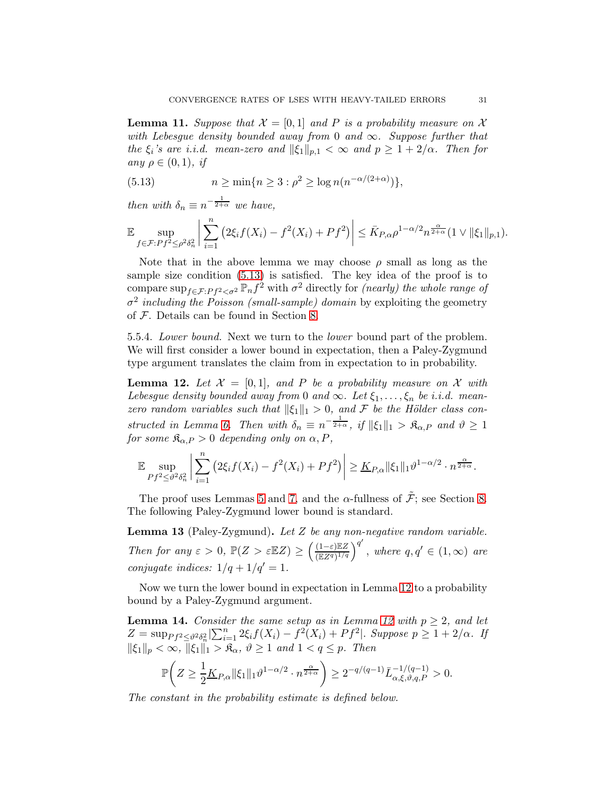<span id="page-30-2"></span>**Lemma 11.** Suppose that  $\mathcal{X} = [0, 1]$  and P is a probability measure on X with Lebesgue density bounded away from 0 and  $\infty$ . Suppose further that the  $\xi_i$ 's are i.i.d. mean-zero and  $\|\xi_1\|_{p,1} < \infty$  and  $p \geq 1 + 2/\alpha$ . Then for any  $\rho \in (0,1)$ , if

<span id="page-30-0"></span>(5.13) 
$$
n \ge \min\{n \ge 3 : \rho^2 \ge \log n(n^{-\alpha/(2+\alpha)})\},\
$$

then with  $\delta_n \equiv n^{-\frac{1}{2+\alpha}}$  we have,

$$
\mathbb{E}\sup_{f\in\mathcal{F}:Pf^2\leq \rho^2\delta_n^2}\bigg|\sum_{i=1}^n\big(2\xi_if(X_i)-f^2(X_i)+Pf^2\big)\bigg|\leq \bar{K}_{P,\alpha}\rho^{1-\alpha/2}n^{\frac{\alpha}{2+\alpha}}(1\vee\|\xi_1\|_{p,1}).
$$

Note that in the above lemma we may choose  $\rho$  small as long as the sample size condition [\(5.13\)](#page-30-0) is satisfied. The key idea of the proof is to compare  $\sup_{f \in \mathcal{F}:Pf^2 < \sigma^2} \mathbb{P}_n f^2$  with  $\sigma^2$  directly for *(nearly) the whole range of*  $\sigma^2$  including the Poisson (small-sample) domain by exploiting the geometry of F. Details can be found in Section [8.](#page-41-0)

5.5.4. Lower bound. Next we turn to the lower bound part of the problem. We will first consider a lower bound in expectation, then a Paley-Zygmund type argument translates the claim from in expectation to in probability.

<span id="page-30-1"></span>**Lemma 12.** Let  $\mathcal{X} = [0, 1]$ , and P be a probability measure on X with Lebesgue density bounded away from 0 and  $\infty$ . Let  $\xi_1, \ldots, \xi_n$  be i.i.d. meanzero random variables such that  $\|\xi_1\|_1 > 0$ , and F be the Hölder class con-structed in Lemma [6.](#page-22-3) Then with  $\delta_n \equiv n^{-\frac{1}{2+\alpha}}$ , if  $\|\xi_1\|_1 > \mathfrak{K}_{\alpha,P}$  and  $\vartheta \geq 1$ for some  $\mathfrak{K}_{\alpha,P} > 0$  depending only on  $\alpha, P$ ,

$$
\mathbb{E}\sup_{Pf^2\leq\vartheta^2\delta_n^2}\bigg|\sum_{i=1}^n\big(2\xi_if(X_i)-f^2(X_i)+Pf^2\big)\bigg|\geq \underline{K}_{P,\alpha}\|\xi_1\|_1\vartheta^{1-\alpha/2}\cdot n^{\frac{\alpha}{2+\alpha}}.
$$

The proof uses Lemmas [5](#page-22-4) and [7,](#page-25-1) and the  $\alpha$ -fullness of  $\tilde{\mathcal{F}}$ ; see Section [8.](#page-41-0) The following Paley-Zygmund lower bound is standard.

<span id="page-30-4"></span>**Lemma 13** (Paley-Zygmund). Let  $Z$  be any non-negative random variable. Then for any  $\varepsilon > 0$ ,  $\mathbb{P}(Z > \varepsilon \mathbb{E}Z) \ge \left(\frac{(1-\varepsilon)\mathbb{E}Z}{(\mathbb{E}Z^q)^{1/q}}\right)^{q'}$ , where  $q, q' \in (1, \infty)$  are conjugate indices:  $1/q + 1/q' = 1$ .

Now we turn the lower bound in expectation in Lemma [12](#page-30-1) to a probability bound by a Paley-Zygmund argument.

<span id="page-30-3"></span>**Lemma 14.** Consider the same setup as in Lemma [12](#page-30-1) with  $p \geq 2$ , and let  $Z = \sup_{P f^2 \leq \vartheta^2 \delta_n^2} |\sum_{i=1}^n 2\xi_i f(X_i) - f^2(X_i) + Pf^2|.$  Suppose  $p \geq 1 + 2/\alpha$ . If  $\|\xi_1\|_p < \infty$ ,  $\|\xi_1\|_1 > \mathfrak{K}_{\alpha}$ ,  $\vartheta \ge 1$  and  $1 < q \le p$ . Then

$$
\mathbb{P}\bigg(Z \ge \frac{1}{2} \underline{K}_{P,\alpha} \|\xi_1\|_1 \vartheta^{1-\alpha/2} \cdot n^{\frac{\alpha}{2+\alpha}}\bigg) \ge 2^{-q/(q-1)} \bar{L}_{\alpha,\xi,\vartheta,q,P}^{-1/(q-1)} > 0.
$$

The constant in the probability estimate is defined below.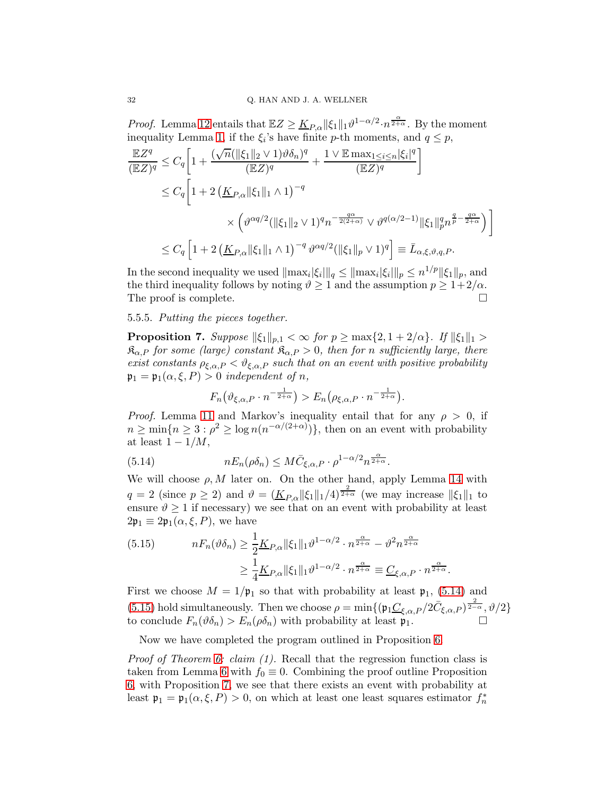*Proof.* Lemma [12](#page-30-1) entails that  $\mathbb{E}Z \geq \underline{K}_{P,\alpha} ||\xi_1||_1 \vartheta^{1-\alpha/2} \cdot n^{\frac{\alpha}{2+\alpha}}$ . By the moment inequality Lemma [1,](#page-7-1) if the  $\xi_i$ 's have finite p-th moments, and  $q \leq p$ ,

$$
\frac{\mathbb{E}Z^{q}}{(\mathbb{E}Z)^{q}} \leq C_{q} \left[ 1 + \frac{(\sqrt{n}(\|\xi_{1}\|_{2} \vee 1)\vartheta \delta_{n})^{q}}{(\mathbb{E}Z)^{q}} + \frac{1 \vee \mathbb{E} \max_{1 \leq i \leq n} |\xi_{i}|^{q}}{(\mathbb{E}Z)^{q}} \right]
$$
  
\n
$$
\leq C_{q} \left[ 1 + 2 \left( \underline{K}_{P,\alpha} \|\xi_{1}\|_{1} \wedge 1 \right)^{-q} \right]
$$
  
\n
$$
\times \left( \vartheta^{\alpha q/2} (\|\xi_{1}\|_{2} \vee 1)^{q} n^{-\frac{q\alpha}{2(2+\alpha)}} \vee \vartheta^{q(\alpha/2-1)} \|\xi_{1}\|_{p}^{q} n^{\frac{q}{p} - \frac{q\alpha}{2+\alpha}} \right) \right]
$$
  
\n
$$
\leq C_{q} \left[ 1 + 2 \left( \underline{K}_{P,\alpha} \|\xi_{1}\|_{1} \wedge 1 \right)^{-q} \vartheta^{\alpha q/2} (\|\xi_{1}\|_{p} \vee 1)^{q} \right] \equiv \bar{L}_{\alpha,\xi,\vartheta,q,P}.
$$

In the second inequality we used  $\|\max_i |\xi_i|\|_q \leq \|\max_i |\xi_i|\|_p \leq n^{1/p} \|\xi_1\|_p$ , and the third inequality follows by noting  $\vartheta \ge 1$  and the assumption  $p \ge 1+2/\alpha$ .<br>The proof is complete The proof is complete.

5.5.5. Putting the pieces together.

<span id="page-31-2"></span>**Proposition 7.** Suppose  $\|\xi_1\|_{p,1} < \infty$  for  $p \ge \max\{2, 1 + 2/\alpha\}$ . If  $\|\xi_1\|_1 >$  $\mathfrak{K}_{\alpha,P}$  for some (large) constant  $\mathfrak{K}_{\alpha,P} > 0$ , then for n sufficiently large, there exist constants  $\rho_{\xi,\alpha,P} < \vartheta_{\xi,\alpha,P}$  such that on an event with positive probability  $\mathfrak{p}_1 = \mathfrak{p}_1(\alpha, \xi, P) > 0$  independent of n,

$$
F_n(\vartheta_{\xi,\alpha,P} \cdot n^{-\frac{1}{2+\alpha}}) > E_n(\rho_{\xi,\alpha,P} \cdot n^{-\frac{1}{2+\alpha}}).
$$

*Proof.* Lemma [11](#page-30-2) and Markov's inequality entail that for any  $\rho > 0$ , if  $n \geq \min\{n \geq 3 : \rho^2 \geq \log n(n^{-\alpha/(2+\alpha)})\},\$  then on an event with probability at least  $1 - 1/M$ ,

<span id="page-31-0"></span>(5.14) 
$$
nE_n(\rho\delta_n) \leq M\bar{C}_{\xi,\alpha,P} \cdot \rho^{1-\alpha/2} n^{\frac{\alpha}{2+\alpha}}.
$$

We will choose  $\rho$ , M later on. On the other hand, apply Lemma [14](#page-30-3) with  $q = 2$  (since  $p \ge 2$ ) and  $\vartheta = (\underline{K}_{P,\alpha} ||\xi_1||_1/4)^{\frac{2}{2+\alpha}}$  (we may increase  $||\xi_1||_1$  to ensure  $\vartheta \geq 1$  if necessary) we see that on an event with probability at least  $2\mathfrak{p}_1 \equiv 2\mathfrak{p}_1(\alpha,\xi,P)$ , we have

<span id="page-31-1"></span>(5.15) 
$$
nF_n(\vartheta \delta_n) \ge \frac{1}{2} \underline{K}_{P,\alpha} \|\xi_1\|_1 \vartheta^{1-\alpha/2} \cdot n^{\frac{\alpha}{2+\alpha}} - \vartheta^2 n^{\frac{\alpha}{2+\alpha}}
$$

$$
\ge \frac{1}{4} \underline{K}_{P,\alpha} \|\xi_1\|_1 \vartheta^{1-\alpha/2} \cdot n^{\frac{\alpha}{2+\alpha}} \equiv \underline{C}_{\xi,\alpha,P} \cdot n^{\frac{\alpha}{2+\alpha}}.
$$

First we choose  $M = 1/\mathfrak{p}_1$  so that with probability at least  $\mathfrak{p}_1$ , [\(5.14\)](#page-31-0) and [\(5.15\)](#page-31-1) hold simultaneously. Then we choose  $\rho = \min\{(\mathfrak{p}_1 \underline{C}_{\xi,\alpha,P}/2\overline{C}_{\xi,\alpha,P})^{\frac{2}{2-\alpha}},\vartheta/2\}$ to conclude  $F_n(\vartheta \delta_n) > E_n(\rho \delta_n)$  with probability at least  $\mathfrak{p}_1$ .

Now we have completed the program outlined in Proposition [6.](#page-29-1)

*Proof of Theorem [6:](#page-27-1) claim (1).* Recall that the regression function class is taken from Lemma [6](#page-22-3) with  $f_0 \equiv 0$ . Combining the proof outline Proposition [6,](#page-29-1) with Proposition [7,](#page-31-2) we see that there exists an event with probability at least  $\mathfrak{p}_1 = \mathfrak{p}_1(\alpha, \xi, P) > 0$ , on which at least one least squares estimator  $f_n^*$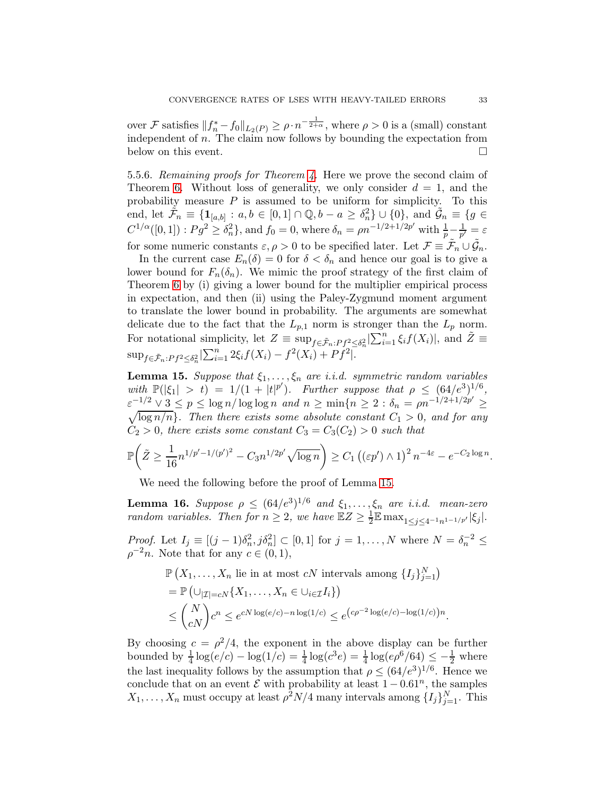over F satisfies  $||f_n^* - f_0||_{L_2(P)} \ge \rho \cdot n^{-\frac{1}{2+\alpha}}$ , where  $\rho > 0$  is a (small) constant independent of n. The claim now follows by bounding the expectation from below on this event.

5.5.6. Remaining proofs for Theorem [4.](#page-14-0) Here we prove the second claim of Theorem [6.](#page-27-1) Without loss of generality, we only consider  $d = 1$ , and the probability measure  $P$  is assumed to be uniform for simplicity. To this end, let  $\tilde{\mathcal{F}}_n \equiv \{\mathbf{1}_{[a,b]} : a,b \in [0,1] \cap \mathbb{Q}, b-a \geq \delta_n^2\} \cup \{0\}$ , and  $\tilde{\mathcal{G}}_n \equiv \{g \in$  $C^{1/\alpha}([0,1]) : Pg^2 \geq \delta_n^2$ , and  $f_0 = 0$ , where  $\delta_n = \rho n^{-1/2 + 1/2p'}$  with  $\frac{1}{p} - \frac{1}{p'}$  $\frac{1}{p'} = \varepsilon$ for some numeric constants  $\varepsilon, \rho > 0$  to be specified later. Let  $\mathcal{F} \equiv \tilde{\mathcal{F}}_n \cup \tilde{\mathcal{G}}_n$ .

In the current case  $E_n(\delta) = 0$  for  $\delta < \delta_n$  and hence our goal is to give a lower bound for  $F_n(\delta_n)$ . We mimic the proof strategy of the first claim of Theorem [6](#page-27-1) by (i) giving a lower bound for the multiplier empirical process in expectation, and then (ii) using the Paley-Zygmund moment argument to translate the lower bound in probability. The arguments are somewhat delicate due to the fact that the  $L_{p,1}$  norm is stronger than the  $L_p$  norm. For notational simplicity, let  $Z \equiv \sup_{f \in \tilde{\mathcal{F}}_n : Pf^2 \leq \delta_n^2} \left| \sum_{i=1}^n \xi_i f(X_i) \right|$ , and  $\tilde{Z} \equiv$  $\sup_{f \in \tilde{\mathcal{F}}_n : Pf^2 \leq \delta_n^2} |\sum_{i=1}^n 2\xi_i f(X_i) - f^2(X_i) + Pf^2|.$ 

<span id="page-32-0"></span>**Lemma 15.** Suppose that  $\xi_1, \ldots, \xi_n$  are i.i.d. symmetric random variables with  $\mathbb{P}(|\xi_1| > t) = 1/(1 + |t|^p')$ . Further suppose that  $\rho \leq (64/e^3)^{1/6}$ ,  $\varepsilon^{-1/2} \vee 3 \leq p \leq \log n / \log \log n$  and  $n \geq \min\{n \geq 2 : \delta_n = \rho n^{-1/2 + 1/2p'} \geq 1\}$  $\sqrt{\log n/n}$ . Then there exists some absolute constant  $C_1 > 0$ , and for any  $C_2 > 0$ , there exists some constant  $C_3 = C_3(C_2) > 0$  such that

$$
\mathbb{P}\bigg(\tilde{Z} \ge \frac{1}{16} n^{1/p'-1/(p')^2} - C_3 n^{1/2p'} \sqrt{\log n}\bigg) \ge C_1 \left((\varepsilon p') \wedge 1\right)^2 n^{-4\varepsilon} - e^{-C_2 \log n}
$$

We need the following before the proof of Lemma [15.](#page-32-0)

<span id="page-32-1"></span>**Lemma 16.** Suppose  $\rho \leq (64/e^3)^{1/6}$  and  $\xi_1, \ldots, \xi_n$  are i.i.d. mean-zero random variables. Then for  $n \geq 2$ , we have  $\mathbb{E}Z \geq \frac{1}{2}$  $\frac{1}{2} \mathbb{E} \max_{1 \leq j \leq 4^{-1} n^{1-1/p'}} |\xi_j|.$ 

Proof. Let  $I_j \equiv [(j-1)\delta_n^2, j\delta_n^2] \subset [0,1]$  for  $j=1,\ldots,N$  where  $N=\delta_n^{-2} \le$  $\rho^{-2}n$ . Note that for any  $c \in (0,1)$ ,

$$
\mathbb{P}\left(X_1,\ldots,X_n \text{ lie in at most } cN \text{ intervals among } \{I_j\}_{j=1}^N\right)
$$
  
= 
$$
\mathbb{P}\left(\bigcup_{|\mathcal{I}|=cN} \{X_1,\ldots,X_n \in \bigcup_{i \in \mathcal{I}} I_i\}\right)
$$
  

$$
\leq {N \choose cN} c^n \leq e^{cN \log(e/c) - n \log(1/c)} \leq e^{(c\rho^{-2} \log(e/c) - \log(1/c))n}.
$$

By choosing  $c = \rho^2/4$ , the exponent in the above display can be further bounded by  $\frac{1}{4} \log(e/c) - \log(1/c) = \frac{1}{4} \log(c^3 e) = \frac{1}{4} \log(e\rho^6/64) \leq -\frac{1}{2}$  where the last inequality follows by the assumption that  $\rho \leq (64/e^3)^{1/6}$ . Hence we conclude that on an event  $\mathcal E$  with probability at least  $1 - 0.61^n$ , the samples  $X_1, \ldots, X_n$  must occupy at least  $\rho^2 N/4$  many intervals among  $\{I_j\}_{j=1}^N$ . This

.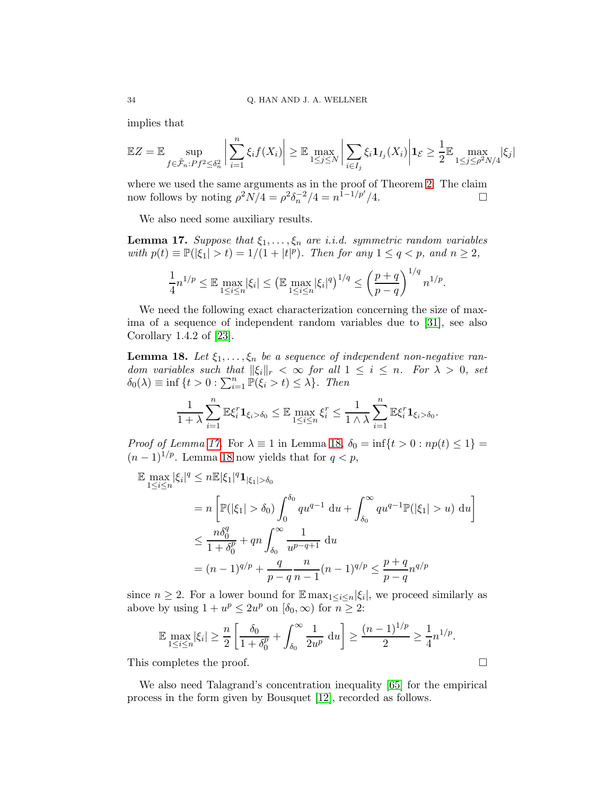implies that

$$
\mathbb{E}Z = \mathbb{E} \sup_{f \in \tilde{\mathcal{F}}_n: Pf^2 \leq \delta_n^2} \left| \sum_{i=1}^n \xi_i f(X_i) \right| \geq \mathbb{E} \max_{1 \leq j \leq N} \left| \sum_{i \in I_j} \xi_i \mathbf{1}_{I_j}(X_i) \right| \mathbf{1}_{\mathcal{E}} \geq \frac{1}{2} \mathbb{E} \max_{1 \leq j \leq \rho^2 N/4} |\xi_j|
$$

where we used the same arguments as in the proof of Theorem [2.](#page-8-0) The claim now follows by noting  $\rho^2 N/4 = \rho^2 \delta_n^{-2}/4 = n^{1-1/p'}/4$ .

We also need some auxiliary results.

<span id="page-33-0"></span>**Lemma 17.** Suppose that  $\xi_1, \ldots, \xi_n$  are i.i.d. symmetric random variables with  $p(t) \equiv \mathbb{P}(|\xi_1| > t) = 1/(1 + |t|^p)$ . Then for any  $1 \le q < p$ , and  $n \ge 2$ ,

$$
\frac{1}{4}n^{1/p} \leq \mathbb{E} \max_{1 \leq i \leq n} |\xi_i| \leq \left( \mathbb{E} \max_{1 \leq i \leq n} |\xi_i|^q \right)^{1/q} \leq \left( \frac{p+q}{p-q} \right)^{1/q} n^{1/p}.
$$

We need the following exact characterization concerning the size of maxima of a sequence of independent random variables due to [\[31\]](#page-47-22), see also Corollary 1.4.2 of [\[23\]](#page-46-17).

<span id="page-33-1"></span>**Lemma 18.** Let  $\xi_1, \ldots, \xi_n$  be a sequence of independent non-negative random variables such that  $\|\xi_i\|_r < \infty$  for all  $1 \leq i \leq n$ . For  $\lambda > 0$ , set  $\delta_0(\lambda) \equiv \inf \{ t > 0 : \sum_{i=1}^n \mathbb{P}(\xi_i > t) \leq \lambda \}.$  Then

$$
\frac{1}{1+\lambda}\sum_{i=1}^n\mathbb{E}\xi_i^r\mathbf{1}_{\xi_i>\delta_0}\leq \mathbb{E}\max_{1\leq i\leq n}\xi_i^r\leq \frac{1}{1\wedge\lambda}\sum_{i=1}^n\mathbb{E}\xi_i^r\mathbf{1}_{\xi_i>\delta_0}.
$$

Proof of Lemma [17.](#page-33-0) For  $\lambda \equiv 1$  in Lemma [18,](#page-33-1)  $\delta_0 = \inf\{t > 0 : np(t) \leq 1\}$  $(n-1)^{1/p}$ . Lemma [18](#page-33-1) now yields that for  $q < p$ ,

$$
\mathbb{E} \max_{1 \le i \le n} |\xi_i|^q \le n \mathbb{E} |\xi_1|^q \mathbf{1}_{|\xi_1| > \delta_0}
$$
\n
$$
= n \left[ \mathbb{P}(|\xi_1| > \delta_0) \int_0^{\delta_0} q u^{q-1} du + \int_{\delta_0}^{\infty} q u^{q-1} \mathbb{P}(|\xi_1| > u) du \right]
$$
\n
$$
\le \frac{n \delta_0^q}{1 + \delta_0^p} + q n \int_{\delta_0}^{\infty} \frac{1}{u^{p-q+1}} du
$$
\n
$$
= (n-1)^{q/p} + \frac{q}{p-q} \frac{n}{n-1} (n-1)^{q/p} \le \frac{p+q}{p-q} n^{q/p}
$$

since  $n \geq 2$ . For a lower bound for  $\mathbb{E} \max_{1 \leq i \leq n} |\xi_i|$ , we proceed similarly as above by using  $1 + u^p \le 2u^p$  on  $[\delta_0, \infty)$  for  $n \ge 2$ :

$$
\mathbb{E}\max_{1\leq i\leq n}|\xi_i|\geq \frac{n}{2}\left[\frac{\delta_0}{1+\delta_0^p}+\int_{\delta_0}^{\infty}\frac{1}{2u^p}\,\mathrm{d}u\right]\geq \frac{(n-1)^{1/p}}{2}\geq \frac{1}{4}n^{1/p}.
$$

This completes the proof.

We also need Talagrand's concentration inequality [\[65\]](#page-48-19) for the empirical process in the form given by Bousquet [\[12\]](#page-46-18), recorded as follows.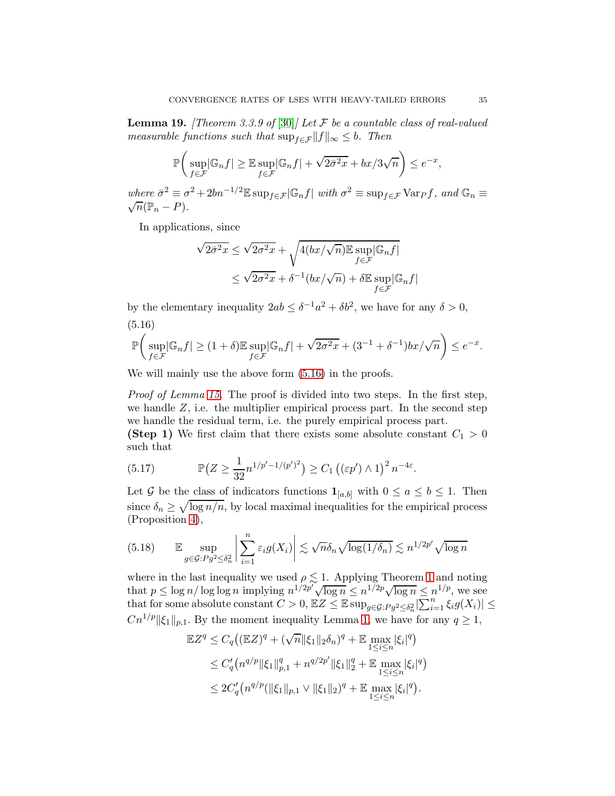<span id="page-34-3"></span>**Lemma 19.** [Theorem 3.3.9 of [\[30\]](#page-47-4)] Let  $\mathcal F$  be a countable class of real-valued measurable functions such that  $\sup_{f \in \mathcal{F}} ||f||_{\infty} \leq b$ . Then

$$
\mathbb{P}\bigg(\sup_{f\in\mathcal{F}}|\mathbb{G}_n f| \ge \mathbb{E}\sup_{f\in\mathcal{F}}|\mathbb{G}_n f| + \sqrt{2\bar{\sigma}^2x} + bx/3\sqrt{n}\bigg) \le e^{-x},
$$

where  $\bar{\sigma}^2 \equiv \sigma^2 + 2bn^{-1/2} \mathbb{E} \sup_{f \in \mathcal{F}} |\mathbb{G}_n f|$  with  $\sigma^2 \equiv \sup_{f \in \mathcal{F}} \text{Var}_f f$ , and  $\mathbb{G}_n \equiv$  $\sqrt{n}(\mathbb{P}_n - P).$ 

In applications, since

$$
\sqrt{2\bar{\sigma}^2 x} \le \sqrt{2\sigma^2 x} + \sqrt{4(bx/\sqrt{n}) \mathbb{E} \sup_{f \in \mathcal{F}} |\mathbb{G}_n f|}
$$
  
 
$$
\le \sqrt{2\sigma^2 x} + \delta^{-1}(bx/\sqrt{n}) + \delta \mathbb{E} \sup_{f \in \mathcal{F}} |\mathbb{G}_n f|
$$

by the elementary inequality  $2ab \leq \delta^{-1}a^2 + \delta b^2$ , we have for any  $\delta > 0$ ,

<span id="page-34-0"></span>(5.16)

$$
\mathbb{P}\bigg(\sup_{f\in\mathcal{F}}|\mathbb{G}_n f|\geq (1+\delta)\mathbb{E}\sup_{f\in\mathcal{F}}|\mathbb{G}_n f|+\sqrt{2\sigma^2x}+(3^{-1}+\delta^{-1})bx/\sqrt{n}\bigg)\leq e^{-x}.
$$

We will mainly use the above form  $(5.16)$  in the proofs.

Proof of Lemma [15.](#page-32-0) The proof is divided into two steps. In the first step, we handle  $Z$ , i.e. the multiplier empirical process part. In the second step we handle the residual term, i.e. the purely empirical process part.

(Step 1) We first claim that there exists some absolute constant  $C_1 > 0$ such that

<span id="page-34-1"></span>(5.17) 
$$
\mathbb{P}\left(Z \ge \frac{1}{32}n^{1/p'-1/(p')^2}\right) \ge C_1\left(\left(\varepsilon p'\right) \wedge 1\right)^2 n^{-4\varepsilon}.
$$

Let G be the class of indicators functions  $\mathbf{1}_{[a,b]}$  with  $0 \le a \le b \le 1$ . Then since  $\delta_n \geq \sqrt{\log n/n}$ , by local maximal inequalities for the empirical process (Proposition [4\)](#page-22-0),

<span id="page-34-2"></span>
$$
(5.18) \qquad \mathbb{E} \sup_{g \in \mathcal{G}: P g^2 \le \delta_n^2} \left| \sum_{i=1}^n \varepsilon_i g(X_i) \right| \lesssim \sqrt{n} \delta_n \sqrt{\log(1/\delta_n)} \lesssim n^{1/2p'} \sqrt{\log n}
$$

where in the last inequality we used  $\rho \lesssim 1$  $\rho \lesssim 1$ . Applying Theorem 1 and noting that  $p \leq \log n / \log \log n$  implying  $n^{1/2p} \sqrt{\log n} \leq n^{1/2p} \sqrt{\log n} \leq n^{1/p}$ , we see that for some absolute constant  $C > 0$ ,  $EZ \leq \mathbb{E} \sup_{g \in \mathcal{G}: Pg^2 \leq \delta_n^2} |\sum_{i=1}^n \xi_i g(X_i)| \leq$  $Cn^{1/p}$   $\|\xi_1\|_{p,1}$ . By the moment inequality Lemma [1,](#page-7-1) we have for any  $q \geq 1$ ,

$$
\mathbb{E}Z^{q} \leq C_{q} \left( (\mathbb{E}Z)^{q} + (\sqrt{n} \|\xi_{1}\|_{2} \delta_{n})^{q} + \mathbb{E} \max_{1 \leq i \leq n} |\xi_{i}|^{q} \right)
$$
  
\n
$$
\leq C_{q}' \left( n^{q/p} \|\xi_{1}\|_{p,1}^{q} + n^{q/2p'} \|\xi_{1}\|_{2}^{q} + \mathbb{E} \max_{1 \leq i \leq n} |\xi_{i}|^{q} \right)
$$
  
\n
$$
\leq 2C_{q}' \left( n^{q/p} (\|\xi_{1}\|_{p,1} \vee \|\xi_{1}\|_{2})^{q} + \mathbb{E} \max_{1 \leq i \leq n} |\xi_{i}|^{q} \right).
$$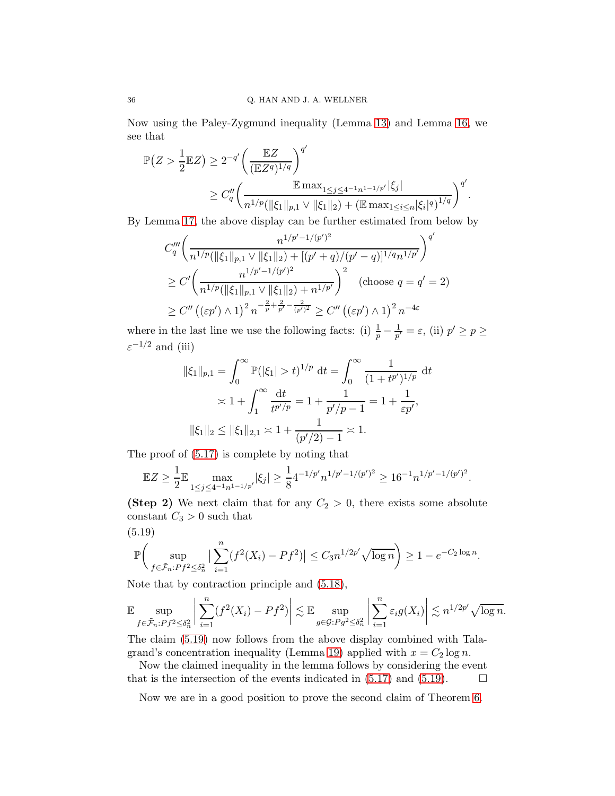Now using the Paley-Zygmund inequality (Lemma [13\)](#page-30-4) and Lemma [16,](#page-32-1) we see that

$$
\mathbb{P}(Z > \frac{1}{2} \mathbb{E}Z) \ge 2^{-q'} \left(\frac{\mathbb{E}Z}{(\mathbb{E}Z^q)^{1/q}}\right)^{q'}
$$
  
 
$$
\ge C''_q \left(\frac{\mathbb{E} \max_{1 \le j \le 4^{-1}n^{1-1/p'}} |\xi_j|}{n^{1/p} (\|\xi_1\|_{p,1} \vee \|\xi_1\|_2) + (\mathbb{E} \max_{1 \le i \le n} |\xi_i|^q)^{1/q}}\right)^{q'}.
$$

By Lemma [17,](#page-33-0) the above display can be further estimated from below by

$$
C_{q}''' \left( \frac{n^{1/p'-1/(p')^{2}}}{n^{1/p}(\|\xi_{1}\|_{p,1} \vee \|\xi_{1}\|_{2}) + [(p'+q)/(p'-q)]^{1/q}n^{1/p'}} \right)^{q'}
$$
  
\n
$$
\geq C' \left( \frac{n^{1/p'-1/(p')^{2}}}{n^{1/p}(\|\xi_{1}\|_{p,1} \vee \|\xi_{1}\|_{2}) + n^{1/p'}} \right)^{2} \quad \text{(choose } q = q' = 2)
$$
  
\n
$$
\geq C'' \left( (\varepsilon p') \wedge 1 \right)^{2} n^{-\frac{2}{p} + \frac{2}{p'} - \frac{2}{(p')^{2}}} \geq C'' \left( (\varepsilon p') \wedge 1 \right)^{2} n^{-4\varepsilon}
$$

where in the last line we use the following facts: (i)  $\frac{1}{p} - \frac{1}{p'}$  $\frac{1}{p'} = \varepsilon$ , (ii)  $p' \ge p \ge$  $\varepsilon^{-1/2}$  and (iii)

$$
\|\xi_1\|_{p,1} = \int_0^\infty \mathbb{P}(|\xi_1| > t)^{1/p} dt = \int_0^\infty \frac{1}{(1 + t^{p'})^{1/p}} dt
$$
  
  $\asymp 1 + \int_1^\infty \frac{dt}{t^{p'/p}} = 1 + \frac{1}{p'/p - 1} = 1 + \frac{1}{\varepsilon p'},$   

$$
\|\xi_1\|_2 \le \|\xi_1\|_{2,1} \asymp 1 + \frac{1}{(p'/2) - 1} \asymp 1.
$$

The proof of [\(5.17\)](#page-34-1) is complete by noting that

$$
\mathbb{E}Z \ge \frac{1}{2} \mathbb{E} \max_{1 \le j \le 4^{-1}n^{1-1/p'}} |\xi_j| \ge \frac{1}{8} 4^{-1/p'} n^{1/p'-1/(p')^2} \ge 16^{-1} n^{1/p'-1/(p')^2}.
$$

(Step 2) We next claim that for any  $C_2 > 0$ , there exists some absolute constant  $C_3 > 0$  such that

<span id="page-35-0"></span>(5.19)  
\n
$$
\mathbb{P}\left(\sup_{f \in \tilde{\mathcal{F}}_n: P f^2 \leq \delta_n^2} \left| \sum_{i=1}^n (f^2(X_i) - P f^2) \right| \leq C_3 n^{1/2p'} \sqrt{\log n} \right) \geq 1 - e^{-C_2 \log n}.
$$

Note that by contraction principle and [\(5.18\)](#page-34-2),

$$
\mathbb{E}\sup_{f\in\tilde{\mathcal{F}}_n: Pf^2\leq \delta_n^2}\left|\sum_{i=1}^n(f^2(X_i)-Pf^2)\right|\lesssim \mathbb{E}\sup_{g\in\mathcal{G}: Pg^2\leq \delta_n^2}\left|\sum_{i=1}^n\varepsilon_ig(X_i)\right|\lesssim n^{1/2p'}\sqrt{\log n}.
$$

The claim [\(5.19\)](#page-35-0) now follows from the above display combined with Tala-grand's concentration inequality (Lemma [19\)](#page-34-3) applied with  $x = C_2 \log n$ .

Now the claimed inequality in the lemma follows by considering the event that is the intersection of the events indicated in  $(5.17)$  and  $(5.19)$ .

Now we are in a good position to prove the second claim of Theorem [6.](#page-27-1)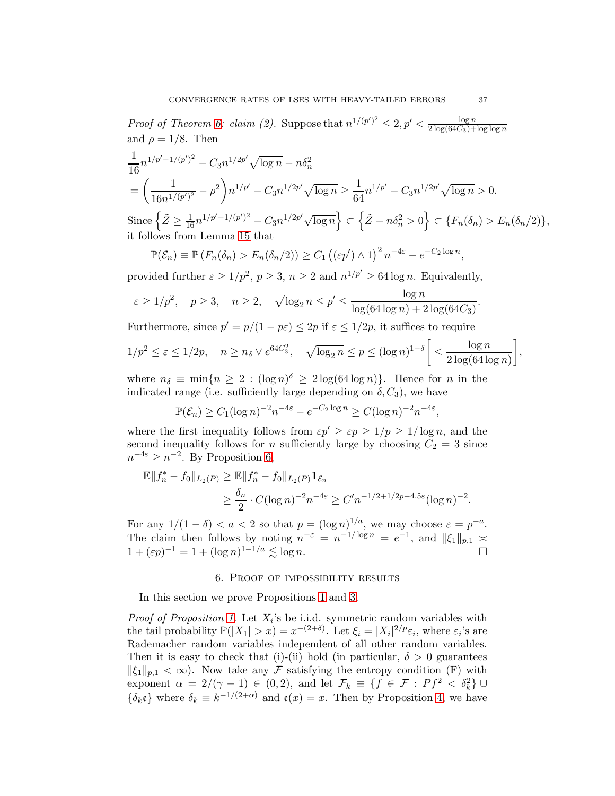*Proof of Theorem [6:](#page-27-1) claim (2).* Suppose that  $n^{1/(p')^2} \leq 2, p' < \frac{\log n}{2 \log (64C_3)+1}$  $2\log(64C_3)+\log\log n$ and  $\rho = 1/8$ . Then

$$
\frac{1}{16}n^{1/p'-1/(p')^2} - C_3n^{1/2p'}\sqrt{\log n} - n\delta_n^2
$$
\n
$$
= \left(\frac{1}{16n^{1/(p')^2}} - \rho^2\right)n^{1/p'} - C_3n^{1/2p'}\sqrt{\log n} \ge \frac{1}{64}n^{1/p'} - C_3n^{1/2p'}\sqrt{\log n} > 0.
$$
\nSince\n
$$
\left\{\tilde{Z} \ge \frac{1}{16}n^{1/p'-1/(p')^2} - C_3n^{1/2p'}\sqrt{\log n}\right\} \subset \left\{\tilde{Z} - n\delta_n^2 > 0\right\} \subset \left\{F_n(\delta_n) > E_n(\delta_n/2)\right\},
$$
\nit follows from Lemma 15 that

 $\mathbb{P}(\mathcal{E}_n) \equiv \mathbb{P}\left(F_n(\delta_n) > E_n(\delta_n/2)\right) \ge C_1 \left(\left(\varepsilon p'\right) \wedge 1\right)^2 n^{-4\varepsilon} - e^{-C_2 \log n},$ 

provided further  $\varepsilon \ge 1/p^2$ ,  $p \ge 3$ ,  $n \ge 2$  and  $n^{1/p'} \ge 64 \log n$ . Equivalently,

$$
\varepsilon \ge 1/p^2
$$
,  $p \ge 3$ ,  $n \ge 2$ ,  $\sqrt{\log_2 n} \le p' \le \frac{\log n}{\log(64 \log n) + 2 \log(64C_3)}$ .

Furthermore, since  $p' = p/(1 - p\varepsilon) \le 2p$  if  $\varepsilon \le 1/2p$ , it suffices to require

$$
1/p^2 \leq \varepsilon \leq 1/2p, \quad n \geq n_\delta \vee e^{64C_3^2}, \quad \sqrt{\log_2 n} \leq p \leq (\log n)^{1-\delta} \bigg[ \leq \frac{\log n}{2 \log(64 \log n)} \bigg],
$$

where  $n_{\delta} \equiv \min\{n \geq 2 : (\log n)^{\delta} \geq 2\log(64\log n)\}\.$  Hence for n in the indicated range (i.e. sufficiently large depending on  $\delta$ ,  $C_3$ ), we have

$$
\mathbb{P}(\mathcal{E}_n) \ge C_1 (\log n)^{-2} n^{-4\varepsilon} - e^{-C_2 \log n} \ge C(\log n)^{-2} n^{-4\varepsilon},
$$

where the first inequality follows from  $\varepsilon p' \geq \varepsilon p \geq 1/p \geq 1/\log n$ , and the second inequality follows for *n* sufficiently large by choosing  $C_2 = 3$  since  $n^{-4\varepsilon} \ge n^{-2}$ . By Proposition [6,](#page-29-1)

$$
\mathbb{E}||f_n^* - f_0||_{L_2(P)} \ge \mathbb{E}||f_n^* - f_0||_{L_2(P)} \mathbf{1}_{\mathcal{E}_n}
$$
  
\n
$$
\ge \frac{\delta_n}{2} \cdot C(\log n)^{-2} n^{-4\epsilon} \ge C'n^{-1/2 + 1/2p - 4.5\epsilon} (\log n)^{-2}.
$$

For any  $1/(1-\delta) < a < 2$  so that  $p = (\log n)^{1/a}$ , we may choose  $\varepsilon = p^{-a}$ . The claim then follows by noting  $n^{-\varepsilon} = n^{-1/\log n} = e^{-1}$ , and  $||\xi_1||_{p,1} \approx$  $1 + (\varepsilon p)^{-1} = 1 + (\log n)^{1-1/a} \lesssim \log n.$ 

#### 6. Proof of impossibility results

In this section we prove Propositions [1](#page-10-0) and [3.](#page-17-0)

*Proof of Proposition [1.](#page-10-0)* Let  $X_i$ 's be i.i.d. symmetric random variables with the tail probability  $\mathbb{P}(|X_1| > x) = x^{-(2+\delta)}$ . Let  $\xi_i = |X_i|^{2/p} \varepsilon_i$ , where  $\varepsilon_i$ 's are Rademacher random variables independent of all other random variables. Then it is easy to check that (i)-(ii) hold (in particular,  $\delta > 0$  guarantees  $\|\xi_1\|_{p,1} < \infty$ ). Now take any F satisfying the entropy condition (F) with exponent  $\alpha = 2/(\gamma - 1) \in (0, 2)$ , and let  $\mathcal{F}_k \equiv \{f \in \mathcal{F} : Pf^2 < \delta_k^2\} \cup$  $\{\delta_k \mathfrak{e}\}\)$  where  $\delta_k \equiv k^{-1/(2+\alpha)}$  and  $\mathfrak{e}(x) = x$ . Then by Proposition [4,](#page-22-0) we have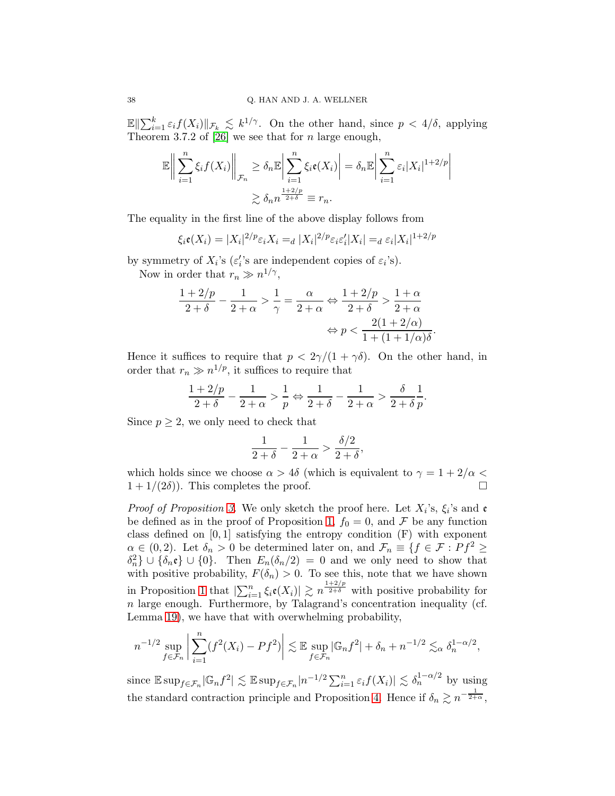$\mathbb{E} \|\sum_{i=1}^k \varepsilon_i f(X_i)\|_{\mathcal{F}_k} \leq k^{1/\gamma}$ . On the other hand, since  $p < 4/\delta$ , applying Theorem 3.7.2 of [\[26\]](#page-47-23) we see that for n large enough,

$$
\mathbb{E}\left\|\sum_{i=1}^n \xi_i f(X_i)\right\|_{\mathcal{F}_n} \ge \delta_n \mathbb{E}\left|\sum_{i=1}^n \xi_i \mathfrak{e}(X_i)\right| = \delta_n \mathbb{E}\left|\sum_{i=1}^n \varepsilon_i |X_i|^{1+2/p}\right|
$$
  

$$
\ge \delta_n n^{\frac{1+2/p}{2+\delta}} \equiv r_n.
$$

The equality in the first line of the above display follows from

$$
\xi_i \mathfrak{e}(X_i) = |X_i|^{2/p} \varepsilon_i X_i =_d |X_i|^{2/p} \varepsilon_i \varepsilon_i' |X_i| =_d \varepsilon_i |X_i|^{1+2/p}
$$

by symmetry of  $X_i$ 's  $(\varepsilon_i$ 's are independent copies of  $\varepsilon_i$ 's).

Now in order that  $r_n \gg n^{1/\gamma}$ ,

$$
\frac{1+2/p}{2+\delta} - \frac{1}{2+\alpha} > \frac{1}{\gamma} = \frac{\alpha}{2+\alpha} \Leftrightarrow \frac{1+2/p}{2+\delta} > \frac{1+\alpha}{2+\alpha}
$$
\n
$$
\Leftrightarrow p < \frac{2(1+2/\alpha)}{1+(1+1/\alpha)\delta}.
$$

Hence it suffices to require that  $p < 2\gamma/(1 + \gamma \delta)$ . On the other hand, in order that  $r_n \gg n^{1/p}$ , it suffices to require that

$$
\frac{1+2/p}{2+\delta}-\frac{1}{2+\alpha}>\frac{1}{p} \Leftrightarrow \frac{1}{2+\delta}-\frac{1}{2+\alpha}>\frac{\delta}{2+\delta}\frac{1}{p}.
$$

Since  $p \geq 2$ , we only need to check that

$$
\frac{1}{2+\delta} - \frac{1}{2+\alpha} > \frac{\delta/2}{2+\delta},
$$

which holds since we choose  $\alpha > 4\delta$  (which is equivalent to  $\gamma = 1 + 2/\alpha <$  $1 + 1/(2\delta)$ . This completes the proof.

*Proof of Proposition [3.](#page-17-0)* We only sketch the proof here. Let  $X_i$ 's,  $\xi_i$ 's and e be defined as in the proof of Proposition [1,](#page-10-0)  $f_0 = 0$ , and F be any function class defined on  $[0, 1]$  satisfying the entropy condition  $(F)$  with exponent  $\alpha \in (0, 2)$ . Let  $\delta_n > 0$  be determined later on, and  $\mathcal{F}_n \equiv \{f \in \mathcal{F} : Pf^2 \geq 0\}$  $\delta_n^2$  ∪  $\{\delta_n \mathfrak{e}\}\cup \{0\}$ . Then  $E_n(\delta_n/2) = 0$  and we only need to show that with positive probability,  $F(\delta_n) > 0$ . To see this, note that we have shown in Proposition [1](#page-10-0) that  $|\sum_{i=1}^n \xi_i \mathfrak{e}(X_i)| \gtrsim n^{\frac{1+2/p}{2+\delta}}$  with positive probability for  $n$  large enough. Furthermore, by Talagrand's concentration inequality (cf. Lemma [19\)](#page-34-3), we have that with overwhelming probability,

$$
n^{-1/2} \sup_{f \in \mathcal{F}_n} \left| \sum_{i=1}^n (f^2(X_i) - Pf^2) \right| \lesssim \mathbb{E} \sup_{f \in \mathcal{F}_n} |\mathbb{G}_n f^2| + \delta_n + n^{-1/2} \lesssim_\alpha \delta_n^{1-\alpha/2},
$$

since  $\mathbb{E} \sup_{f \in \mathcal{F}_n} |\mathbb{G}_n f^2| \lesssim \mathbb{E} \sup_{f \in \mathcal{F}_n} |n^{-1/2} \sum_{i=1}^n \varepsilon_i f(X_i)| \lesssim \delta_n^{1-\alpha/2}$  by using the standard contraction principle and Proposition [4.](#page-22-0) Hence if  $\delta_n \gtrsim n^{-\frac{1}{2+\alpha}}$ ,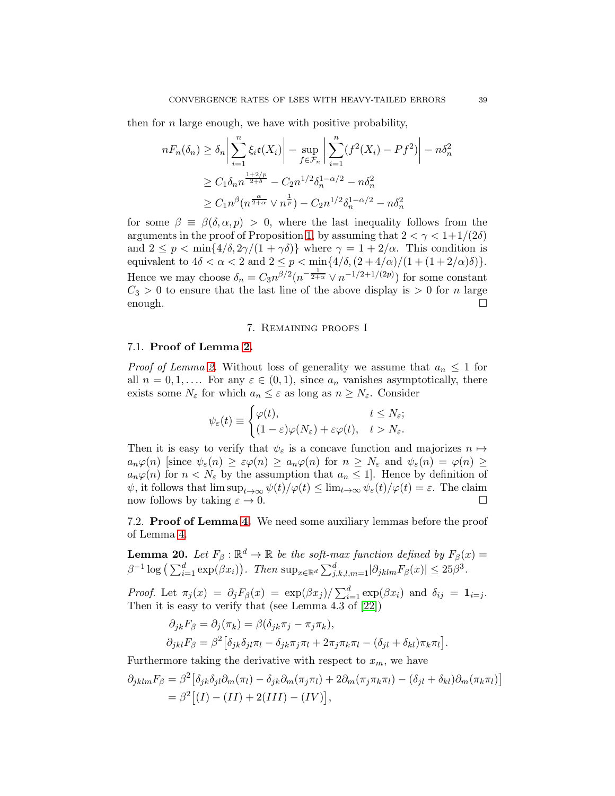then for  $n$  large enough, we have with positive probability,

$$
nF_n(\delta_n) \ge \delta_n \left| \sum_{i=1}^n \xi_i \mathfrak{e}(X_i) \right| - \sup_{f \in \mathcal{F}_n} \left| \sum_{i=1}^n (f^2(X_i) - Pf^2) \right| - n\delta_n^2
$$
  
\n
$$
\ge C_1 \delta_n n^{\frac{1+2/p}{2+\delta}} - C_2 n^{1/2} \delta_n^{1-\alpha/2} - n\delta_n^2
$$
  
\n
$$
\ge C_1 n^{\beta} (n^{\frac{\alpha}{2+\alpha}} \vee n^{\frac{1}{p}}) - C_2 n^{1/2} \delta_n^{1-\alpha/2} - n\delta_n^2
$$

for some  $\beta \equiv \beta(\delta, \alpha, p) > 0$ , where the last inequality follows from the arguments in the proof of Proposition [1,](#page-10-0) by assuming that  $2 < \gamma < 1+1/(2\delta)$ and  $2 \le p < \min\{4/\delta, 2\gamma/(1+\gamma\delta)\}\$  where  $\gamma = 1 + 2/\alpha$ . This condition is equivalent to  $4\delta < \alpha < 2$  and  $2 \le p < \min\{4/\delta, (2+4/\alpha)/(1+(1+2/\alpha)\delta)\}.$ Hence we may choose  $\delta_n = C_3 n^{\beta/2} (n^{-\frac{1}{2+\alpha}} \vee n^{-1/2+1/(2p)})$  for some constant  $C_3 > 0$  to ensure that the last line of the above display is  $> 0$  for n large enough.  $\Box$ 

### 7. Remaining proofs I

# <span id="page-38-0"></span>7.1. Proof of Lemma [2.](#page-10-2)

*Proof of Lemma [2.](#page-10-2)* Without loss of generality we assume that  $a_n \leq 1$  for all  $n = 0, 1, \ldots$  For any  $\varepsilon \in (0, 1)$ , since  $a_n$  vanishes asymptotically, there exists some  $N_{\varepsilon}$  for which  $a_n \leq \varepsilon$  as long as  $n \geq N_{\varepsilon}$ . Consider

$$
\psi_{\varepsilon}(t) \equiv \begin{cases} \varphi(t), & t \leq N_{\varepsilon}; \\ (1 - \varepsilon)\varphi(N_{\varepsilon}) + \varepsilon\varphi(t), & t > N_{\varepsilon}. \end{cases}
$$

Then it is easy to verify that  $\psi_{\varepsilon}$  is a concave function and majorizes  $n \mapsto$  $a_n\varphi(n)$  [since  $\psi_{\varepsilon}(n) \geq \varepsilon\varphi(n) \geq a_n\varphi(n)$  for  $n \geq N_{\varepsilon}$  and  $\psi_{\varepsilon}(n) = \varphi(n) \geq$  $a_n\varphi(n)$  for  $n < N_{\varepsilon}$  by the assumption that  $a_n \leq 1$ . Hence by definition of  $\psi$ , it follows that  $\limsup_{t\to\infty}\psi(t)/\varphi(t)\leq \lim_{t\to\infty}\psi_{\varepsilon}(t)/\varphi(t)=\varepsilon$ . The claim now follows by taking  $\varepsilon \to 0$ .

<span id="page-38-1"></span>7.2. Proof of Lemma [4.](#page-20-1) We need some auxiliary lemmas before the proof of Lemma [4.](#page-20-1)

<span id="page-38-2"></span>**Lemma 20.** Let  $F_\beta : \mathbb{R}^d \to \mathbb{R}$  be the soft-max function defined by  $F_\beta(x) =$  $\beta^{-1} \log \left( \sum_{i=1}^d \exp(\beta x_i) \right)$ . Then  $\sup_{x \in \mathbb{R}^d} \sum_{j,k,l,m=1}^d |\partial_{jklm} F_\beta(x)| \leq 25\beta^3$ .

*Proof.* Let  $\pi_j(x) = \partial_j F_\beta(x) = \exp(\beta x_j) / \sum_{i=1}^d \exp(\beta x_i)$  and  $\delta_{ij} = \mathbf{1}_{i=j}$ . Then it is easy to verify that (see Lemma 4.3 of [\[22\]](#page-46-19))

$$
\partial_{jk}F_{\beta} = \partial_j(\pi_k) = \beta(\delta_{jk}\pi_j - \pi_j\pi_k),
$$
  
\n
$$
\partial_{jkl}F_{\beta} = \beta^2 [\delta_{jk}\delta_{jl}\pi_l - \delta_{jk}\pi_j\pi_l + 2\pi_j\pi_k\pi_l - (\delta_{jl} + \delta_{kl})\pi_k\pi_l].
$$

Furthermore taking the derivative with respect to  $x_m$ , we have

$$
\partial_{jklm}F_{\beta} = \beta^2 \left[ \delta_{jk}\delta_{jl}\partial_m(\pi_l) - \delta_{jk}\partial_m(\pi_j\pi_l) + 2\partial_m(\pi_j\pi_k\pi_l) - (\delta_{jl} + \delta_{kl})\partial_m(\pi_k\pi_l) \right]
$$
  
= 
$$
\beta^2 \left[ (I) - (II) + 2(III) - (IV) \right],
$$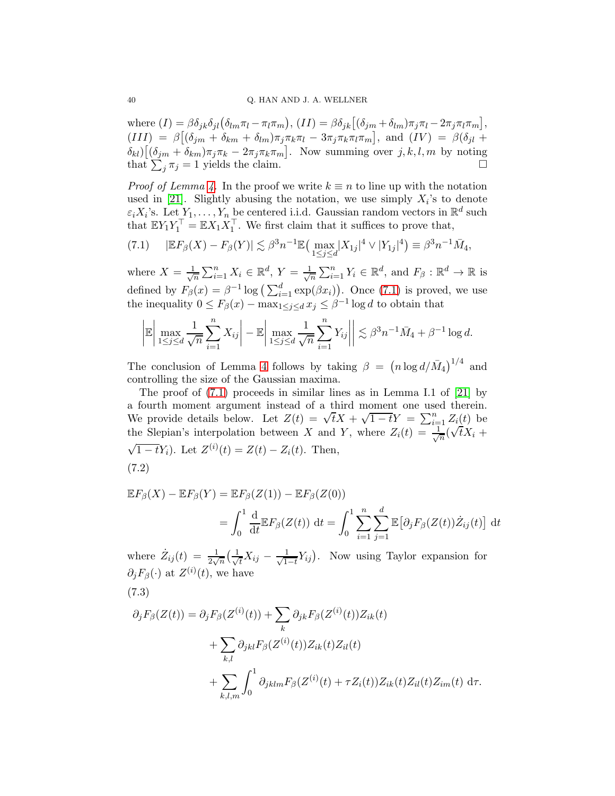where  $(I) = \beta \delta_{jk} \delta_{jl} (\delta_{lm} \pi_l - \pi_l \pi_m)$ ,  $(II) = \beta \delta_{jk} [(\delta_{jm} + \delta_{lm}) \pi_j \pi_l - 2 \pi_j \pi_l \pi_m]$ ,  $(III)$  =  $\beta[(\delta_{jm} + \delta_{km} + \delta_{lm})\pi_j \pi_k \pi_l - 3\pi_j \pi_k \pi_l \pi_m],$  and  $(IV)$  =  $\beta(\delta_{jl} +$  $\delta_{kl}$ ) $[(\delta_{jm} + \delta_{km})\pi_j\pi_k - 2\pi_j\pi_k\pi_m]$ . Now summing over  $j, k, l, m$  by noting that  $\sum_j \pi_j = 1$  yields the claim.

*Proof of Lemma [4.](#page-20-1)* In the proof we write  $k \equiv n$  to line up with the notation used in [\[21\]](#page-46-15). Slightly abusing the notation, we use simply  $X_i$ 's to denote  $\varepsilon_i X_i$ 's. Let  $Y_1, \ldots, Y_n$  be centered i.i.d. Gaussian random vectors in  $\mathbb{R}^d$  such that  $\mathbb{E}Y_1Y_1^{\perp} = \mathbb{E}X_1X_1^{\perp}$ . We first claim that it suffices to prove that,

<span id="page-39-0"></span>
$$
(7.1) \qquad |\mathbb{E} F_{\beta}(X) - F_{\beta}(Y)| \lesssim \beta^3 n^{-1} \mathbb{E} \big( \max_{1 \le j \le d} |X_{1j}|^4 \vee |Y_{1j}|^4 \big) \equiv \beta^3 n^{-1} \bar{M}_4,
$$

where  $X = \frac{1}{\sqrt{2}}$  $\frac{1}{\sqrt{n}}\sum_{i=1}^n X_i \in \mathbb{R}^d$ ,  $Y = \frac{1}{\sqrt{n}}$  $\frac{1}{n} \sum_{i=1}^{n} Y_i \in \mathbb{R}^d$ , and  $F_\beta : \mathbb{R}^d \to \mathbb{R}$  is defined by  $F_{\beta}(x) = \beta^{-1} \log \left( \sum_{i=1}^{d} \exp(\beta x_i) \right)$ . Once [\(7.1\)](#page-39-0) is proved, we use the inequality  $0 \leq F_{\beta}(x) - \max_{1 \leq j \leq d} x_j \leq \beta^{-1} \log d$  to obtain that

$$
\left|\mathbb{E}\left|\max_{1\leq j\leq d}\frac{1}{\sqrt{n}}\sum_{i=1}^n X_{ij}\right| - \mathbb{E}\left|\max_{1\leq j\leq d}\frac{1}{\sqrt{n}}\sum_{i=1}^n Y_{ij}\right|\right| \lesssim \beta^3 n^{-1} \bar{M}_4 + \beta^{-1} \log d.
$$

The conclusion of Lemma [4](#page-20-1) follows by taking  $\beta = (n \log d / M_4)^{1/4}$  and controlling the size of the Gaussian maxima.

The proof of [\(7.1\)](#page-39-0) proceeds in similar lines as in Lemma I.1 of [\[21\]](#page-46-15) by a fourth moment argument instead of a third moment one used therein. We provide details below. Let  $Z(t) = \sqrt{t}X + \sqrt{1-t}Y = \sum_{i=1}^{n} Z_i(t)$  be the Slepian's interpolation between X and Y, where  $Z_i(t) = \frac{1}{\sqrt{t}}$  $-\frac{1}{n}(\sqrt{t}X_i +$  $\sqrt{1-t}Y_i$ ). Let  $Z^{(i)}(t) = Z(t) - Z_i(t)$ . Then, (7.2)

<span id="page-39-1"></span>
$$
\mathbb{E}F_{\beta}(X) - \mathbb{E}F_{\beta}(Y) = \mathbb{E}F_{\beta}(Z(1)) - \mathbb{E}F_{\beta}(Z(0))
$$
  
= 
$$
\int_0^1 \frac{d}{dt} \mathbb{E}F_{\beta}(Z(t)) dt = \int_0^1 \sum_{i=1}^n \sum_{j=1}^d \mathbb{E}[\partial_j F_{\beta}(Z(t)) \dot{Z}_{ij}(t)] dt
$$

where  $\dot{Z}_{ij}(t) = \frac{1}{2\sqrt{n}} \left( \frac{1}{\sqrt{n}} \right)$  $\frac{1}{t}X_{ij} - \frac{1}{\sqrt{1}}$  $\frac{1}{1-t}Y_{ij}$ ). Now using Taylor expansion for  $\partial_j F_\beta(\cdot)$  at  $Z^{(i)}(t)$ , we have

<span id="page-39-2"></span>
$$
(7.3)
$$

$$
\partial_j F_{\beta}(Z(t)) = \partial_j F_{\beta}(Z^{(i)}(t)) + \sum_k \partial_{jk} F_{\beta}(Z^{(i)}(t)) Z_{ik}(t)
$$
  
+ 
$$
\sum_{k,l} \partial_{jkl} F_{\beta}(Z^{(i)}(t)) Z_{ik}(t) Z_{il}(t)
$$
  
+ 
$$
\sum_{k,l,m} \int_0^1 \partial_{jklm} F_{\beta}(Z^{(i)}(t) + \tau Z_i(t)) Z_{ik}(t) Z_{il}(t) Z_{im}(t) d\tau.
$$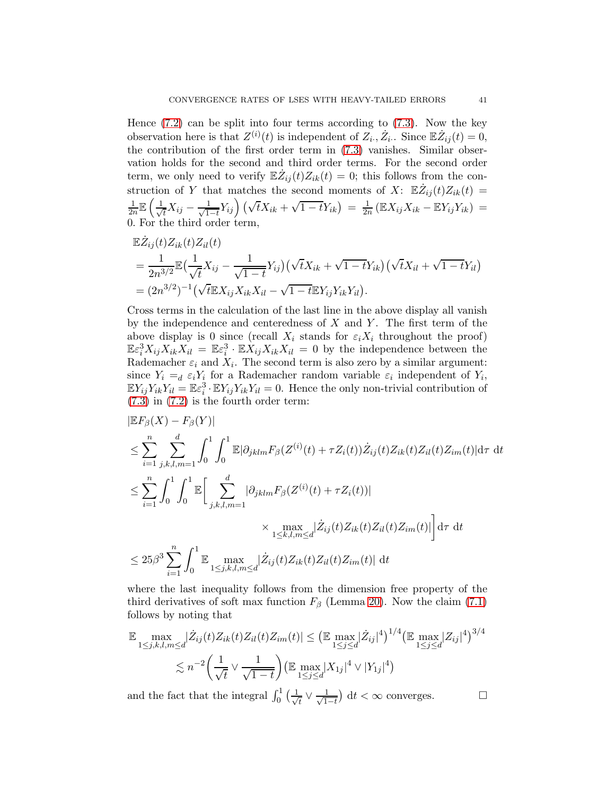Hence  $(7.2)$  can be split into four terms according to  $(7.3)$ . Now the key observation here is that  $Z^{(i)}(t)$  is independent of  $Z_i$ ,  $Z_i$ . Since  $\mathbb{E}\dot{Z}_{ij}(t) = 0$ , the contribution of the first order term in [\(7.3\)](#page-39-2) vanishes. Similar observation holds for the second and third order terms. For the second order term, we only need to verify  $\mathbb{E}\dot{Z}_{ij}(t)Z_{ik}(t) = 0$ ; this follows from the construction of Y that matches the second moments of X:  $\mathbb{E}\dot{Z}_{ij}(t)Z_{ik}(t)$ 1  $\frac{1}{2n}\mathbb{E}\left(\frac{1}{\sqrt{2n}}\right)$  $\frac{1}{t}X_{ij} - \frac{1}{\sqrt{1}}$  $\frac{1}{1-t}Y_{ij}$   $(\sqrt{t}X_{ik} + \sqrt{1-t}Y_{ik}) = \frac{1}{2t}$  $\frac{1}{2n}$  (EX<sub>ij</sub>X<sub>ik</sub> – EY<sub>ij</sub>Y<sub>ik</sub>) = 0. For the third order term,

$$
\mathbb{E}\dot{Z}_{ij}(t)Z_{ik}(t)Z_{il}(t) \n= \frac{1}{2n^{3/2}}\mathbb{E}\left(\frac{1}{\sqrt{t}}X_{ij} - \frac{1}{\sqrt{1-t}}Y_{ij}\right)\left(\sqrt{t}X_{ik} + \sqrt{1-t}Y_{ik}\right)\left(\sqrt{t}X_{il} + \sqrt{1-t}Y_{il}\right) \n= (2n^{3/2})^{-1}\left(\sqrt{t}\mathbb{E}X_{ij}X_{ik}X_{il} - \sqrt{1-t}\mathbb{E}Y_{ij}Y_{ik}Y_{il}\right).
$$

Cross terms in the calculation of the last line in the above display all vanish by the independence and centeredness of  $X$  and  $Y$ . The first term of the above display is 0 since (recall  $X_i$  stands for  $\varepsilon_i X_i$  throughout the proof)  $\mathbb{E} \varepsilon_i^3 X_{ij} X_{ik} X_{il} = \mathbb{E} \varepsilon_i^3 \cdot \mathbb{E} X_{ij} X_{ik} X_{il} = 0$  by the independence between the Rademacher  $\varepsilon_i$  and  $X_i$ . The second term is also zero by a similar argument: since  $Y_i =_d \varepsilon_i Y_i$  for a Rademacher random variable  $\varepsilon_i$  independent of  $Y_i$ ,  $\mathbb{E}Y_{ij}Y_{ik}Y_{il} = \mathbb{E}\varepsilon_i^3 \cdot \mathbb{E}Y_{ij}Y_{ik}Y_{il} = 0.$  Hence the only non-trivial contribution of [\(7.3\)](#page-39-2) in [\(7.2\)](#page-39-1) is the fourth order term:

$$
|\mathbb{E}F_{\beta}(X) - F_{\beta}(Y)|
$$
  
\n
$$
\leq \sum_{i=1}^{n} \sum_{j,k,l,m=1}^{d} \int_{0}^{1} \int_{0}^{1} \mathbb{E}|\partial_{jklm}F_{\beta}(Z^{(i)}(t) + \tau Z_{i}(t))\dot{Z}_{ij}(t)Z_{ik}(t)Z_{il}(t)Z_{im}(t)|d\tau dt
$$
  
\n
$$
\leq \sum_{i=1}^{n} \int_{0}^{1} \int_{0}^{1} \mathbb{E}\Big[\sum_{j,k,l,m=1}^{d} |\partial_{jklm}F_{\beta}(Z^{(i)}(t) + \tau Z_{i}(t))|
$$
  
\n
$$
\times \max_{1 \leq k,l,m \leq d} |\dot{Z}_{ij}(t)Z_{ik}(t)Z_{il}(t)Z_{im}(t)| \Big] d\tau dt
$$
  
\n
$$
\leq 25\beta^{3} \sum_{i=1}^{n} \int_{0}^{1} \mathbb{E}\max_{1 \leq j,k,l,m \leq d} |\dot{Z}_{ij}(t)Z_{ik}(t)Z_{il}(t)Z_{im}(t)| dt
$$

where the last inequality follows from the dimension free property of the third derivatives of soft max function  $F_\beta$  (Lemma [20\)](#page-38-2). Now the claim [\(7.1\)](#page-39-0) follows by noting that

$$
\mathbb{E} \max_{1 \le j,k,l,m \le d} |\dot{Z}_{ij}(t) Z_{ik}(t) Z_{il}(t) Z_{im}(t)| \le (\mathbb{E} \max_{1 \le j \le d} |\dot{Z}_{ij}|^4)^{1/4} (\mathbb{E} \max_{1 \le j \le d} |Z_{ij}|^4)^{3/4}
$$
  

$$
\lesssim n^{-2} \left(\frac{1}{\sqrt{t}} \vee \frac{1}{\sqrt{1-t}}\right) (\mathbb{E} \max_{1 \le j \le d} |X_{1j}|^4 \vee |Y_{1j}|^4)
$$

and the fact that the integral  $\int_0^1 \left(\frac{1}{\sqrt{2}}\right)$  $\frac{1}{t} \vee \frac{1}{\sqrt{1}}$  $\frac{1}{1-t}$  dt < ∞ converges.  $\Box$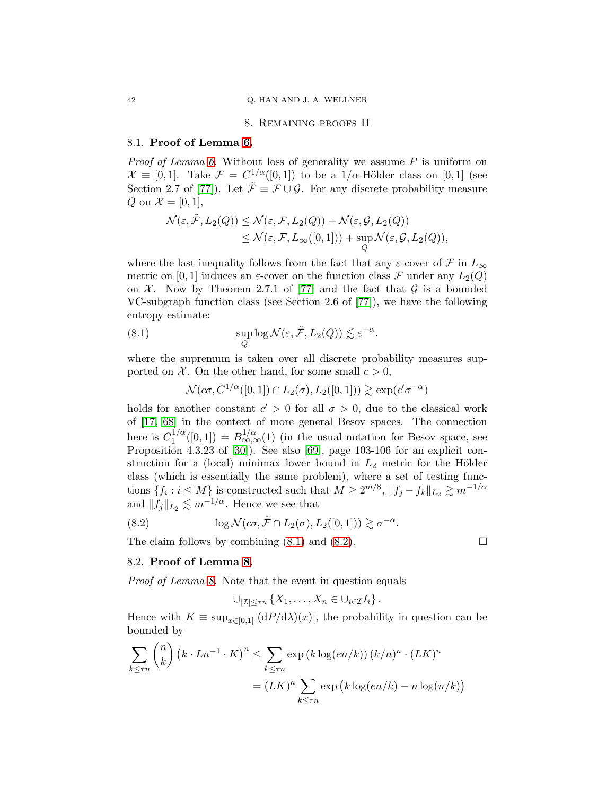#### 8. Remaining proofs II

#### <span id="page-41-0"></span>8.1. Proof of Lemma [6.](#page-22-3)

*Proof of Lemma [6.](#page-22-3)* Without loss of generality we assume  $P$  is uniform on  $\mathcal{X} \equiv [0,1]$ . Take  $\mathcal{F} = C^{1/\alpha}([0,1])$  to be a  $1/\alpha$ -Hölder class on  $[0,1]$  (see Section 2.7 of [\[77\]](#page-49-1)). Let  $\tilde{\mathcal{F}} \equiv \mathcal{F} \cup \mathcal{G}$ . For any discrete probability measure Q on  $\mathcal{X} = [0, 1]$ ,

$$
\mathcal{N}(\varepsilon, \tilde{\mathcal{F}}, L_2(Q)) \leq \mathcal{N}(\varepsilon, \mathcal{F}, L_2(Q)) + \mathcal{N}(\varepsilon, \mathcal{G}, L_2(Q)) \leq \mathcal{N}(\varepsilon, \mathcal{F}, L_\infty([0,1])) + \sup_Q \mathcal{N}(\varepsilon, \mathcal{G}, L_2(Q)),
$$

where the last inequality follows from the fact that any  $\varepsilon\text{-cover}$  of  $\mathcal F$  in  $L_\infty$ metric on [0, 1] induces an  $\varepsilon$ -cover on the function class F under any  $L_2(Q)$ on  $\mathcal X$ . Now by Theorem 2.7.1 of [\[77\]](#page-49-1) and the fact that  $\mathcal G$  is a bounded VC-subgraph function class (see Section 2.6 of [\[77\]](#page-49-1)), we have the following entropy estimate:

<span id="page-41-1"></span>(8.1) 
$$
\sup_{Q} \log \mathcal{N}(\varepsilon, \tilde{\mathcal{F}}, L_2(Q)) \lesssim \varepsilon^{-\alpha}.
$$

where the supremum is taken over all discrete probability measures supported on  $\mathcal{X}$ . On the other hand, for some small  $c > 0$ ,

 $\mathcal{N}(c\sigma, C^{1/\alpha}([0,1]) \cap L_2(\sigma), L_2([0,1])) \gtrsim \exp(c'\sigma^{-\alpha})$ 

holds for another constant  $c' > 0$  for all  $\sigma > 0$ , due to the classical work of [\[17,](#page-46-20) [68\]](#page-48-20) in the context of more general Besov spaces. The connection here is  $C_1^{1/\alpha}$  $I_1^{1/\alpha}([0,1]) = B_{\infty,\infty}^{1/\alpha}(1)$  (in the usual notation for Besov space, see Proposition 4.3.23 of [\[30\]](#page-47-4)). See also [\[69\]](#page-48-21), page 103-106 for an explicit construction for a (local) minimax lower bound in  $L_2$  metric for the Hölder class (which is essentially the same problem), where a set of testing functions  $\{f_i : i \leq M\}$  is constructed such that  $M \geq 2^{m/8}$ ,  $||f_j - f_k||_{L_2} \gtrsim m^{-1/\alpha}$ and  $||f_j||_{L_2} \lesssim m^{-1/\alpha}$ . Hence we see that

<span id="page-41-2"></span>(8.2) 
$$
\log \mathcal{N}(c\sigma, \tilde{\mathcal{F}} \cap L_2(\sigma), L_2([0,1])) \gtrsim \sigma^{-\alpha}.
$$

The claim follows by combining  $(8.1)$  and  $(8.2)$ .

#### 8.2. Proof of Lemma [8.](#page-25-0)

Proof of Lemma [8.](#page-25-0) Note that the event in question equals

$$
\bigcup_{|\mathcal{I}| \leq \tau n} \left\{ X_1, \ldots, X_n \in \bigcup_{i \in \mathcal{I}} I_i \right\}.
$$

Hence with  $K \equiv \sup_{x \in [0,1]} |(\mathrm{d}P/\mathrm{d}\lambda)(x)|$ , the probability in question can be bounded by

$$
\sum_{k \leq \tau n} {n \choose k} \left( k \cdot Ln^{-1} \cdot K \right)^n \leq \sum_{k \leq \tau n} \exp \left( k \log(en/k) \right) \left( k/n \right)^n \cdot (LK)^n
$$

$$
= (LK)^n \sum_{k \leq \tau n} \exp \left( k \log(en/k) - n \log(n/k) \right)
$$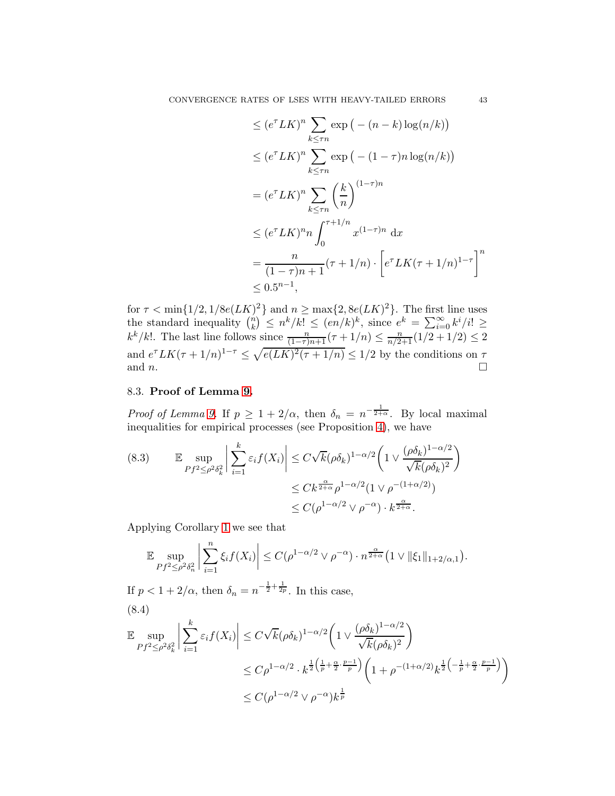$$
\leq (e^{\tau}LK)^n \sum_{k \leq \tau n} \exp(-(n-k)\log(n/k))
$$
  
\n
$$
\leq (e^{\tau}LK)^n \sum_{k \leq \tau n} \exp(-(1-\tau)n \log(n/k))
$$
  
\n
$$
= (e^{\tau}LK)^n \sum_{k \leq \tau n} \left(\frac{k}{n}\right)^{(1-\tau)n}
$$
  
\n
$$
\leq (e^{\tau}LK)^n n \int_0^{\tau+1/n} x^{(1-\tau)n} dx
$$
  
\n
$$
= \frac{n}{(1-\tau)n+1} (\tau+1/n) \cdot \left[e^{\tau}LK(\tau+1/n)^{1-\tau}\right]^n
$$
  
\n
$$
\leq 0.5^{n-1},
$$

for  $\tau < \min\{1/2, 1/8e(LK)^2\}$  and  $n \ge \max\{2, 8e(LK)^2\}$ . The first line uses the standard inequality  $\binom{n}{k}$  $\binom{n}{k} \leq n^k/k! \leq (en/k)^k$ , since  $e^k = \sum_{i=0}^{\infty} k^i/i! \geq$  $k^k/k!$ . The last line follows since  $\frac{n}{(1-\tau)n+1}(\tau+1/n) \leq \frac{n}{n/2+1}(1/2+1/2) \leq 2$ and  $e^{\tau}LK(\tau+1/n)^{1-\tau} \leq \sqrt{e(LK)^2(\tau+1/n)} \leq 1/2$  by the conditions on  $\tau$ and *n*.

# 8.3. Proof of Lemma [9.](#page-27-0)

*Proof of Lemma [9.](#page-27-0)* If  $p \geq 1 + 2/\alpha$ , then  $\delta_n = n^{-\frac{1}{2+\alpha}}$ . By local maximal inequalities for empirical processes (see Proposition [4\)](#page-22-0), we have

<span id="page-42-0"></span>
$$
\begin{aligned} \text{(8.3)} \qquad & \mathbb{E} \sup_{Pf^2 \le \rho^2 \delta_k^2} \left| \sum_{i=1}^k \varepsilon_i f(X_i) \right| \le C\sqrt{k} (\rho \delta_k)^{1-\alpha/2} \left( 1 \vee \frac{(\rho \delta_k)^{1-\alpha/2}}{\sqrt{k} (\rho \delta_k)^2} \right) \\ &\le Ck^{\frac{\alpha}{2+\alpha}} \rho^{1-\alpha/2} (1 \vee \rho^{-(1+\alpha/2)}) \\ &\le C(\rho^{1-\alpha/2} \vee \rho^{-\alpha}) \cdot k^{\frac{\alpha}{2+\alpha}}. \end{aligned}
$$

Applying Corollary [1](#page-6-2) we see that

$$
\mathbb{E}\sup_{Pf^2\leq \rho^2\delta_n^2}\bigg|\sum_{i=1}^n\xi_if(X_i)\bigg|\leq C(\rho^{1-\alpha/2}\vee\rho^{-\alpha})\cdot n^{\frac{\alpha}{2+\alpha}}\big(1\vee\|\xi_1\|_{1+2/\alpha,1}\big).
$$

If  $p < 1 + 2/\alpha$ , then  $\delta_n = n^{-\frac{1}{2} + \frac{1}{2p}}$ . In this case, (8.4)

$$
\mathbb{E} \sup_{Pf^2 \le \rho^2 \delta_k^2} \left| \sum_{i=1}^k \varepsilon_i f(X_i) \right| \le C\sqrt{k} (\rho \delta_k)^{1-\alpha/2} \left( 1 \vee \frac{(\rho \delta_k)^{1-\alpha/2}}{\sqrt{k} (\rho \delta_k)^2} \right)
$$
  

$$
\le C\rho^{1-\alpha/2} \cdot k^{\frac{1}{2} \left( \frac{1}{p} + \frac{\alpha}{2} \cdot \frac{p-1}{p} \right)} \left( 1 + \rho^{-(1+\alpha/2)} k^{\frac{1}{2} \left( -\frac{1}{p} + \frac{\alpha}{2} \cdot \frac{p-1}{p} \right)} \right)
$$
  

$$
\le C(\rho^{1-\alpha/2} \vee \rho^{-\alpha}) k^{\frac{1}{p}}
$$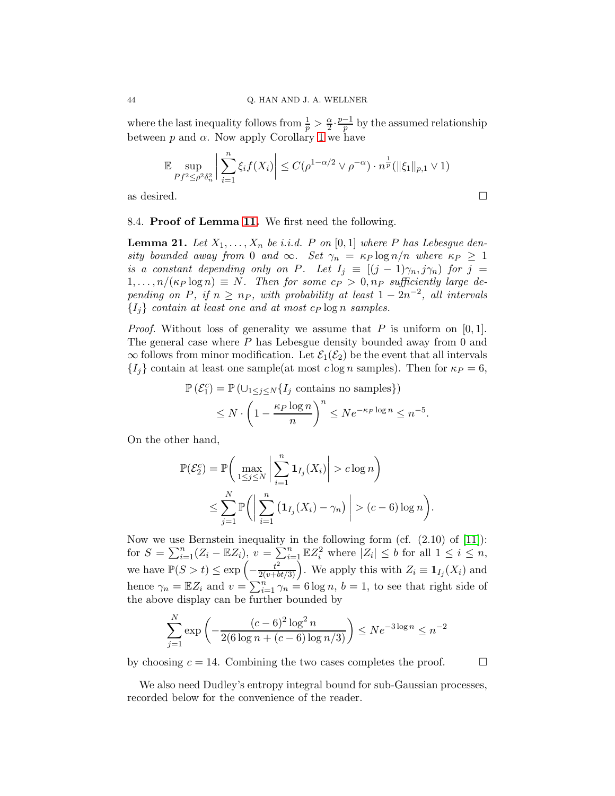where the last inequality follows from  $\frac{1}{p} > \frac{\alpha}{2}$  $\frac{\alpha}{2} \cdot \frac{p-1}{p}$  by the assumed relationship between  $p$  and  $\alpha$ . Now apply Corollary [1](#page-6-2) we have

$$
\mathbb{E} \sup_{Pf^2 \le \rho^2 \delta_n^2} \left| \sum_{i=1}^n \xi_i f(X_i) \right| \le C(\rho^{1-\alpha/2} \vee \rho^{-\alpha}) \cdot n^{\frac{1}{p}} (\|\xi_1\|_{p,1} \vee 1)
$$

as desired.  $\Box$ 

8.4. Proof of Lemma [11.](#page-30-2) We first need the following.

<span id="page-43-0"></span>**Lemma 21.** Let  $X_1, \ldots, X_n$  be i.i.d. P on [0, 1] where P has Lebesgue density bounded away from 0 and  $\infty$ . Set  $\gamma_n = \kappa_P \log n/n$  where  $\kappa_P \geq 1$ is a constant depending only on P. Let  $I_j \equiv [(j-1)\gamma_n, j\gamma_n]$  for  $j =$  $1, \ldots, n/(\kappa_P \log n) \equiv N$ . Then for some  $c_P > 0, n_P$  sufficiently large depending on P, if  $n \geq n_P$ , with probability at least  $1 - 2n^{-2}$ , all intervals  ${I_i}$  contain at least one and at most  $cp \log n$  samples.

*Proof.* Without loss of generality we assume that P is uniform on [0, 1]. The general case where  $P$  has Lebesgue density bounded away from 0 and  $\infty$  follows from minor modification. Let  $\mathcal{E}_1(\mathcal{E}_2)$  be the event that all intervals  ${I_i}$  contain at least one sample(at most clog n samples). Then for  $\kappa_P = 6$ ,

$$
\mathbb{P}(\mathcal{E}_1^c) = \mathbb{P}(\bigcup_{1 \le j \le N} \{I_j \text{ contains no samples}\})
$$
  
\$\le N \cdot \left(1 - \frac{\kappa\_P \log n}{n}\right)^n \le N e^{-\kappa\_P \log n} \le n^{-5}\$.

On the other hand,

$$
\mathbb{P}(\mathcal{E}_2^c) = \mathbb{P}\bigg(\max_{1 \leq j \leq N} \bigg| \sum_{i=1}^n \mathbf{1}_{I_j}(X_i) \bigg| > c \log n \bigg) \leq \sum_{j=1}^N \mathbb{P}\bigg(\bigg| \sum_{i=1}^n \big(\mathbf{1}_{I_j}(X_i) - \gamma_n\big) \bigg| > (c - 6) \log n \bigg).
$$

Now we use Bernstein inequality in the following form (cf.  $(2.10)$  of [\[11\]](#page-46-21)): for  $S = \sum_{i=1}^n (Z_i - \mathbb{E}Z_i)$ ,  $v = \sum_{i=1}^n \mathbb{E}Z_i^2$  where  $|Z_i| \leq b$  for all  $1 \leq i \leq n$ , we have  $\mathbb{P}(S > t) \le \exp\left(-\frac{t^2}{2(v+bt/3)}\right)$ . We apply this with  $Z_i \equiv \mathbf{1}_{I_j}(X_i)$  and hence  $\gamma_n = \mathbb{E}Z_i$  and  $v = \sum_{i=1}^n \gamma_n = 6 \log n$ ,  $b = 1$ , to see that right side of the above display can be further bounded by

$$
\sum_{j=1}^{N} \exp\left(-\frac{(c-6)^2 \log^2 n}{2(6 \log n + (c-6) \log n/3)}\right) \le N e^{-3 \log n} \le n^{-2}
$$

by choosing  $c = 14$ . Combining the two cases completes the proof.  $\Box$ 

We also need Dudley's entropy integral bound for sub-Gaussian processes, recorded below for the convenience of the reader.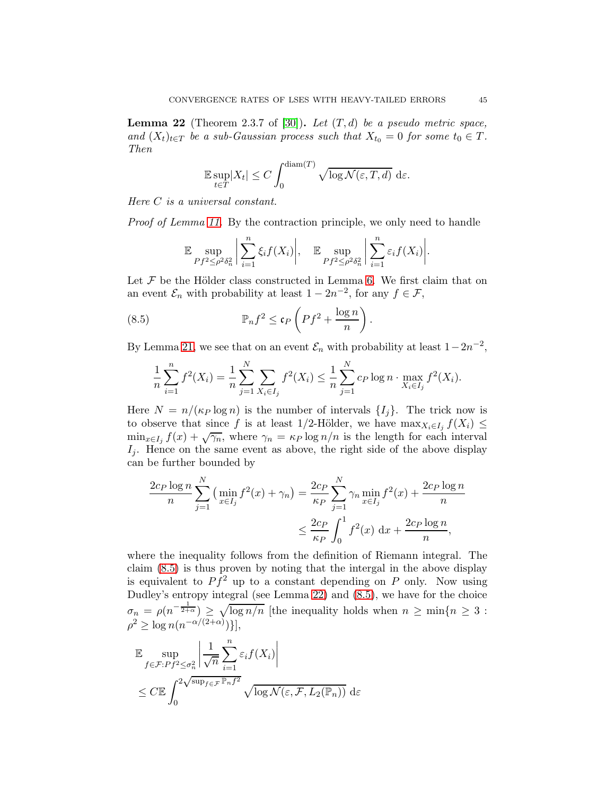<span id="page-44-1"></span>**Lemma 22** (Theorem 2.3.7 of [\[30\]](#page-47-4)). Let  $(T, d)$  be a pseudo metric space, and  $(X_t)_{t\in T}$  be a sub-Gaussian process such that  $X_{t_0} = 0$  for some  $t_0 \in T$ . Then

$$
\mathbb{E}\sup_{t\in T}|X_t| \le C\int_0^{\text{diam}(T)} \sqrt{\log \mathcal{N}(\varepsilon, T, d)} d\varepsilon.
$$

Here C is a universal constant.

Proof of Lemma [11.](#page-30-2) By the contraction principle, we only need to handle

$$
\mathbb{E}\sup_{Pf^2\leq P\delta_n^2}\bigg|\sum_{i=1}^n\xi_if(X_i)\bigg|,\quad \mathbb{E}\sup_{Pf^2\leq P\delta_n^2}\bigg|\sum_{i=1}^n\varepsilon_if(X_i)\bigg|.
$$

Let  $\mathcal F$  be the Hölder class constructed in Lemma [6.](#page-22-3) We first claim that on an event  $\mathcal{E}_n$  with probability at least  $1 - 2n^{-2}$ , for any  $f \in \mathcal{F}$ ,

<span id="page-44-0"></span>(8.5) 
$$
\mathbb{P}_n f^2 \le \mathfrak{c}_P \left( P f^2 + \frac{\log n}{n} \right).
$$

By Lemma [21,](#page-43-0) we see that on an event  $\mathcal{E}_n$  with probability at least  $1-2n^{-2}$ ,

$$
\frac{1}{n}\sum_{i=1}^{n} f^{2}(X_{i}) = \frac{1}{n}\sum_{j=1}^{N}\sum_{X_{i}\in I_{j}} f^{2}(X_{i}) \leq \frac{1}{n}\sum_{j=1}^{N} c_{P} \log n \cdot \max_{X_{i}\in I_{j}} f^{2}(X_{i}).
$$

Here  $N = n/(\kappa_P \log n)$  is the number of intervals  $\{I_i\}$ . The trick now is to observe that since f is at least 1/2-Hölder, we have  $\max_{X_i \in I_j} f(X_i) \leq$  $\min_{x \in I_j} f(x) + \sqrt{\gamma_n}$ , where  $\gamma_n = \kappa_P \log n/n$  is the length for each interval  $I_j$ . Hence on the same event as above, the right side of the above display can be further bounded by

$$
\frac{2c_P \log n}{n} \sum_{j=1}^N \left( \min_{x \in I_j} f^2(x) + \gamma_n \right) = \frac{2c_P}{\kappa_P} \sum_{j=1}^N \gamma_n \min_{x \in I_j} f^2(x) + \frac{2c_P \log n}{n}
$$
  

$$
\leq \frac{2c_P}{\kappa_P} \int_0^1 f^2(x) dx + \frac{2c_P \log n}{n},
$$

where the inequality follows from the definition of Riemann integral. The claim [\(8.5\)](#page-44-0) is thus proven by noting that the intergal in the above display is equivalent to  $P\hat{f}^2$  up to a constant depending on P only. Now using Dudley's entropy integral (see Lemma [22\)](#page-44-1) and [\(8.5\)](#page-44-0), we have for the choice  $\sigma_n = \rho(n^{-\frac{1}{2+\alpha}}) \geq \sqrt{\log n/n}$  [the inequality holds when  $n \geq \min\{n \geq 3\}$ :  $\rho^2 \geq \log n(n^{-\alpha/(2+\alpha)})\},$ 

$$
\mathbb{E} \sup_{f \in \mathcal{F}: Pf^2 \leq \sigma_n^2} \left| \frac{1}{\sqrt{n}} \sum_{i=1}^n \varepsilon_i f(X_i) \right|
$$
  

$$
\leq C \mathbb{E} \int_0^{2\sqrt{\sup_{f \in \mathcal{F}} \mathbb{P}_n f^2}} \sqrt{\log \mathcal{N}(\varepsilon, \mathcal{F}, L_2(\mathbb{P}_n))} d\varepsilon
$$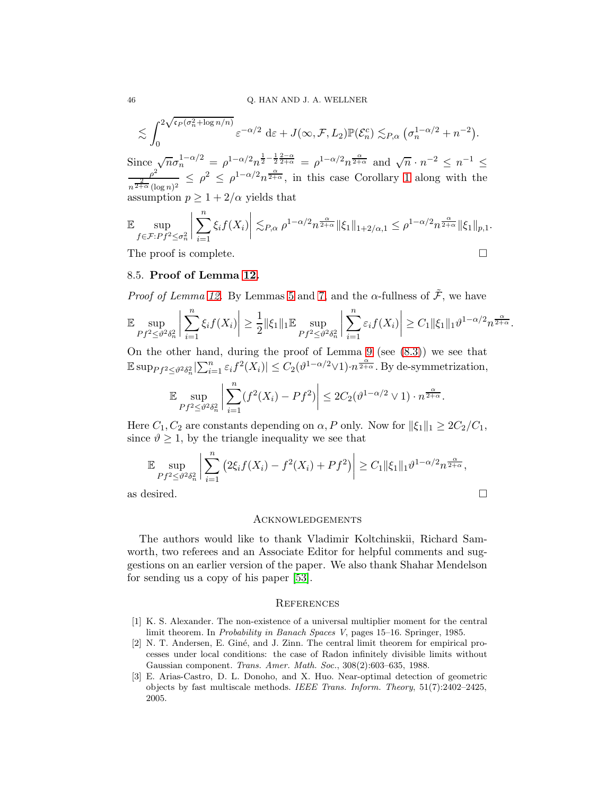$$
\lesssim \int_0^{2\sqrt{\mathfrak{c}_P(\sigma_n^2 + \log n/n)}} \varepsilon^{-\alpha/2} \, \mathrm{d}\varepsilon + J(\infty, \mathcal{F}, L_2) \mathbb{P}(\mathcal{E}_n^c) \lesssim_{P,\alpha} (\sigma_n^{1-\alpha/2} + n^{-2}).
$$

Since  $\sqrt{n}\sigma_n^{1-\alpha/2} = \rho^{1-\alpha/2}n^{\frac{1}{2}-\frac{1}{2}\frac{2-\alpha}{2+\alpha}} = \rho^{1-\alpha/2}n^{\frac{\alpha}{2+\alpha}}$  and  $\sqrt{n} \cdot n^{-2} \le n^{-1} \le \rho^2$ <br> $\le \rho^2 \le \rho^{1-\alpha/2}n^{\frac{\alpha}{2+\alpha}}$  in this assoc Corollary 1 along with the  $\frac{\rho^2}{n^{\frac{2}{2+\alpha}}(\log n)^2} \leq \rho^2 \leq \rho^{1-\alpha/2} n^{\frac{\alpha}{2+\alpha}},$  in this case Corollary [1](#page-6-2) along with the assumption  $p \geq 1 + 2/\alpha$  yields that

$$
\mathbb{E} \sup_{f \in \mathcal{F}: Pf^2 \leq \sigma_n^2} \left| \sum_{i=1}^n \xi_i f(X_i) \right| \lesssim_{P,\alpha} \rho^{1-\alpha/2} n^{\frac{\alpha}{2+\alpha}} \|\xi_1\|_{1+2/\alpha,1} \leq \rho^{1-\alpha/2} n^{\frac{\alpha}{2+\alpha}} \|\xi_1\|_{p,1}.
$$

The proof is complete.

$$
\Box
$$

## 8.5. Proof of Lemma [12.](#page-30-1)

*Proof of Lemma [12.](#page-30-1)* By Lemmas [5](#page-22-4) and [7,](#page-25-1) and the  $\alpha$ -fullness of  $\tilde{\mathcal{F}}$ , we have

$$
\mathbb{E}\sup_{Pf^2\leq\vartheta^2\delta_n^2}\bigg|\sum_{i=1}^n\xi_if(X_i)\bigg|\geq\frac{1}{2}\|\xi_1\|_1\mathbb{E}\sup_{Pf^2\leq\vartheta^2\delta_n^2}\bigg|\sum_{i=1}^n\varepsilon_if(X_i)\bigg|\geq C_1\|\xi_1\|_1\vartheta^{1-\alpha/2}n^{\frac{\alpha}{2+\alpha}}.
$$

On the other hand, during the proof of Lemma [9](#page-27-0) (see  $(8.3)$ ) we see that  $\mathbb{E} \sup_{Pf^2 \leq \vartheta^2 \delta_n^2} |\sum_{i=1}^n \varepsilon_i f^2(X_i)| \leq C_2(\vartheta^{1-\alpha/2} \vee 1) \cdot n^{\frac{\alpha}{2+\alpha}}.$  By de-symmetrization,

$$
\mathbb{E}\sup_{Pf^2\leq\vartheta^2\delta_n^2}\left|\sum_{i=1}^n(f^2(X_i)-Pf^2)\right|\leq 2C_2(\vartheta^{1-\alpha/2}\vee 1)\cdot n^{\frac{\alpha}{2+\alpha}}.
$$

Here  $C_1, C_2$  are constants depending on  $\alpha$ , P only. Now for  $||\xi_1||_1 \geq 2C_2/C_1$ , since  $\vartheta \geq 1$ , by the triangle inequality we see that

$$
\mathbb{E} \sup_{Pf^2 \leq \vartheta^2 \delta_n^2} \left| \sum_{i=1}^n \left( 2\xi_i f(X_i) - f^2(X_i) + Pf^2 \right) \right| \geq C_1 \|\xi_1\|_1 \vartheta^{1-\alpha/2} n^{\frac{\alpha}{2+\alpha}},
$$
as desired.

### **ACKNOWLEDGEMENTS**

The authors would like to thank Vladimir Koltchinskii, Richard Samworth, two referees and an Associate Editor for helpful comments and suggestions on an earlier version of the paper. We also thank Shahar Mendelson for sending us a copy of his paper [\[53\]](#page-48-9).

# **REFERENCES**

- <span id="page-45-0"></span>[1] K. S. Alexander. The non-existence of a universal multiplier moment for the central limit theorem. In *Probability in Banach Spaces V*, pages 15–16. Springer, 1985.
- <span id="page-45-1"></span>[2] N. T. Andersen, E. Giné, and J. Zinn. The central limit theorem for empirical processes under local conditions: the case of Radon infinitely divisible limits without Gaussian component. *Trans. Amer. Math. Soc.*, 308(2):603–635, 1988.
- <span id="page-45-2"></span>[3] E. Arias-Castro, D. L. Donoho, and X. Huo. Near-optimal detection of geometric objects by fast multiscale methods. *IEEE Trans. Inform. Theory*, 51(7):2402–2425, 2005.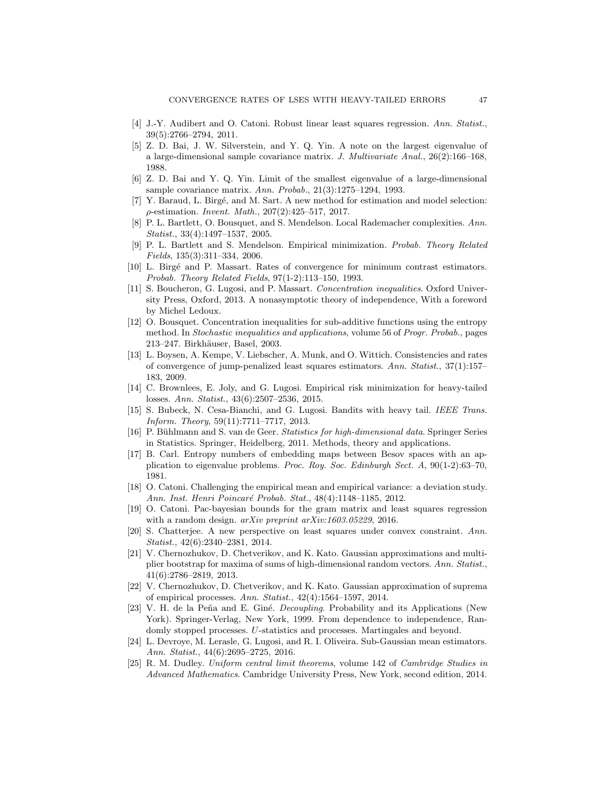- <span id="page-46-14"></span><span id="page-46-7"></span>[4] J.-Y. Audibert and O. Catoni. Robust linear least squares regression. *Ann. Statist.*, 39(5):2766–2794, 2011.
- [5] Z. D. Bai, J. W. Silverstein, and Y. Q. Yin. A note on the largest eigenvalue of a large-dimensional sample covariance matrix. *J. Multivariate Anal.*, 26(2):166–168, 1988.
- <span id="page-46-13"></span><span id="page-46-6"></span>[6] Z. D. Bai and Y. Q. Yin. Limit of the smallest eigenvalue of a large-dimensional sample covariance matrix. *Ann. Probab.*, 21(3):1275–1294, 1993.
- [7] Y. Baraud, L. Birgé, and M. Sart. A new method for estimation and model selection: ρ-estimation. *Invent. Math.*, 207(2):425–517, 2017.
- <span id="page-46-1"></span>[8] P. L. Bartlett, O. Bousquet, and S. Mendelson. Local Rademacher complexities. *Ann. Statist.*, 33(4):1497–1537, 2005.
- <span id="page-46-2"></span>[9] P. L. Bartlett and S. Mendelson. Empirical minimization. *Probab. Theory Related Fields*, 135(3):311–334, 2006.
- <span id="page-46-21"></span><span id="page-46-0"></span>[10] L. Birg´e and P. Massart. Rates of convergence for minimum contrast estimators. *Probab. Theory Related Fields*, 97(1-2):113–150, 1993.
- [11] S. Boucheron, G. Lugosi, and P. Massart. *Concentration inequalities*. Oxford University Press, Oxford, 2013. A nonasymptotic theory of independence, With a foreword by Michel Ledoux.
- <span id="page-46-18"></span>[12] O. Bousquet. Concentration inequalities for sub-additive functions using the entropy method. In *Stochastic inequalities and applications*, volume 56 of *Progr. Probab.*, pages 213–247. Birkhäuser, Basel, 2003.
- <span id="page-46-5"></span>[13] L. Boysen, A. Kempe, V. Liebscher, A. Munk, and O. Wittich. Consistencies and rates of convergence of jump-penalized least squares estimators. *Ann. Statist.*, 37(1):157– 183, 2009.
- <span id="page-46-8"></span>[14] C. Brownlees, E. Joly, and G. Lugosi. Empirical risk minimization for heavy-tailed losses. *Ann. Statist.*, 43(6):2507–2536, 2015.
- <span id="page-46-9"></span>[15] S. Bubeck, N. Cesa-Bianchi, and G. Lugosi. Bandits with heavy tail. *IEEE Trans. Inform. Theory*, 59(11):7711–7717, 2013.
- <span id="page-46-12"></span>[16] P. Bühlmann and S. van de Geer. *Statistics for high-dimensional data*. Springer Series in Statistics. Springer, Heidelberg, 2011. Methods, theory and applications.
- <span id="page-46-20"></span>[17] B. Carl. Entropy numbers of embedding maps between Besov spaces with an application to eigenvalue problems. *Proc. Roy. Soc. Edinburgh Sect. A*, 90(1-2):63–70, 1981.
- <span id="page-46-10"></span>[18] O. Catoni. Challenging the empirical mean and empirical variance: a deviation study. *Ann. Inst. Henri Poincar´e Probab. Stat.*, 48(4):1148–1185, 2012.
- <span id="page-46-11"></span>[19] O. Catoni. Pac-bayesian bounds for the gram matrix and least squares regression with a random design. *arXiv preprint arXiv:1603.05229*, 2016.
- <span id="page-46-16"></span>[20] S. Chatterjee. A new perspective on least squares under convex constraint. *Ann. Statist.*, 42(6):2340–2381, 2014.
- <span id="page-46-15"></span>[21] V. Chernozhukov, D. Chetverikov, and K. Kato. Gaussian approximations and multiplier bootstrap for maxima of sums of high-dimensional random vectors. *Ann. Statist.*, 41(6):2786–2819, 2013.
- <span id="page-46-19"></span>[22] V. Chernozhukov, D. Chetverikov, and K. Kato. Gaussian approximation of suprema of empirical processes. *Ann. Statist.*, 42(4):1564–1597, 2014.
- <span id="page-46-17"></span>[23] V. H. de la Peña and E. Giné. *Decoupling*. Probability and its Applications (New York). Springer-Verlag, New York, 1999. From dependence to independence, Randomly stopped processes. U-statistics and processes. Martingales and beyond.
- <span id="page-46-4"></span>[24] L. Devroye, M. Lerasle, G. Lugosi, and R. I. Oliveira. Sub-Gaussian mean estimators. *Ann. Statist.*, 44(6):2695–2725, 2016.
- <span id="page-46-3"></span>[25] R. M. Dudley. *Uniform central limit theorems*, volume 142 of *Cambridge Studies in Advanced Mathematics*. Cambridge University Press, New York, second edition, 2014.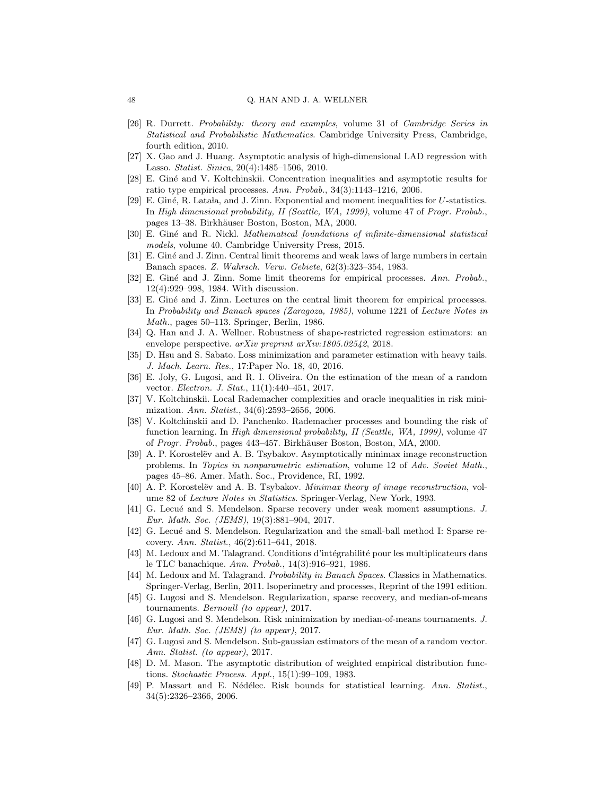- <span id="page-47-23"></span>[26] R. Durrett. *Probability: theory and examples*, volume 31 of *Cambridge Series in Statistical and Probabilistic Mathematics*. Cambridge University Press, Cambridge, fourth edition, 2010.
- <span id="page-47-21"></span><span id="page-47-16"></span>[27] X. Gao and J. Huang. Asymptotic analysis of high-dimensional LAD regression with Lasso. *Statist. Sinica*, 20(4):1485–1506, 2010.
- <span id="page-47-7"></span>[28] E. Giné and V. Koltchinskii. Concentration inequalities and asymptotic results for ratio type empirical processes. *Ann. Probab.*, 34(3):1143–1216, 2006.
- [29] E. Giné, R. Latala, and J. Zinn. Exponential and moment inequalities for  $U$ -statistics. In *High dimensional probability, II (Seattle, WA, 1999)*, volume 47 of *Progr. Probab.*, pages 13–38. Birkhäuser Boston, Boston, MA, 2000.
- <span id="page-47-4"></span>[30] E. Gin´e and R. Nickl. *Mathematical foundations of infinite-dimensional statistical models*, volume 40. Cambridge University Press, 2015.
- <span id="page-47-22"></span><span id="page-47-8"></span>[31] E. Giné and J. Zinn. Central limit theorems and weak laws of large numbers in certain Banach spaces. *Z. Wahrsch. Verw. Gebiete*, 62(3):323–354, 1983.
- [32] E. Giné and J. Zinn. Some limit theorems for empirical processes. Ann. Probab., 12(4):929–998, 1984. With discussion.
- <span id="page-47-9"></span>[33] E. Giné and J. Zinn. Lectures on the central limit theorem for empirical processes. In *Probability and Banach spaces (Zaragoza, 1985)*, volume 1221 of *Lecture Notes in Math.*, pages 50–113. Springer, Berlin, 1986.
- <span id="page-47-11"></span>[34] Q. Han and J. A. Wellner. Robustness of shape-restricted regression estimators: an envelope perspective. *arXiv preprint arXiv:1805.02542*, 2018.
- <span id="page-47-17"></span>[35] D. Hsu and S. Sabato. Loss minimization and parameter estimation with heavy tails. *J. Mach. Learn. Res.*, 17:Paper No. 18, 40, 2016.
- <span id="page-47-18"></span>[36] E. Joly, G. Lugosi, and R. I. Oliveira. On the estimation of the mean of a random vector. *Electron. J. Stat.*, 11(1):440–451, 2017.
- <span id="page-47-0"></span>[37] V. Koltchinskii. Local Rademacher complexities and oracle inequalities in risk minimization. *Ann. Statist.*, 34(6):2593–2656, 2006.
- <span id="page-47-1"></span>[38] V. Koltchinskii and D. Panchenko. Rademacher processes and bounding the risk of function learning. In *High dimensional probability, II (Seattle, WA, 1999)*, volume 47 of *Progr. Probab.*, pages 443–457. Birkhäuser Boston, Boston, MA, 2000.
- <span id="page-47-14"></span>[39] A. P. Korostelëv and A. B. Tsybakov. Asymptotically minimax image reconstruction problems. In *Topics in nonparametric estimation*, volume 12 of *Adv. Soviet Math.*, pages 45–86. Amer. Math. Soc., Providence, RI, 1992.
- <span id="page-47-15"></span>[40] A. P. Korostelëv and A. B. Tsybakov. *Minimax theory of image reconstruction*, volume 82 of *Lecture Notes in Statistics*. Springer-Verlag, New York, 1993.
- <span id="page-47-20"></span>[41] G. Lecué and S. Mendelson. Sparse recovery under weak moment assumptions. *J. Eur. Math. Soc. (JEMS)*, 19(3):881–904, 2017.
- <span id="page-47-10"></span>[42] G. Lecué and S. Mendelson. Regularization and the small-ball method I: Sparse recovery. *Ann. Statist.*, 46(2):611–641, 2018.
- <span id="page-47-5"></span>[43] M. Ledoux and M. Talagrand. Conditions d'intégrabilité pour les multiplicateurs dans le TLC banachique. *Ann. Probab.*, 14(3):916–921, 1986.
- <span id="page-47-3"></span>[44] M. Ledoux and M. Talagrand. *Probability in Banach Spaces*. Classics in Mathematics. Springer-Verlag, Berlin, 2011. Isoperimetry and processes, Reprint of the 1991 edition.
- <span id="page-47-12"></span>[45] G. Lugosi and S. Mendelson. Regularization, sparse recovery, and median-of-means tournaments. *Bernoull (to appear)*, 2017.
- <span id="page-47-19"></span>[46] G. Lugosi and S. Mendelson. Risk minimization by median-of-means tournaments. *J. Eur. Math. Soc. (JEMS) (to appear)*, 2017.
- <span id="page-47-13"></span>[47] G. Lugosi and S. Mendelson. Sub-gaussian estimators of the mean of a random vector. *Ann. Statist. (to appear)*, 2017.
- <span id="page-47-6"></span>[48] D. M. Mason. The asymptotic distribution of weighted empirical distribution functions. *Stochastic Process. Appl.*, 15(1):99–109, 1983.
- <span id="page-47-2"></span>[49] P. Massart and E. N´ed´elec. Risk bounds for statistical learning. *Ann. Statist.*, 34(5):2326–2366, 2006.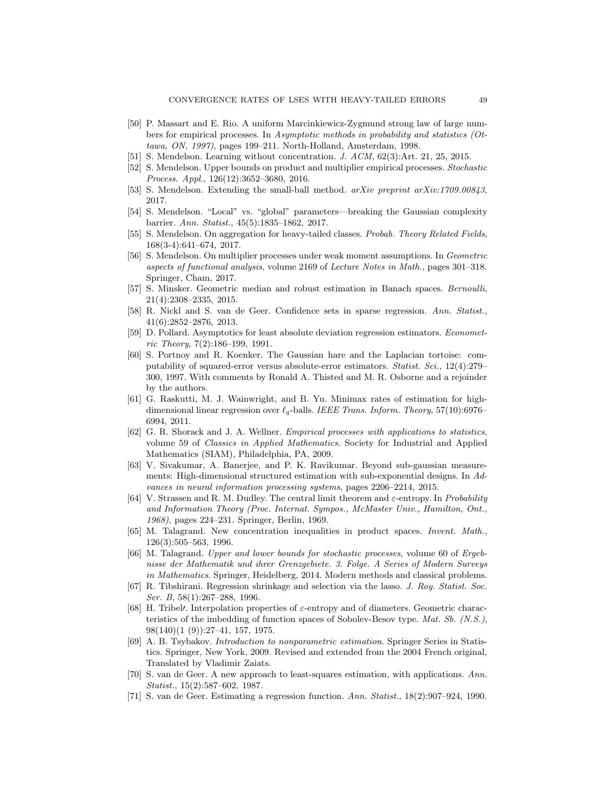- <span id="page-48-3"></span>[50] P. Massart and E. Rio. A uniform Marcinkiewicz-Zygmund strong law of large numbers for empirical processes. In *Asymptotic methods in probability and statistics (Ottawa, ON, 1997)*, pages 199–211. North-Holland, Amsterdam, 1998.
- <span id="page-48-6"></span><span id="page-48-1"></span>[51] S. Mendelson. Learning without concentration. *J. ACM*, 62(3):Art. 21, 25, 2015.
- <span id="page-48-9"></span>[52] S. Mendelson. Upper bounds on product and multiplier empirical processes. *Stochastic Process. Appl.*, 126(12):3652–3680, 2016.
- <span id="page-48-7"></span>[53] S. Mendelson. Extending the small-ball method. *arXiv preprint arXiv:1709.00843*, 2017.
- [54] S. Mendelson. "Local" vs. "global" parameters—breaking the Gaussian complexity barrier. *Ann. Statist.*, 45(5):1835–1862, 2017.
- <span id="page-48-8"></span>[55] S. Mendelson. On aggregation for heavy-tailed classes. *Probab. Theory Related Fields*, 168(3-4):641–674, 2017.
- <span id="page-48-11"></span>[56] S. Mendelson. On multiplier processes under weak moment assumptions. In *Geometric aspects of functional analysis*, volume 2169 of *Lecture Notes in Math.*, pages 301–318. Springer, Cham, 2017.
- <span id="page-48-14"></span>[57] S. Minsker. Geometric median and robust estimation in Banach spaces. *Bernoulli*, 21(4):2308–2335, 2015.
- <span id="page-48-16"></span>[58] R. Nickl and S. van de Geer. Confidence sets in sparse regression. *Ann. Statist.*, 41(6):2852–2876, 2013.
- <span id="page-48-12"></span>[59] D. Pollard. Asymptotics for least absolute deviation regression estimators. *Econometric Theory*, 7(2):186–199, 1991.
- <span id="page-48-13"></span>[60] S. Portnoy and R. Koenker. The Gaussian hare and the Laplacian tortoise: computability of squared-error versus absolute-error estimators. *Statist. Sci.*, 12(4):279– 300, 1997. With comments by Ronald A. Thisted and M. R. Osborne and a rejoinder by the authors.
- <span id="page-48-17"></span>[61] G. Raskutti, M. J. Wainwright, and B. Yu. Minimax rates of estimation for highdimensional linear regression over ℓq-balls. *IEEE Trans. Inform. Theory*, 57(10):6976– 6994, 2011.
- <span id="page-48-5"></span>[62] G. R. Shorack and J. A. Wellner. *Empirical processes with applications to statistics*, volume 59 of *Classics in Applied Mathematics*. Society for Industrial and Applied Mathematics (SIAM), Philadelphia, PA, 2009.
- <span id="page-48-18"></span>[63] V. Sivakumar, A. Banerjee, and P. K. Ravikumar. Beyond sub-gaussian measurements: High-dimensional structured estimation with sub-exponential designs. In *Advances in neural information processing systems*, pages 2206–2214, 2015.
- <span id="page-48-4"></span>[64] V. Strassen and R. M. Dudley. The central limit theorem and ε-entropy. In *Probability and Information Theory (Proc. Internat. Sympos., McMaster Univ., Hamilton, Ont., 1968)*, pages 224–231. Springer, Berlin, 1969.
- <span id="page-48-19"></span>[65] M. Talagrand. New concentration inequalities in product spaces. *Invent. Math.*, 126(3):505–563, 1996.
- <span id="page-48-2"></span>[66] M. Talagrand. *Upper and lower bounds for stochastic processes*, volume 60 of *Ergebnisse der Mathematik und ihrer Grenzgebiete. 3. Folge. A Series of Modern Surveys in Mathematics*. Springer, Heidelberg, 2014. Modern methods and classical problems.
- <span id="page-48-15"></span>[67] R. Tibshirani. Regression shrinkage and selection via the lasso. *J. Roy. Statist. Soc. Ser. B*, 58(1):267–288, 1996.
- <span id="page-48-20"></span>[68] H. Tribel<sup> $\prime$ </sup>. Interpolation properties of  $\varepsilon$ -entropy and of diameters. Geometric characteristics of the imbedding of function spaces of Sobolev-Besov type. *Mat. Sb. (N.S.)*, 98(140)(1 (9)):27–41, 157, 1975.
- <span id="page-48-21"></span>[69] A. B. Tsybakov. *Introduction to nonparametric estimation*. Springer Series in Statistics. Springer, New York, 2009. Revised and extended from the 2004 French original, Translated by Vladimir Zaiats.
- <span id="page-48-10"></span>[70] S. van de Geer. A new approach to least-squares estimation, with applications. *Ann. Statist.*, 15(2):587–602, 1987.
- <span id="page-48-0"></span>[71] S. van de Geer. Estimating a regression function. *Ann. Statist.*, 18(2):907–924, 1990.